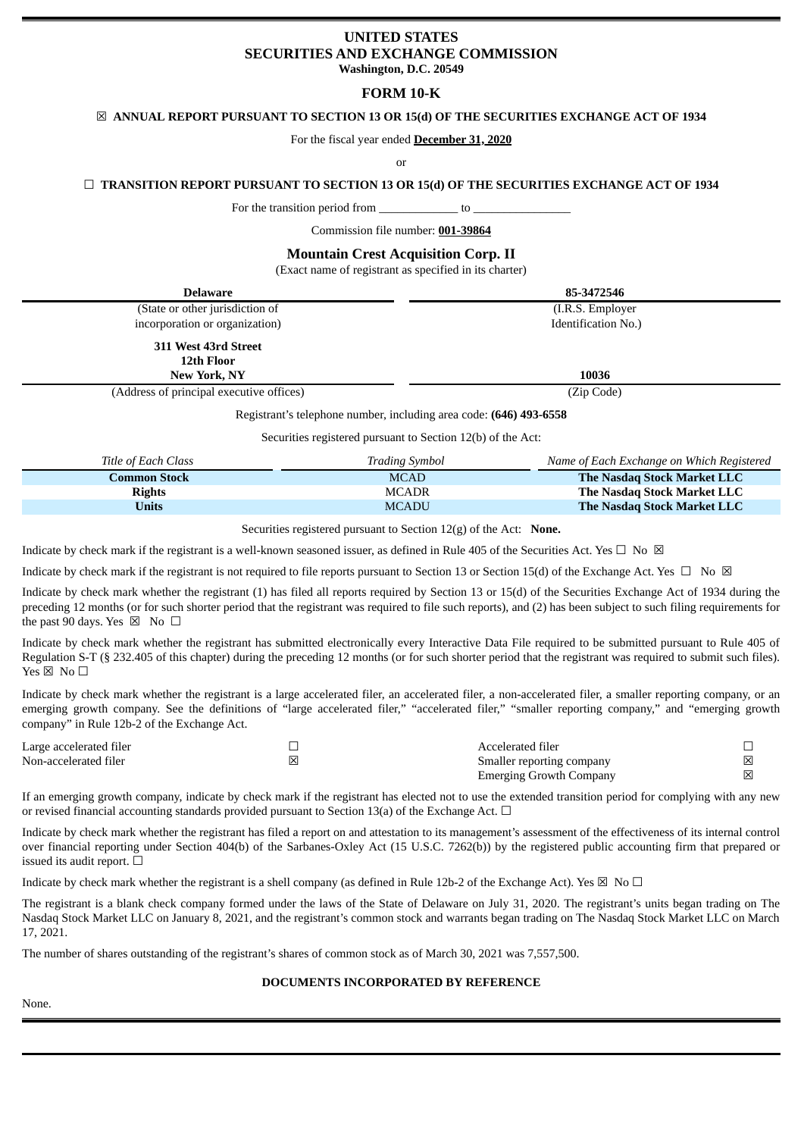# **UNITED STATES SECURITIES AND EXCHANGE COMMISSION Washington, D.C. 20549**

# **FORM 10-K**

# ☒ **ANNUAL REPORT PURSUANT TO SECTION 13 OR 15(d) OF THE SECURITIES EXCHANGE ACT OF 1934**

For the fiscal year ended **December 31, 2020**

or

# ☐ **TRANSITION REPORT PURSUANT TO SECTION 13 OR 15(d) OF THE SECURITIES EXCHANGE ACT OF 1934**

For the transition period from  $\qquad \qquad$  to

Commission file number: **001-39864**

# **Mountain Crest Acquisition Corp. II**

(Exact name of registrant as specified in its charter)

| <b>Delaware</b>                          | 85-3472546          |
|------------------------------------------|---------------------|
| (State or other jurisdiction of          | (I.R.S. Employer)   |
| incorporation or organization)           | Identification No.) |
| 311 West 43rd Street                     |                     |
| 12th Floor                               |                     |
| <b>New York, NY</b>                      | 10036               |
| (Address of principal executive offices) | (Zip Code)          |

Registrant's telephone number, including area code: **(646) 493-6558**

Securities registered pursuant to Section 12(b) of the Act:

| Title of Each Class | <b>Trading Symbol</b> | Name of Each Exchange on Which Registered |
|---------------------|-----------------------|-------------------------------------------|
| Common Stock        | <b>MCAD</b>           | <b>The Nasdag Stock Market LLC</b>        |
| <b>Rights</b>       | <b>MCADR</b>          | The Nasdaq Stock Market LLC               |
| <b>Units</b>        | <b>MCADU</b>          | <b>The Nasdag Stock Market LLC</b>        |

Securities registered pursuant to Section 12(g) of the Act: **None.**

Indicate by check mark if the registrant is a well-known seasoned issuer, as defined in Rule 405 of the Securities Act. Yes  $\Box$  No  $\boxtimes$ 

Indicate by check mark if the registrant is not required to file reports pursuant to Section 13 or Section 15(d) of the Exchange Act. Yes  $\Box$  No  $\boxtimes$ 

Indicate by check mark whether the registrant (1) has filed all reports required by Section 13 or 15(d) of the Securities Exchange Act of 1934 during the preceding 12 months (or for such shorter period that the registrant was required to file such reports), and (2) has been subject to such filing requirements for the past 90 days. Yes  $\boxtimes$  No  $\Box$ 

Indicate by check mark whether the registrant has submitted electronically every Interactive Data File required to be submitted pursuant to Rule 405 of Regulation S-T (§ 232.405 of this chapter) during the preceding 12 months (or for such shorter period that the registrant was required to submit such files). Yes  $\boxtimes$  No  $\square$ 

Indicate by check mark whether the registrant is a large accelerated filer, an accelerated filer, a non-accelerated filer, a smaller reporting company, or an emerging growth company. See the definitions of "large accelerated filer," "accelerated filer," "smaller reporting company," and "emerging growth company" in Rule 12b-2 of the Exchange Act.

| Large accelerated filer | Accelerated filer              |   |
|-------------------------|--------------------------------|---|
| Non-accelerated filer   | Smaller reporting company      | X |
|                         | <b>Emerging Growth Company</b> | 区 |

If an emerging growth company, indicate by check mark if the registrant has elected not to use the extended transition period for complying with any new or revised financial accounting standards provided pursuant to Section 13(a) of the Exchange Act.  $\Box$ 

Indicate by check mark whether the registrant has filed a report on and attestation to its management's assessment of the effectiveness of its internal control over financial reporting under Section 404(b) of the Sarbanes-Oxley Act (15 U.S.C. 7262(b)) by the registered public accounting firm that prepared or issued its audit report.  $□$ 

Indicate by check mark whether the registrant is a shell company (as defined in Rule 12b-2 of the Exchange Act). Yes  $\boxtimes$  No  $\Box$ 

The registrant is a blank check company formed under the laws of the State of Delaware on July 31, 2020. The registrant's units began trading on The Nasdaq Stock Market LLC on January 8, 2021, and the registrant's common stock and warrants began trading on The Nasdaq Stock Market LLC on March 17, 2021.

The number of shares outstanding of the registrant's shares of common stock as of March 30, 2021 was 7,557,500.

# **DOCUMENTS INCORPORATED BY REFERENCE**

None.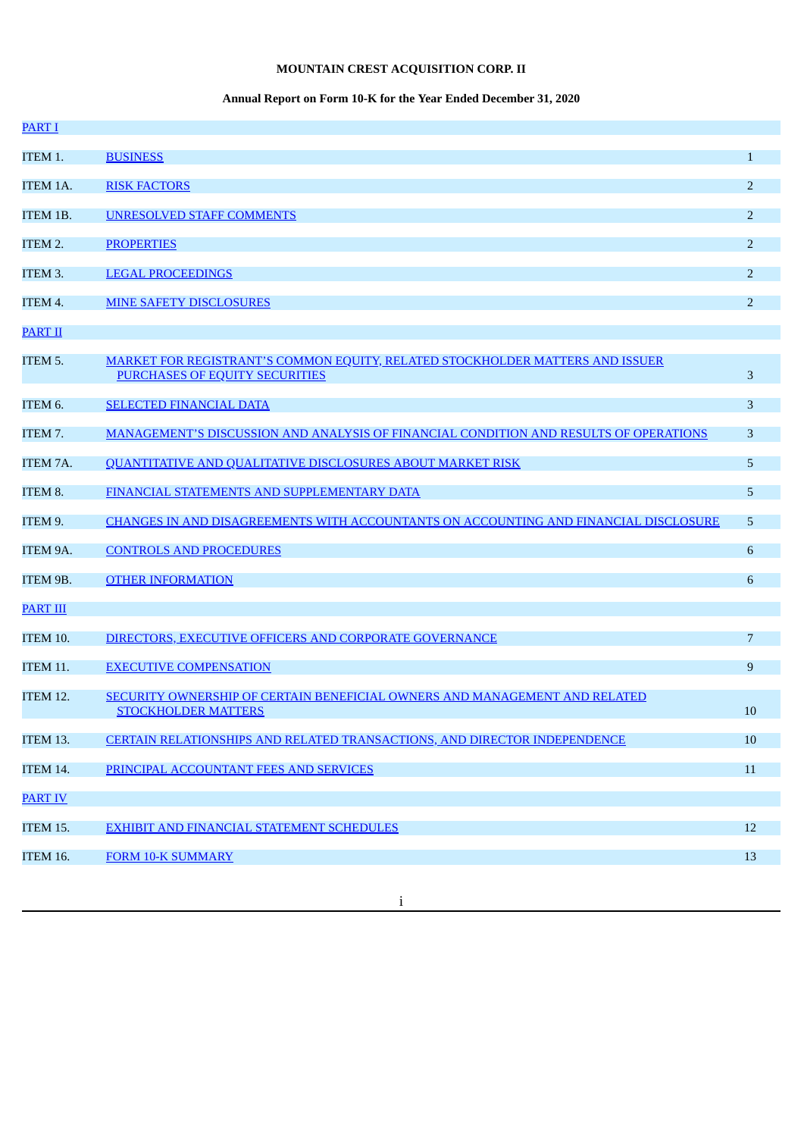# **MOUNTAIN CREST ACQUISITION CORP. II**

# **Annual Report on Form 10-K for the Year Ended December 31, 2020**

| <b>PART I</b>   |                                                                                                                 |                |
|-----------------|-----------------------------------------------------------------------------------------------------------------|----------------|
| ITEM 1.         | <b>BUSINESS</b>                                                                                                 | $\mathbf{1}$   |
| <b>ITEM 1A.</b> | <b>RISK FACTORS</b>                                                                                             | $\overline{2}$ |
| ITEM 1B.        | <b>UNRESOLVED STAFF COMMENTS</b>                                                                                | $\overline{2}$ |
| ITEM 2.         | <b>PROPERTIES</b>                                                                                               | $\overline{2}$ |
| ITEM 3.         | <b>LEGAL PROCEEDINGS</b>                                                                                        | $\overline{2}$ |
| ITEM 4.         | <b>MINE SAFETY DISCLOSURES</b>                                                                                  | $\overline{2}$ |
| <b>PART II</b>  |                                                                                                                 |                |
| ITEM 5.         | MARKET FOR REGISTRANT'S COMMON EQUITY, RELATED STOCKHOLDER MATTERS AND ISSUER<br>PURCHASES OF EQUITY SECURITIES | 3              |
| ITEM 6.         | <b>SELECTED FINANCIAL DATA</b>                                                                                  | 3              |
| ITEM 7.         | MANAGEMENT'S DISCUSSION AND ANALYSIS OF FINANCIAL CONDITION AND RESULTS OF OPERATIONS                           | 3              |
| ITEM 7A.        | <b>QUANTITATIVE AND QUALITATIVE DISCLOSURES ABOUT MARKET RISK</b>                                               | 5              |
| ITEM 8.         | FINANCIAL STATEMENTS AND SUPPLEMENTARY DATA                                                                     | 5              |
| ITEM 9.         | CHANGES IN AND DISAGREEMENTS WITH ACCOUNTANTS ON ACCOUNTING AND FINANCIAL DISCLOSURE                            | 5              |
| ITEM 9A.        | <b>CONTROLS AND PROCEDURES</b>                                                                                  | 6              |
| ITEM 9B.        | <b>OTHER INFORMATION</b>                                                                                        | 6              |
| <b>PART III</b> |                                                                                                                 |                |
| <b>ITEM 10.</b> | DIRECTORS, EXECUTIVE OFFICERS AND CORPORATE GOVERNANCE                                                          | $\overline{7}$ |
| ITEM 11.        | <b>EXECUTIVE COMPENSATION</b>                                                                                   | 9              |
| <b>ITEM 12.</b> | SECURITY OWNERSHIP OF CERTAIN BENEFICIAL OWNERS AND MANAGEMENT AND RELATED<br><b>STOCKHOLDER MATTERS</b>        | 10             |
| <b>ITEM 13.</b> | <b>CERTAIN RELATIONSHIPS AND RELATED TRANSACTIONS, AND DIRECTOR INDEPENDENCE</b>                                | 10             |
| <b>ITEM 14.</b> | PRINCIPAL ACCOUNTANT FEES AND SERVICES                                                                          | $11\,$         |
| <b>PART IV</b>  |                                                                                                                 |                |
| <b>ITEM 15.</b> | EXHIBIT AND FINANCIAL STATEMENT SCHEDULES                                                                       | 12             |
| ITEM 16.        | <b>FORM 10-K SUMMARY</b>                                                                                        | 13             |
|                 |                                                                                                                 |                |

i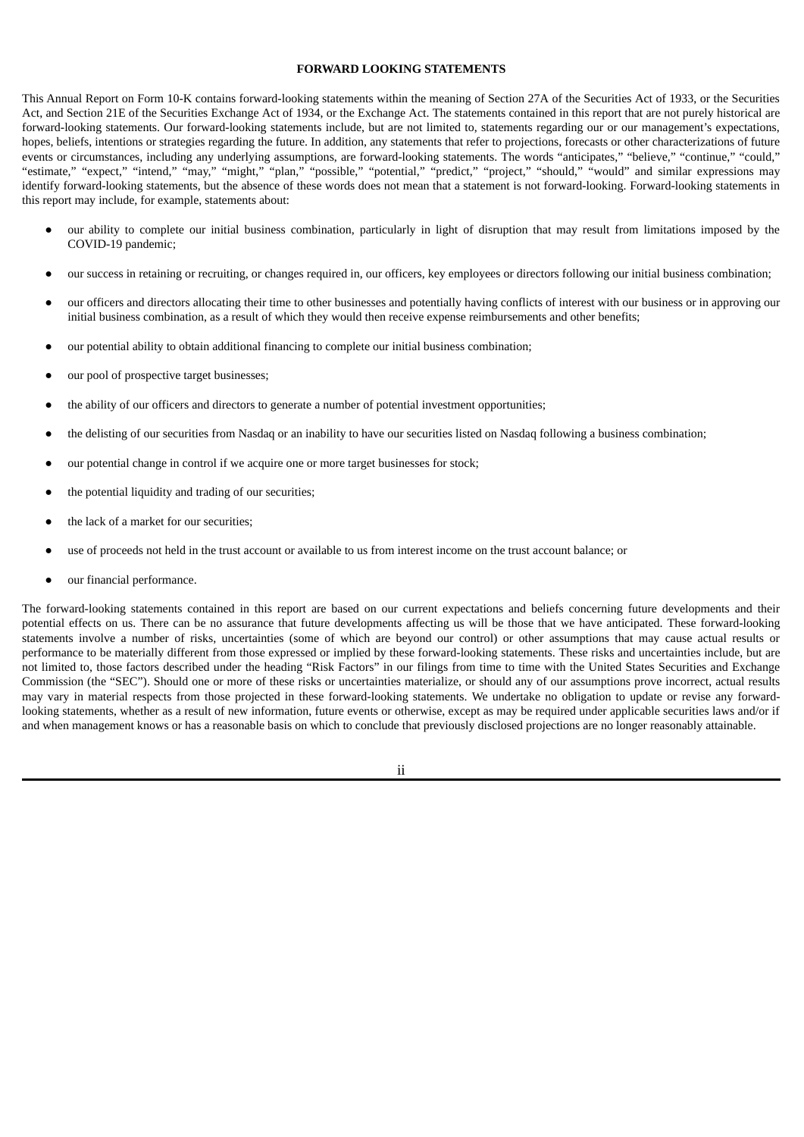# **FORWARD LOOKING STATEMENTS**

This Annual Report on Form 10-K contains forward-looking statements within the meaning of Section 27A of the Securities Act of 1933, or the Securities Act, and Section 21E of the Securities Exchange Act of 1934, or the Exchange Act. The statements contained in this report that are not purely historical are forward-looking statements. Our forward-looking statements include, but are not limited to, statements regarding our or our management's expectations, hopes, beliefs, intentions or strategies regarding the future. In addition, any statements that refer to projections, forecasts or other characterizations of future events or circumstances, including any underlying assumptions, are forward-looking statements. The words "anticipates," "believe," "continue," "could," "estimate," "expect," "intend," "may," "might," "plan," "possible," "potential," "predict," "project," "should," "would" and similar expressions may identify forward-looking statements, but the absence of these words does not mean that a statement is not forward-looking. Forward-looking statements in this report may include, for example, statements about:

- our ability to complete our initial business combination, particularly in light of disruption that may result from limitations imposed by the COVID-19 pandemic;
- our success in retaining or recruiting, or changes required in, our officers, key employees or directors following our initial business combination;
- our officers and directors allocating their time to other businesses and potentially having conflicts of interest with our business or in approving our initial business combination, as a result of which they would then receive expense reimbursements and other benefits;
- our potential ability to obtain additional financing to complete our initial business combination;
- our pool of prospective target businesses;
- the ability of our officers and directors to generate a number of potential investment opportunities;
- the delisting of our securities from Nasdaq or an inability to have our securities listed on Nasdaq following a business combination;
- our potential change in control if we acquire one or more target businesses for stock;
- the potential liquidity and trading of our securities;
- the lack of a market for our securities;
- use of proceeds not held in the trust account or available to us from interest income on the trust account balance; or
- our financial performance.

The forward-looking statements contained in this report are based on our current expectations and beliefs concerning future developments and their potential effects on us. There can be no assurance that future developments affecting us will be those that we have anticipated. These forward-looking statements involve a number of risks, uncertainties (some of which are beyond our control) or other assumptions that may cause actual results or performance to be materially different from those expressed or implied by these forward-looking statements. These risks and uncertainties include, but are not limited to, those factors described under the heading "Risk Factors" in our filings from time to time with the United States Securities and Exchange Commission (the "SEC"). Should one or more of these risks or uncertainties materialize, or should any of our assumptions prove incorrect, actual results may vary in material respects from those projected in these forward-looking statements. We undertake no obligation to update or revise any forwardlooking statements, whether as a result of new information, future events or otherwise, except as may be required under applicable securities laws and/or if and when management knows or has a reasonable basis on which to conclude that previously disclosed projections are no longer reasonably attainable.

ii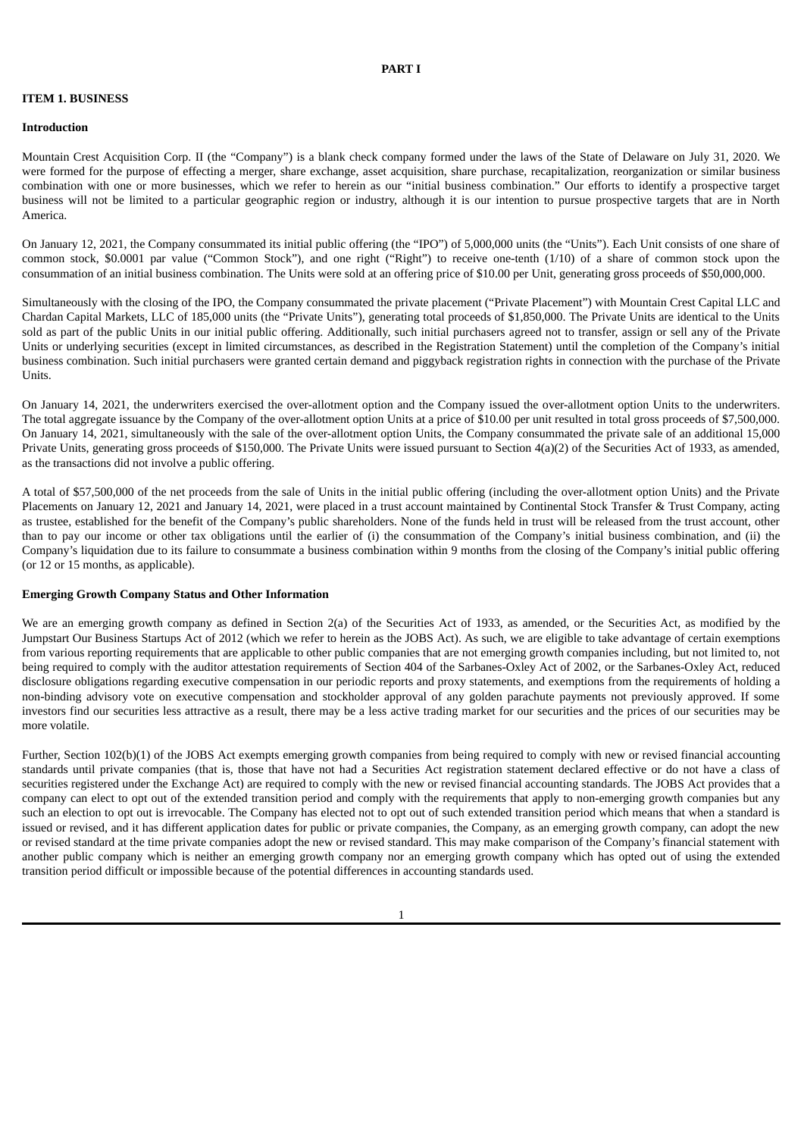### **PART I**

#### <span id="page-3-1"></span><span id="page-3-0"></span>**ITEM 1. BUSINESS**

#### **Introduction**

Mountain Crest Acquisition Corp. II (the "Company") is a blank check company formed under the laws of the State of Delaware on July 31, 2020. We were formed for the purpose of effecting a merger, share exchange, asset acquisition, share purchase, recapitalization, reorganization or similar business combination with one or more businesses, which we refer to herein as our "initial business combination." Our efforts to identify a prospective target business will not be limited to a particular geographic region or industry, although it is our intention to pursue prospective targets that are in North America.

On January 12, 2021, the Company consummated its initial public offering (the "IPO") of 5,000,000 units (the "Units"). Each Unit consists of one share of common stock, \$0.0001 par value ("Common Stock"), and one right ("Right") to receive one-tenth (1/10) of a share of common stock upon the consummation of an initial business combination. The Units were sold at an offering price of \$10.00 per Unit, generating gross proceeds of \$50,000,000.

Simultaneously with the closing of the IPO, the Company consummated the private placement ("Private Placement") with Mountain Crest Capital LLC and Chardan Capital Markets, LLC of 185,000 units (the "Private Units"), generating total proceeds of \$1,850,000. The Private Units are identical to the Units sold as part of the public Units in our initial public offering. Additionally, such initial purchasers agreed not to transfer, assign or sell any of the Private Units or underlying securities (except in limited circumstances, as described in the Registration Statement) until the completion of the Company's initial business combination. Such initial purchasers were granted certain demand and piggyback registration rights in connection with the purchase of the Private Units.

On January 14, 2021, the underwriters exercised the over-allotment option and the Company issued the over-allotment option Units to the underwriters. The total aggregate issuance by the Company of the over-allotment option Units at a price of \$10.00 per unit resulted in total gross proceeds of \$7,500,000. On January 14, 2021, simultaneously with the sale of the over-allotment option Units, the Company consummated the private sale of an additional 15,000 Private Units, generating gross proceeds of \$150,000. The Private Units were issued pursuant to Section 4(a)(2) of the Securities Act of 1933, as amended, as the transactions did not involve a public offering.

A total of \$57,500,000 of the net proceeds from the sale of Units in the initial public offering (including the over-allotment option Units) and the Private Placements on January 12, 2021 and January 14, 2021, were placed in a trust account maintained by Continental Stock Transfer & Trust Company, acting as trustee, established for the benefit of the Company's public shareholders. None of the funds held in trust will be released from the trust account, other than to pay our income or other tax obligations until the earlier of (i) the consummation of the Company's initial business combination, and (ii) the Company's liquidation due to its failure to consummate a business combination within 9 months from the closing of the Company's initial public offering (or 12 or 15 months, as applicable).

#### **Emerging Growth Company Status and Other Information**

We are an emerging growth company as defined in Section 2(a) of the Securities Act of 1933, as amended, or the Securities Act, as modified by the Jumpstart Our Business Startups Act of 2012 (which we refer to herein as the JOBS Act). As such, we are eligible to take advantage of certain exemptions from various reporting requirements that are applicable to other public companies that are not emerging growth companies including, but not limited to, not being required to comply with the auditor attestation requirements of Section 404 of the Sarbanes-Oxley Act of 2002, or the Sarbanes-Oxley Act, reduced disclosure obligations regarding executive compensation in our periodic reports and proxy statements, and exemptions from the requirements of holding a non-binding advisory vote on executive compensation and stockholder approval of any golden parachute payments not previously approved. If some investors find our securities less attractive as a result, there may be a less active trading market for our securities and the prices of our securities may be more volatile.

Further, Section 102(b)(1) of the JOBS Act exempts emerging growth companies from being required to comply with new or revised financial accounting standards until private companies (that is, those that have not had a Securities Act registration statement declared effective or do not have a class of securities registered under the Exchange Act) are required to comply with the new or revised financial accounting standards. The JOBS Act provides that a company can elect to opt out of the extended transition period and comply with the requirements that apply to non-emerging growth companies but any such an election to opt out is irrevocable. The Company has elected not to opt out of such extended transition period which means that when a standard is issued or revised, and it has different application dates for public or private companies, the Company, as an emerging growth company, can adopt the new or revised standard at the time private companies adopt the new or revised standard. This may make comparison of the Company's financial statement with another public company which is neither an emerging growth company nor an emerging growth company which has opted out of using the extended transition period difficult or impossible because of the potential differences in accounting standards used.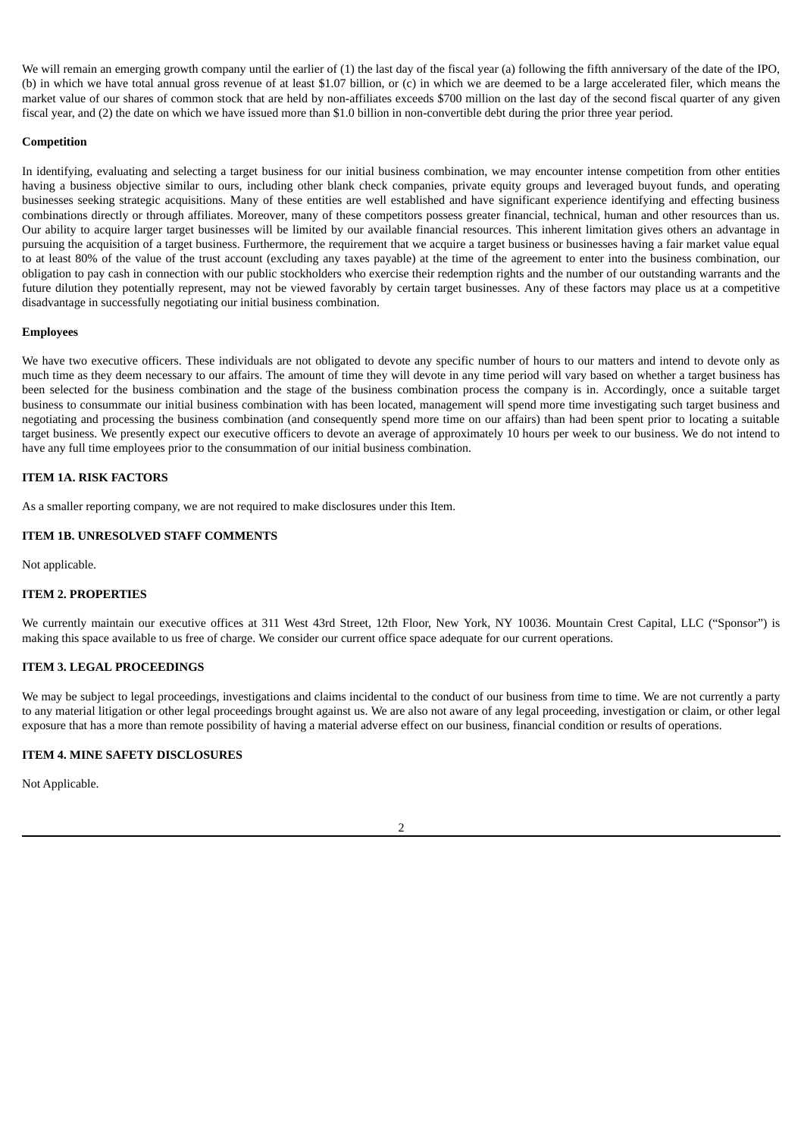We will remain an emerging growth company until the earlier of (1) the last day of the fiscal year (a) following the fifth anniversary of the date of the IPO. (b) in which we have total annual gross revenue of at least \$1.07 billion, or (c) in which we are deemed to be a large accelerated filer, which means the market value of our shares of common stock that are held by non-affiliates exceeds \$700 million on the last day of the second fiscal quarter of any given fiscal year, and (2) the date on which we have issued more than \$1.0 billion in non-convertible debt during the prior three year period.

# **Competition**

In identifying, evaluating and selecting a target business for our initial business combination, we may encounter intense competition from other entities having a business objective similar to ours, including other blank check companies, private equity groups and leveraged buyout funds, and operating businesses seeking strategic acquisitions. Many of these entities are well established and have significant experience identifying and effecting business combinations directly or through affiliates. Moreover, many of these competitors possess greater financial, technical, human and other resources than us. Our ability to acquire larger target businesses will be limited by our available financial resources. This inherent limitation gives others an advantage in pursuing the acquisition of a target business. Furthermore, the requirement that we acquire a target business or businesses having a fair market value equal to at least 80% of the value of the trust account (excluding any taxes payable) at the time of the agreement to enter into the business combination, our obligation to pay cash in connection with our public stockholders who exercise their redemption rights and the number of our outstanding warrants and the future dilution they potentially represent, may not be viewed favorably by certain target businesses. Any of these factors may place us at a competitive disadvantage in successfully negotiating our initial business combination.

#### **Employees**

We have two executive officers. These individuals are not obligated to devote any specific number of hours to our matters and intend to devote only as much time as they deem necessary to our affairs. The amount of time they will devote in any time period will vary based on whether a target business has been selected for the business combination and the stage of the business combination process the company is in. Accordingly, once a suitable target business to consummate our initial business combination with has been located, management will spend more time investigating such target business and negotiating and processing the business combination (and consequently spend more time on our affairs) than had been spent prior to locating a suitable target business. We presently expect our executive officers to devote an average of approximately 10 hours per week to our business. We do not intend to have any full time employees prior to the consummation of our initial business combination.

## <span id="page-4-0"></span>**ITEM 1A. RISK FACTORS**

As a smaller reporting company, we are not required to make disclosures under this Item.

# <span id="page-4-1"></span>**ITEM 1B. UNRESOLVED STAFF COMMENTS**

Not applicable.

#### <span id="page-4-2"></span>**ITEM 2. PROPERTIES**

We currently maintain our executive offices at 311 West 43rd Street, 12th Floor, New York, NY 10036. Mountain Crest Capital, LLC ("Sponsor") is making this space available to us free of charge. We consider our current office space adequate for our current operations.

### <span id="page-4-3"></span>**ITEM 3. LEGAL PROCEEDINGS**

We may be subject to legal proceedings, investigations and claims incidental to the conduct of our business from time to time. We are not currently a party to any material litigation or other legal proceedings brought against us. We are also not aware of any legal proceeding, investigation or claim, or other legal exposure that has a more than remote possibility of having a material adverse effect on our business, financial condition or results of operations.

# <span id="page-4-4"></span>**ITEM 4. MINE SAFETY DISCLOSURES**

Not Applicable.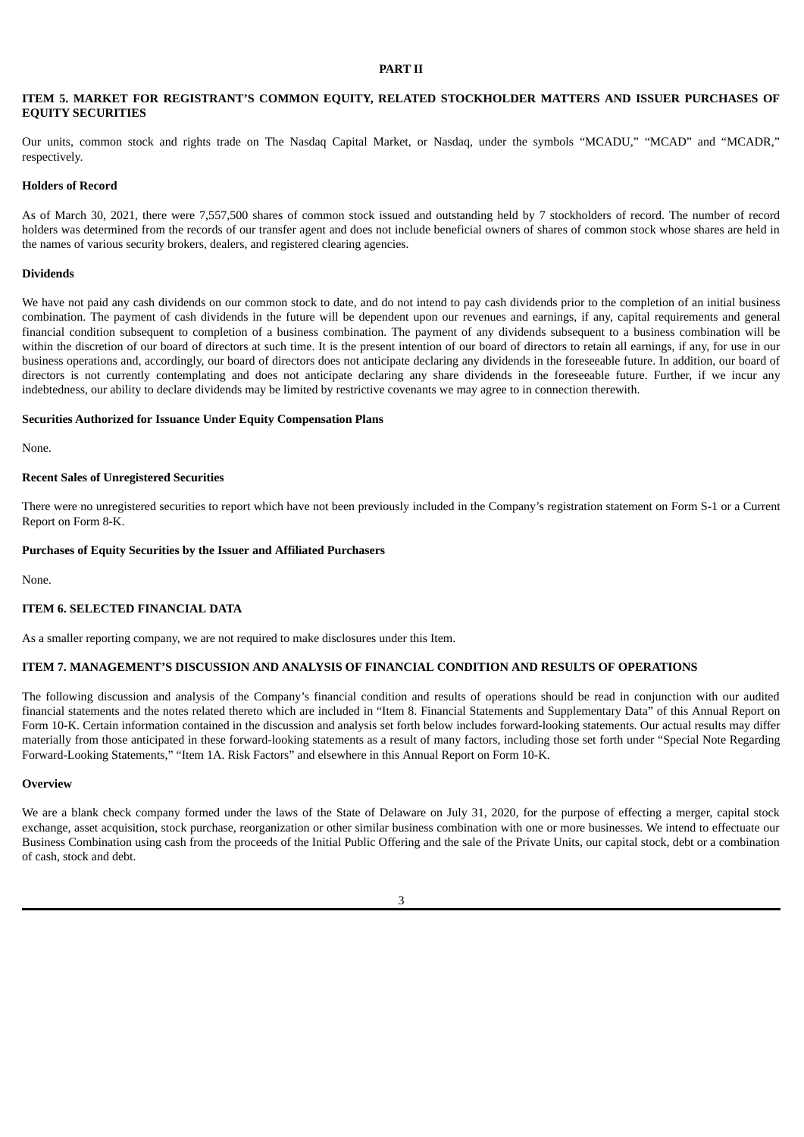#### **PART II**

# <span id="page-5-1"></span><span id="page-5-0"></span>**ITEM 5. MARKET FOR REGISTRANT'S COMMON EQUITY, RELATED STOCKHOLDER MATTERS AND ISSUER PURCHASES OF EQUITY SECURITIES**

Our units, common stock and rights trade on The Nasdaq Capital Market, or Nasdaq, under the symbols "MCADU," "MCAD" and "MCADR," respectively.

#### **Holders of Record**

As of March 30, 2021, there were 7,557,500 shares of common stock issued and outstanding held by 7 stockholders of record. The number of record holders was determined from the records of our transfer agent and does not include beneficial owners of shares of common stock whose shares are held in the names of various security brokers, dealers, and registered clearing agencies.

#### **Dividends**

We have not paid any cash dividends on our common stock to date, and do not intend to pay cash dividends prior to the completion of an initial business combination. The payment of cash dividends in the future will be dependent upon our revenues and earnings, if any, capital requirements and general financial condition subsequent to completion of a business combination. The payment of any dividends subsequent to a business combination will be within the discretion of our board of directors at such time. It is the present intention of our board of directors to retain all earnings, if any, for use in our business operations and, accordingly, our board of directors does not anticipate declaring any dividends in the foreseeable future. In addition, our board of directors is not currently contemplating and does not anticipate declaring any share dividends in the foreseeable future. Further, if we incur any indebtedness, our ability to declare dividends may be limited by restrictive covenants we may agree to in connection therewith.

#### **Securities Authorized for Issuance Under Equity Compensation Plans**

None.

# **Recent Sales of Unregistered Securities**

There were no unregistered securities to report which have not been previously included in the Company's registration statement on Form S-1 or a Current Report on Form 8-K.

#### **Purchases of Equity Securities by the Issuer and Affiliated Purchasers**

None.

#### <span id="page-5-2"></span>**ITEM 6. SELECTED FINANCIAL DATA**

As a smaller reporting company, we are not required to make disclosures under this Item.

#### <span id="page-5-3"></span>**ITEM 7. MANAGEMENT'S DISCUSSION AND ANALYSIS OF FINANCIAL CONDITION AND RESULTS OF OPERATIONS**

The following discussion and analysis of the Company's financial condition and results of operations should be read in conjunction with our audited financial statements and the notes related thereto which are included in "Item 8. Financial Statements and Supplementary Data" of this Annual Report on Form 10-K. Certain information contained in the discussion and analysis set forth below includes forward-looking statements. Our actual results may differ materially from those anticipated in these forward-looking statements as a result of many factors, including those set forth under "Special Note Regarding Forward-Looking Statements," "Item 1A. Risk Factors" and elsewhere in this Annual Report on Form 10-K.

#### **Overview**

We are a blank check company formed under the laws of the State of Delaware on July 31, 2020, for the purpose of effecting a merger, capital stock exchange, asset acquisition, stock purchase, reorganization or other similar business combination with one or more businesses. We intend to effectuate our Business Combination using cash from the proceeds of the Initial Public Offering and the sale of the Private Units, our capital stock, debt or a combination of cash, stock and debt.

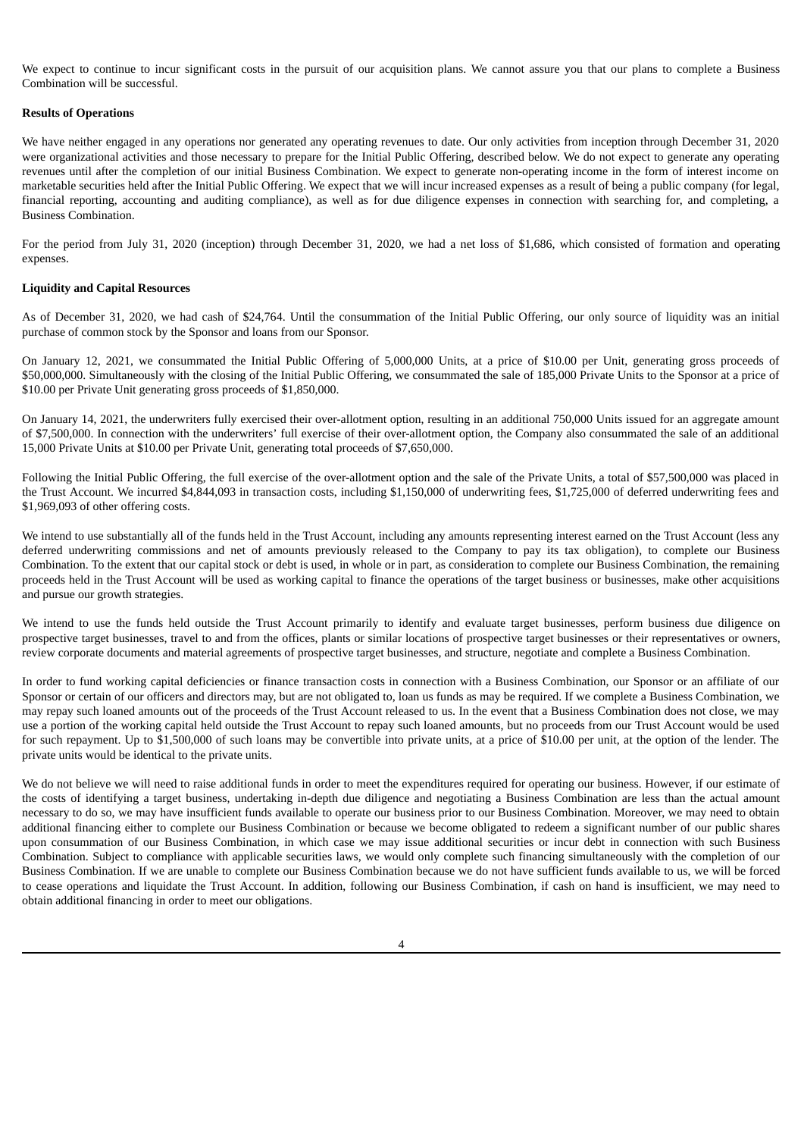We expect to continue to incur significant costs in the pursuit of our acquisition plans. We cannot assure you that our plans to complete a Business Combination will be successful.

### **Results of Operations**

We have neither engaged in any operations nor generated any operating revenues to date. Our only activities from inception through December 31, 2020 were organizational activities and those necessary to prepare for the Initial Public Offering, described below. We do not expect to generate any operating revenues until after the completion of our initial Business Combination. We expect to generate non-operating income in the form of interest income on marketable securities held after the Initial Public Offering. We expect that we will incur increased expenses as a result of being a public company (for legal, financial reporting, accounting and auditing compliance), as well as for due diligence expenses in connection with searching for, and completing, a Business Combination.

For the period from July 31, 2020 (inception) through December 31, 2020, we had a net loss of \$1,686, which consisted of formation and operating expenses.

### **Liquidity and Capital Resources**

As of December 31, 2020, we had cash of \$24,764. Until the consummation of the Initial Public Offering, our only source of liquidity was an initial purchase of common stock by the Sponsor and loans from our Sponsor.

On January 12, 2021, we consummated the Initial Public Offering of 5,000,000 Units, at a price of \$10.00 per Unit, generating gross proceeds of \$50,000,000. Simultaneously with the closing of the Initial Public Offering, we consummated the sale of 185,000 Private Units to the Sponsor at a price of \$10.00 per Private Unit generating gross proceeds of \$1,850,000.

On January 14, 2021, the underwriters fully exercised their over-allotment option, resulting in an additional 750,000 Units issued for an aggregate amount of \$7,500,000. In connection with the underwriters' full exercise of their over-allotment option, the Company also consummated the sale of an additional 15,000 Private Units at \$10.00 per Private Unit, generating total proceeds of \$7,650,000.

Following the Initial Public Offering, the full exercise of the over-allotment option and the sale of the Private Units, a total of \$57,500,000 was placed in the Trust Account. We incurred \$4,844,093 in transaction costs, including \$1,150,000 of underwriting fees, \$1,725,000 of deferred underwriting fees and \$1,969,093 of other offering costs.

We intend to use substantially all of the funds held in the Trust Account, including any amounts representing interest earned on the Trust Account (less any deferred underwriting commissions and net of amounts previously released to the Company to pay its tax obligation), to complete our Business Combination. To the extent that our capital stock or debt is used, in whole or in part, as consideration to complete our Business Combination, the remaining proceeds held in the Trust Account will be used as working capital to finance the operations of the target business or businesses, make other acquisitions and pursue our growth strategies.

We intend to use the funds held outside the Trust Account primarily to identify and evaluate target businesses, perform business due diligence on prospective target businesses, travel to and from the offices, plants or similar locations of prospective target businesses or their representatives or owners, review corporate documents and material agreements of prospective target businesses, and structure, negotiate and complete a Business Combination.

In order to fund working capital deficiencies or finance transaction costs in connection with a Business Combination, our Sponsor or an affiliate of our Sponsor or certain of our officers and directors may, but are not obligated to, loan us funds as may be required. If we complete a Business Combination, we may repay such loaned amounts out of the proceeds of the Trust Account released to us. In the event that a Business Combination does not close, we may use a portion of the working capital held outside the Trust Account to repay such loaned amounts, but no proceeds from our Trust Account would be used for such repayment. Up to \$1,500,000 of such loans may be convertible into private units, at a price of \$10.00 per unit, at the option of the lender. The private units would be identical to the private units.

We do not believe we will need to raise additional funds in order to meet the expenditures required for operating our business. However, if our estimate of the costs of identifying a target business, undertaking in-depth due diligence and negotiating a Business Combination are less than the actual amount necessary to do so, we may have insufficient funds available to operate our business prior to our Business Combination. Moreover, we may need to obtain additional financing either to complete our Business Combination or because we become obligated to redeem a significant number of our public shares upon consummation of our Business Combination, in which case we may issue additional securities or incur debt in connection with such Business Combination. Subject to compliance with applicable securities laws, we would only complete such financing simultaneously with the completion of our Business Combination. If we are unable to complete our Business Combination because we do not have sufficient funds available to us, we will be forced to cease operations and liquidate the Trust Account. In addition, following our Business Combination, if cash on hand is insufficient, we may need to obtain additional financing in order to meet our obligations.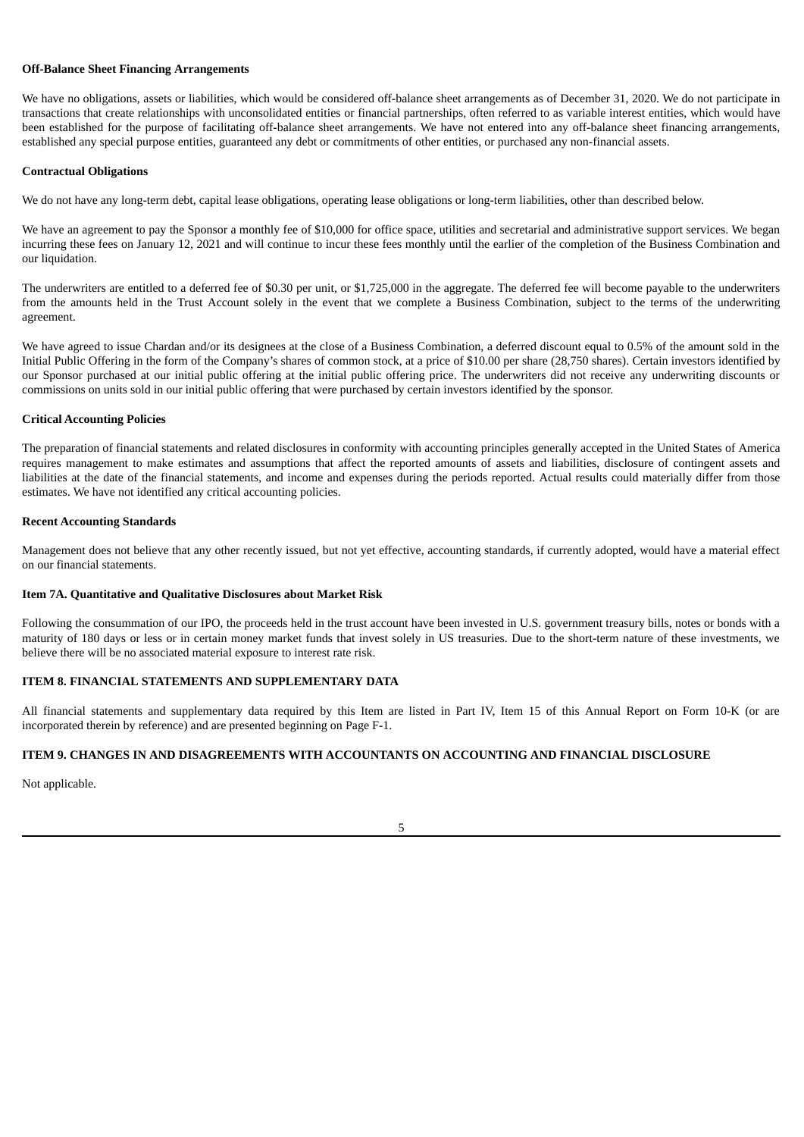### **Off-Balance Sheet Financing Arrangements**

We have no obligations, assets or liabilities, which would be considered off-balance sheet arrangements as of December 31, 2020. We do not participate in transactions that create relationships with unconsolidated entities or financial partnerships, often referred to as variable interest entities, which would have been established for the purpose of facilitating off-balance sheet arrangements. We have not entered into any off-balance sheet financing arrangements, established any special purpose entities, guaranteed any debt or commitments of other entities, or purchased any non-financial assets.

### **Contractual Obligations**

We do not have any long-term debt, capital lease obligations, operating lease obligations or long-term liabilities, other than described below.

We have an agreement to pay the Sponsor a monthly fee of \$10,000 for office space, utilities and secretarial and administrative support services. We began incurring these fees on January 12, 2021 and will continue to incur these fees monthly until the earlier of the completion of the Business Combination and our liquidation.

The underwriters are entitled to a deferred fee of \$0.30 per unit, or \$1,725,000 in the aggregate. The deferred fee will become payable to the underwriters from the amounts held in the Trust Account solely in the event that we complete a Business Combination, subject to the terms of the underwriting agreement.

We have agreed to issue Chardan and/or its designees at the close of a Business Combination, a deferred discount equal to 0.5% of the amount sold in the Initial Public Offering in the form of the Company's shares of common stock, at a price of \$10.00 per share (28,750 shares). Certain investors identified by our Sponsor purchased at our initial public offering at the initial public offering price. The underwriters did not receive any underwriting discounts or commissions on units sold in our initial public offering that were purchased by certain investors identified by the sponsor.

### **Critical Accounting Policies**

The preparation of financial statements and related disclosures in conformity with accounting principles generally accepted in the United States of America requires management to make estimates and assumptions that affect the reported amounts of assets and liabilities, disclosure of contingent assets and liabilities at the date of the financial statements, and income and expenses during the periods reported. Actual results could materially differ from those estimates. We have not identified any critical accounting policies.

### **Recent Accounting Standards**

Management does not believe that any other recently issued, but not yet effective, accounting standards, if currently adopted, would have a material effect on our financial statements.

# <span id="page-7-0"></span>**Item 7A. Quantitative and Qualitative Disclosures about Market Risk**

Following the consummation of our IPO, the proceeds held in the trust account have been invested in U.S. government treasury bills, notes or bonds with a maturity of 180 days or less or in certain money market funds that invest solely in US treasuries. Due to the short-term nature of these investments, we believe there will be no associated material exposure to interest rate risk.

# <span id="page-7-1"></span>**ITEM 8. FINANCIAL STATEMENTS AND SUPPLEMENTARY DATA**

All financial statements and supplementary data required by this Item are listed in Part IV, Item 15 of this Annual Report on Form 10-K (or are incorporated therein by reference) and are presented beginning on Page F-1.

# <span id="page-7-2"></span>**ITEM 9. CHANGES IN AND DISAGREEMENTS WITH ACCOUNTANTS ON ACCOUNTING AND FINANCIAL DISCLOSURE**

Not applicable.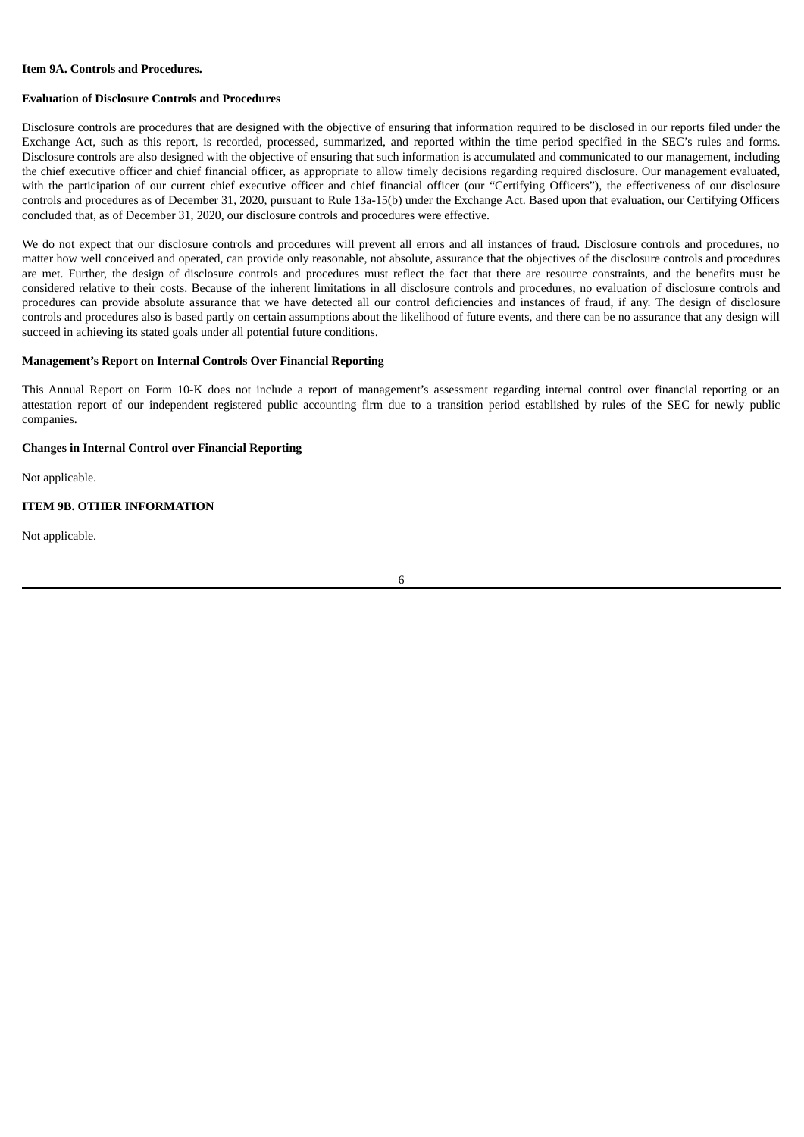### <span id="page-8-0"></span>**Item 9A. Controls and Procedures.**

### **Evaluation of Disclosure Controls and Procedures**

Disclosure controls are procedures that are designed with the objective of ensuring that information required to be disclosed in our reports filed under the Exchange Act, such as this report, is recorded, processed, summarized, and reported within the time period specified in the SEC's rules and forms. Disclosure controls are also designed with the objective of ensuring that such information is accumulated and communicated to our management, including the chief executive officer and chief financial officer, as appropriate to allow timely decisions regarding required disclosure. Our management evaluated, with the participation of our current chief executive officer and chief financial officer (our "Certifying Officers"), the effectiveness of our disclosure controls and procedures as of December 31, 2020, pursuant to Rule 13a-15(b) under the Exchange Act. Based upon that evaluation, our Certifying Officers concluded that, as of December 31, 2020, our disclosure controls and procedures were effective.

We do not expect that our disclosure controls and procedures will prevent all errors and all instances of fraud. Disclosure controls and procedures, no matter how well conceived and operated, can provide only reasonable, not absolute, assurance that the objectives of the disclosure controls and procedures are met. Further, the design of disclosure controls and procedures must reflect the fact that there are resource constraints, and the benefits must be considered relative to their costs. Because of the inherent limitations in all disclosure controls and procedures, no evaluation of disclosure controls and procedures can provide absolute assurance that we have detected all our control deficiencies and instances of fraud, if any. The design of disclosure controls and procedures also is based partly on certain assumptions about the likelihood of future events, and there can be no assurance that any design will succeed in achieving its stated goals under all potential future conditions.

#### **Management's Report on Internal Controls Over Financial Reporting**

This Annual Report on Form 10-K does not include a report of management's assessment regarding internal control over financial reporting or an attestation report of our independent registered public accounting firm due to a transition period established by rules of the SEC for newly public companies.

### **Changes in Internal Control over Financial Reporting**

Not applicable.

### <span id="page-8-1"></span>**ITEM 9B. OTHER INFORMATION**

Not applicable.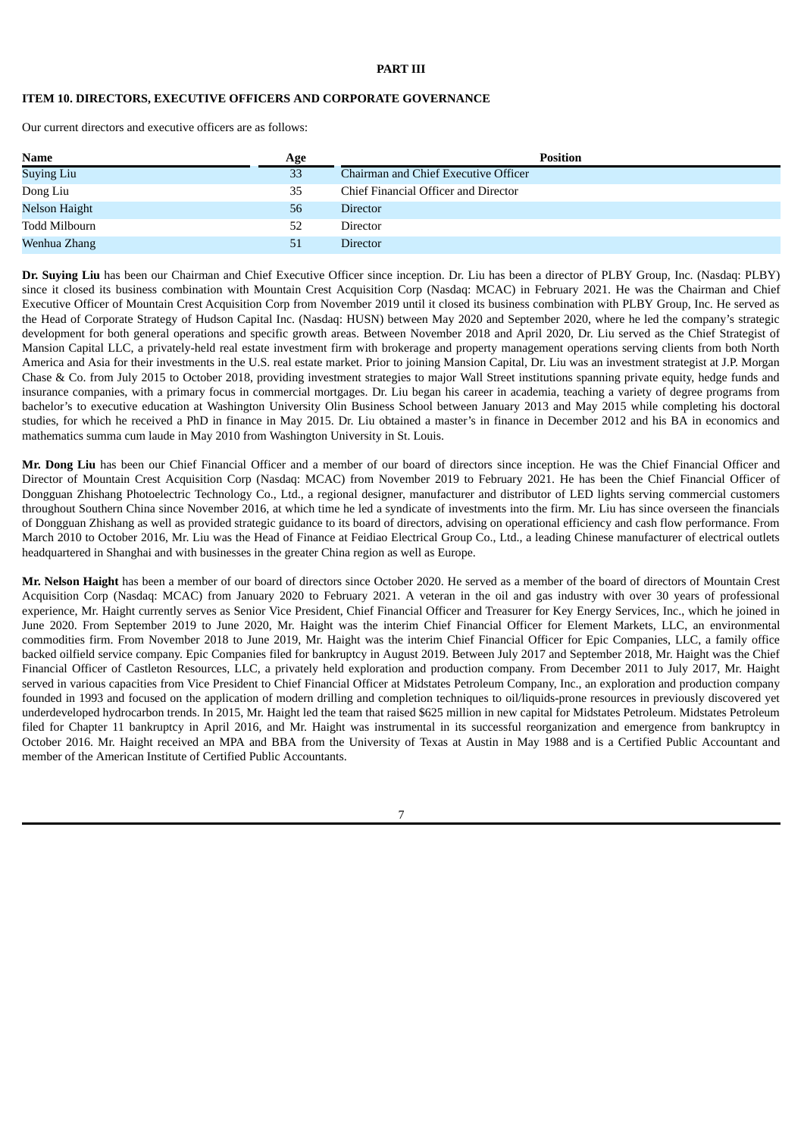# **PART III**

# <span id="page-9-1"></span><span id="page-9-0"></span>**ITEM 10. DIRECTORS, EXECUTIVE OFFICERS AND CORPORATE GOVERNANCE**

Our current directors and executive officers are as follows:

| <b>Name</b>   | Age | <b>Position</b>                      |
|---------------|-----|--------------------------------------|
| Suying Liu    | 33  | Chairman and Chief Executive Officer |
| Dong Liu      | 35  | Chief Financial Officer and Director |
| Nelson Haight | 56  | <b>Director</b>                      |
| Todd Milbourn | 52  | <b>Director</b>                      |
| Wenhua Zhang  | 51  | <b>Director</b>                      |

**Dr. Suying Liu** has been our Chairman and Chief Executive Officer since inception. Dr. Liu has been a director of PLBY Group, Inc. (Nasdaq: PLBY) since it closed its business combination with Mountain Crest Acquisition Corp (Nasdaq: MCAC) in February 2021. He was the Chairman and Chief Executive Officer of Mountain Crest Acquisition Corp from November 2019 until it closed its business combination with PLBY Group, Inc. He served as the Head of Corporate Strategy of Hudson Capital Inc. (Nasdaq: HUSN) between May 2020 and September 2020, where he led the company's strategic development for both general operations and specific growth areas. Between November 2018 and April 2020, Dr. Liu served as the Chief Strategist of Mansion Capital LLC, a privately-held real estate investment firm with brokerage and property management operations serving clients from both North America and Asia for their investments in the U.S. real estate market. Prior to joining Mansion Capital, Dr. Liu was an investment strategist at J.P. Morgan Chase & Co. from July 2015 to October 2018, providing investment strategies to major Wall Street institutions spanning private equity, hedge funds and insurance companies, with a primary focus in commercial mortgages. Dr. Liu began his career in academia, teaching a variety of degree programs from bachelor's to executive education at Washington University Olin Business School between January 2013 and May 2015 while completing his doctoral studies, for which he received a PhD in finance in May 2015. Dr. Liu obtained a master's in finance in December 2012 and his BA in economics and mathematics summa cum laude in May 2010 from Washington University in St. Louis.

**Mr. Dong Liu** has been our Chief Financial Officer and a member of our board of directors since inception. He was the Chief Financial Officer and Director of Mountain Crest Acquisition Corp (Nasdaq: MCAC) from November 2019 to February 2021. He has been the Chief Financial Officer of Dongguan Zhishang Photoelectric Technology Co., Ltd., a regional designer, manufacturer and distributor of LED lights serving commercial customers throughout Southern China since November 2016, at which time he led a syndicate of investments into the firm. Mr. Liu has since overseen the financials of Dongguan Zhishang as well as provided strategic guidance to its board of directors, advising on operational efficiency and cash flow performance. From March 2010 to October 2016, Mr. Liu was the Head of Finance at Feidiao Electrical Group Co., Ltd., a leading Chinese manufacturer of electrical outlets headquartered in Shanghai and with businesses in the greater China region as well as Europe.

**Mr. Nelson Haight** has been a member of our board of directors since October 2020. He served as a member of the board of directors of Mountain Crest Acquisition Corp (Nasdaq: MCAC) from January 2020 to February 2021. A veteran in the oil and gas industry with over 30 years of professional experience, Mr. Haight currently serves as Senior Vice President, Chief Financial Officer and Treasurer for Key Energy Services, Inc., which he joined in June 2020. From September 2019 to June 2020, Mr. Haight was the interim Chief Financial Officer for Element Markets, LLC, an environmental commodities firm. From November 2018 to June 2019, Mr. Haight was the interim Chief Financial Officer for Epic Companies, LLC, a family office backed oilfield service company. Epic Companies filed for bankruptcy in August 2019. Between July 2017 and September 2018, Mr. Haight was the Chief Financial Officer of Castleton Resources, LLC, a privately held exploration and production company. From December 2011 to July 2017, Mr. Haight served in various capacities from Vice President to Chief Financial Officer at Midstates Petroleum Company, Inc., an exploration and production company founded in 1993 and focused on the application of modern drilling and completion techniques to oil/liquids-prone resources in previously discovered yet underdeveloped hydrocarbon trends. In 2015, Mr. Haight led the team that raised \$625 million in new capital for Midstates Petroleum. Midstates Petroleum filed for Chapter 11 bankruptcy in April 2016, and Mr. Haight was instrumental in its successful reorganization and emergence from bankruptcy in October 2016. Mr. Haight received an MPA and BBA from the University of Texas at Austin in May 1988 and is a Certified Public Accountant and member of the American Institute of Certified Public Accountants.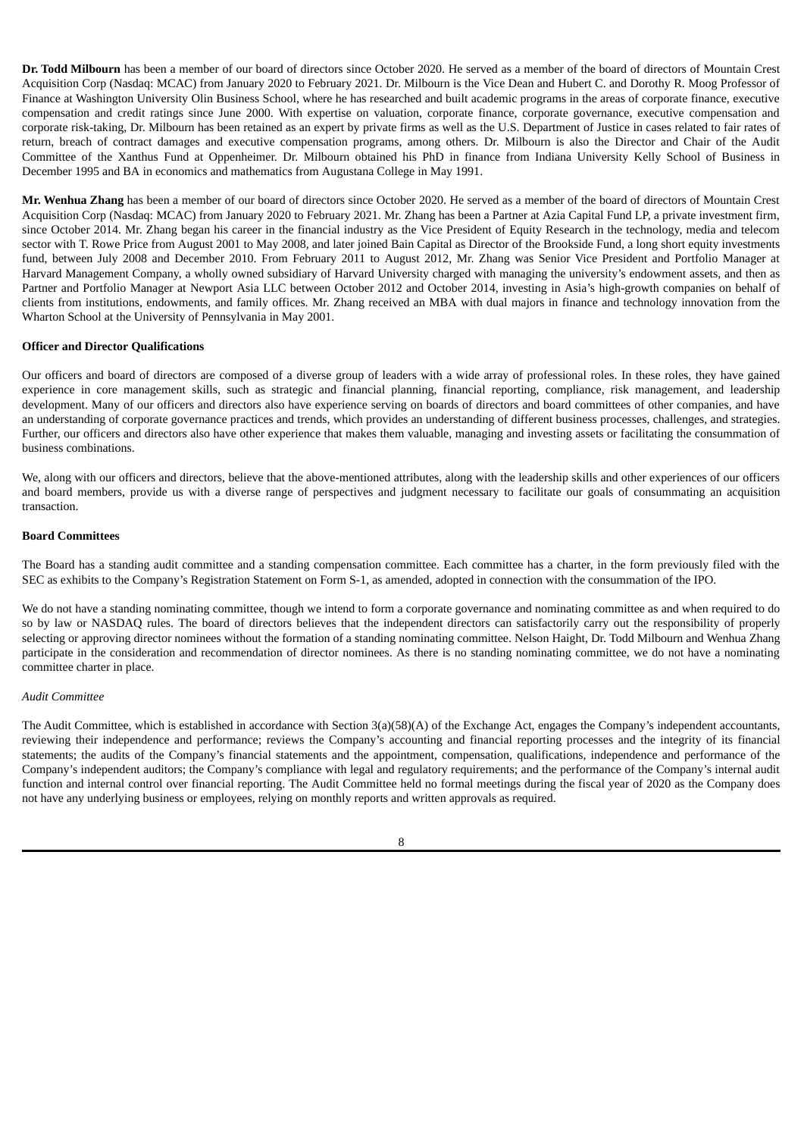**Dr. Todd Milbourn** has been a member of our board of directors since October 2020. He served as a member of the board of directors of Mountain Crest Acquisition Corp (Nasdaq: MCAC) from January 2020 to February 2021. Dr. Milbourn is the Vice Dean and Hubert C. and Dorothy R. Moog Professor of Finance at Washington University Olin Business School, where he has researched and built academic programs in the areas of corporate finance, executive compensation and credit ratings since June 2000. With expertise on valuation, corporate finance, corporate governance, executive compensation and corporate risk-taking, Dr. Milbourn has been retained as an expert by private firms as well as the U.S. Department of Justice in cases related to fair rates of return, breach of contract damages and executive compensation programs, among others. Dr. Milbourn is also the Director and Chair of the Audit Committee of the Xanthus Fund at Oppenheimer. Dr. Milbourn obtained his PhD in finance from Indiana University Kelly School of Business in December 1995 and BA in economics and mathematics from Augustana College in May 1991.

**Mr. Wenhua Zhang** has been a member of our board of directors since October 2020. He served as a member of the board of directors of Mountain Crest Acquisition Corp (Nasdaq: MCAC) from January 2020 to February 2021. Mr. Zhang has been a Partner at Azia Capital Fund LP, a private investment firm, since October 2014. Mr. Zhang began his career in the financial industry as the Vice President of Equity Research in the technology, media and telecom sector with T. Rowe Price from August 2001 to May 2008, and later joined Bain Capital as Director of the Brookside Fund, a long short equity investments fund, between July 2008 and December 2010. From February 2011 to August 2012, Mr. Zhang was Senior Vice President and Portfolio Manager at Harvard Management Company, a wholly owned subsidiary of Harvard University charged with managing the university's endowment assets, and then as Partner and Portfolio Manager at Newport Asia LLC between October 2012 and October 2014, investing in Asia's high-growth companies on behalf of clients from institutions, endowments, and family offices. Mr. Zhang received an MBA with dual majors in finance and technology innovation from the Wharton School at the University of Pennsylvania in May 2001.

### **Officer and Director Qualifications**

Our officers and board of directors are composed of a diverse group of leaders with a wide array of professional roles. In these roles, they have gained experience in core management skills, such as strategic and financial planning, financial reporting, compliance, risk management, and leadership development. Many of our officers and directors also have experience serving on boards of directors and board committees of other companies, and have an understanding of corporate governance practices and trends, which provides an understanding of different business processes, challenges, and strategies. Further, our officers and directors also have other experience that makes them valuable, managing and investing assets or facilitating the consummation of business combinations.

We, along with our officers and directors, believe that the above-mentioned attributes, along with the leadership skills and other experiences of our officers and board members, provide us with a diverse range of perspectives and judgment necessary to facilitate our goals of consummating an acquisition transaction.

### **Board Committees**

The Board has a standing audit committee and a standing compensation committee. Each committee has a charter, in the form previously filed with the SEC as exhibits to the Company's Registration Statement on Form S-1, as amended, adopted in connection with the consummation of the IPO.

We do not have a standing nominating committee, though we intend to form a corporate governance and nominating committee as and when required to do so by law or NASDAQ rules. The board of directors believes that the independent directors can satisfactorily carry out the responsibility of properly selecting or approving director nominees without the formation of a standing nominating committee. Nelson Haight, Dr. Todd Milbourn and Wenhua Zhang participate in the consideration and recommendation of director nominees. As there is no standing nominating committee, we do not have a nominating committee charter in place.

#### *Audit Committee*

The Audit Committee, which is established in accordance with Section 3(a)(58)(A) of the Exchange Act, engages the Company's independent accountants, reviewing their independence and performance; reviews the Company's accounting and financial reporting processes and the integrity of its financial statements; the audits of the Company's financial statements and the appointment, compensation, qualifications, independence and performance of the Company's independent auditors; the Company's compliance with legal and regulatory requirements; and the performance of the Company's internal audit function and internal control over financial reporting. The Audit Committee held no formal meetings during the fiscal year of 2020 as the Company does not have any underlying business or employees, relying on monthly reports and written approvals as required.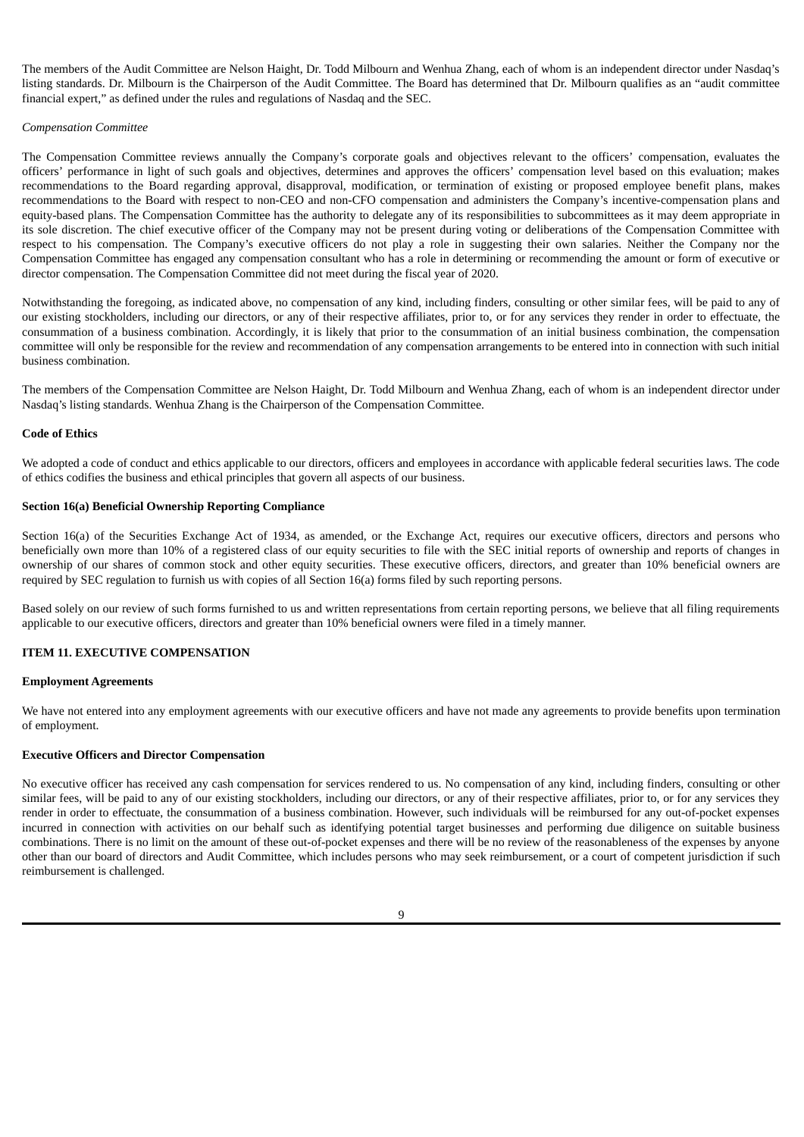The members of the Audit Committee are Nelson Haight, Dr. Todd Milbourn and Wenhua Zhang, each of whom is an independent director under Nasdaq's listing standards. Dr. Milbourn is the Chairperson of the Audit Committee. The Board has determined that Dr. Milbourn qualifies as an "audit committee financial expert," as defined under the rules and regulations of Nasdaq and the SEC.

# *Compensation Committee*

The Compensation Committee reviews annually the Company's corporate goals and objectives relevant to the officers' compensation, evaluates the officers' performance in light of such goals and objectives, determines and approves the officers' compensation level based on this evaluation; makes recommendations to the Board regarding approval, disapproval, modification, or termination of existing or proposed employee benefit plans, makes recommendations to the Board with respect to non-CEO and non-CFO compensation and administers the Company's incentive-compensation plans and equity-based plans. The Compensation Committee has the authority to delegate any of its responsibilities to subcommittees as it may deem appropriate in its sole discretion. The chief executive officer of the Company may not be present during voting or deliberations of the Compensation Committee with respect to his compensation. The Company's executive officers do not play a role in suggesting their own salaries. Neither the Company nor the Compensation Committee has engaged any compensation consultant who has a role in determining or recommending the amount or form of executive or director compensation. The Compensation Committee did not meet during the fiscal year of 2020.

Notwithstanding the foregoing, as indicated above, no compensation of any kind, including finders, consulting or other similar fees, will be paid to any of our existing stockholders, including our directors, or any of their respective affiliates, prior to, or for any services they render in order to effectuate, the consummation of a business combination. Accordingly, it is likely that prior to the consummation of an initial business combination, the compensation committee will only be responsible for the review and recommendation of any compensation arrangements to be entered into in connection with such initial business combination.

The members of the Compensation Committee are Nelson Haight, Dr. Todd Milbourn and Wenhua Zhang, each of whom is an independent director under Nasdaq's listing standards. Wenhua Zhang is the Chairperson of the Compensation Committee.

### **Code of Ethics**

We adopted a code of conduct and ethics applicable to our directors, officers and employees in accordance with applicable federal securities laws. The code of ethics codifies the business and ethical principles that govern all aspects of our business.

# **Section 16(a) Beneficial Ownership Reporting Compliance**

Section 16(a) of the Securities Exchange Act of 1934, as amended, or the Exchange Act, requires our executive officers, directors and persons who beneficially own more than 10% of a registered class of our equity securities to file with the SEC initial reports of ownership and reports of changes in ownership of our shares of common stock and other equity securities. These executive officers, directors, and greater than 10% beneficial owners are required by SEC regulation to furnish us with copies of all Section 16(a) forms filed by such reporting persons.

Based solely on our review of such forms furnished to us and written representations from certain reporting persons, we believe that all filing requirements applicable to our executive officers, directors and greater than 10% beneficial owners were filed in a timely manner.

## <span id="page-11-0"></span>**ITEM 11. EXECUTIVE COMPENSATION**

#### **Employment Agreements**

We have not entered into any employment agreements with our executive officers and have not made any agreements to provide benefits upon termination of employment.

# **Executive Officers and Director Compensation**

No executive officer has received any cash compensation for services rendered to us. No compensation of any kind, including finders, consulting or other similar fees, will be paid to any of our existing stockholders, including our directors, or any of their respective affiliates, prior to, or for any services they render in order to effectuate, the consummation of a business combination. However, such individuals will be reimbursed for any out-of-pocket expenses incurred in connection with activities on our behalf such as identifying potential target businesses and performing due diligence on suitable business combinations. There is no limit on the amount of these out-of-pocket expenses and there will be no review of the reasonableness of the expenses by anyone other than our board of directors and Audit Committee, which includes persons who may seek reimbursement, or a court of competent jurisdiction if such reimbursement is challenged.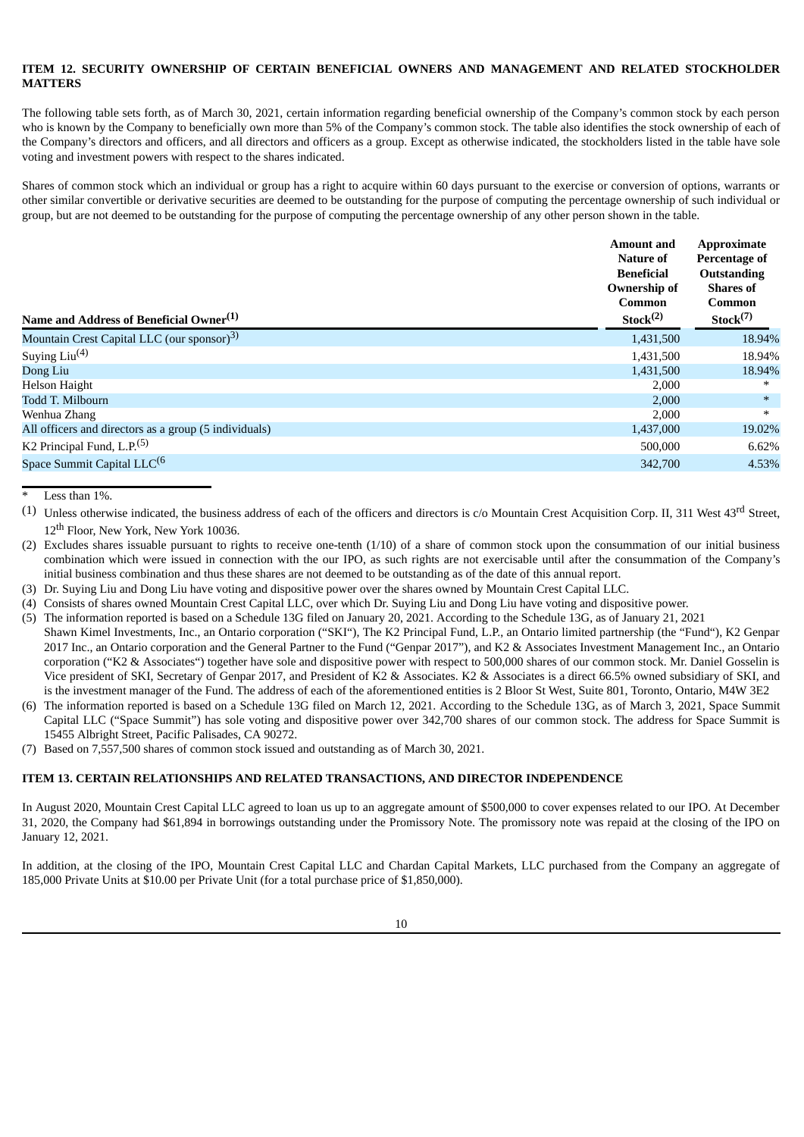# <span id="page-12-0"></span>**ITEM 12. SECURITY OWNERSHIP OF CERTAIN BENEFICIAL OWNERS AND MANAGEMENT AND RELATED STOCKHOLDER MATTERS**

The following table sets forth, as of March 30, 2021, certain information regarding beneficial ownership of the Company's common stock by each person who is known by the Company to beneficially own more than 5% of the Company's common stock. The table also identifies the stock ownership of each of the Company's directors and officers, and all directors and officers as a group. Except as otherwise indicated, the stockholders listed in the table have sole voting and investment powers with respect to the shares indicated.

Shares of common stock which an individual or group has a right to acquire within 60 days pursuant to the exercise or conversion of options, warrants or other similar convertible or derivative securities are deemed to be outstanding for the purpose of computing the percentage ownership of such individual or group, but are not deemed to be outstanding for the purpose of computing the percentage ownership of any other person shown in the table.

| Ownership of<br>Name and Address of Beneficial Owner <sup>(1)</sup> |           | Approximate<br>Percentage of<br><b>Outstanding</b><br><b>Shares of</b><br>Common<br>Stock <sup>(7)</sup> |  |
|---------------------------------------------------------------------|-----------|----------------------------------------------------------------------------------------------------------|--|
| Mountain Crest Capital LLC (our sponsor) <sup>3)</sup>              | 1,431,500 | 18.94%                                                                                                   |  |
| Suying $Liu(4)$                                                     | 1,431,500 | 18.94%                                                                                                   |  |
| Dong Liu                                                            | 1,431,500 | 18.94%                                                                                                   |  |
| Helson Haight                                                       | 2,000     | $*$                                                                                                      |  |
| Todd T. Milbourn                                                    | 2,000     | $\ast$                                                                                                   |  |
| Wenhua Zhang                                                        | 2,000     | $\ast$                                                                                                   |  |
| All officers and directors as a group (5 individuals)               | 1,437,000 | 19.02%                                                                                                   |  |
| K2 Principal Fund, L.P. <sup>(5)</sup>                              | 500,000   | 6.62%                                                                                                    |  |
| Space Summit Capital LLC <sup>(6</sup>                              | 342,700   | 4.53%                                                                                                    |  |
|                                                                     |           |                                                                                                          |  |

Less than 1%.

- (2) Excludes shares issuable pursuant to rights to receive one-tenth (1/10) of a share of common stock upon the consummation of our initial business combination which were issued in connection with the our IPO, as such rights are not exercisable until after the consummation of the Company's initial business combination and thus these shares are not deemed to be outstanding as of the date of this annual report.
- (3) Dr. Suying Liu and Dong Liu have voting and dispositive power over the shares owned by Mountain Crest Capital LLC.
- (4) Consists of shares owned Mountain Crest Capital LLC, over which Dr. Suying Liu and Dong Liu have voting and dispositive power.
- (5) The information reported is based on a Schedule 13G filed on January 20, 2021. According to the Schedule 13G, as of January 21, 2021 Shawn Kimel Investments, Inc., an Ontario corporation ("SKI"), The K2 Principal Fund, L.P., an Ontario limited partnership (the "Fund"), K2 Genpar 2017 Inc., an Ontario corporation and the General Partner to the Fund ("Genpar 2017"), and K2 & Associates Investment Management Inc., an Ontario corporation ("K2 & Associates") together have sole and dispositive power with respect to 500,000 shares of our common stock. Mr. Daniel Gosselin is Vice president of SKI, Secretary of Genpar 2017, and President of K2 & Associates. K2 & Associates is a direct 66.5% owned subsidiary of SKI, and is the investment manager of the Fund. The address of each of the aforementioned entities is 2 Bloor St West, Suite 801, Toronto, Ontario, M4W 3E2
- (6) The information reported is based on a Schedule 13G filed on March 12, 2021. According to the Schedule 13G, as of March 3, 2021, Space Summit Capital LLC ("Space Summit") has sole voting and dispositive power over 342,700 shares of our common stock. The address for Space Summit is 15455 Albright Street, Pacific Palisades, CA 90272.
- (7) Based on 7,557,500 shares of common stock issued and outstanding as of March 30, 2021.

# <span id="page-12-1"></span>**ITEM 13. CERTAIN RELATIONSHIPS AND RELATED TRANSACTIONS, AND DIRECTOR INDEPENDENCE**

In August 2020, Mountain Crest Capital LLC agreed to loan us up to an aggregate amount of \$500,000 to cover expenses related to our IPO. At December 31, 2020, the Company had \$61,894 in borrowings outstanding under the Promissory Note. The promissory note was repaid at the closing of the IPO on January 12, 2021.

In addition, at the closing of the IPO, Mountain Crest Capital LLC and Chardan Capital Markets, LLC purchased from the Company an aggregate of 185,000 Private Units at \$10.00 per Private Unit (for a total purchase price of \$1,850,000).

<sup>(1)</sup> Unless otherwise indicated, the business address of each of the officers and directors is  $c$  Mountain Crest Acquisition Corp. II, 311 West 43<sup>rd</sup> Street, 12 th Floor, New York, New York 10036.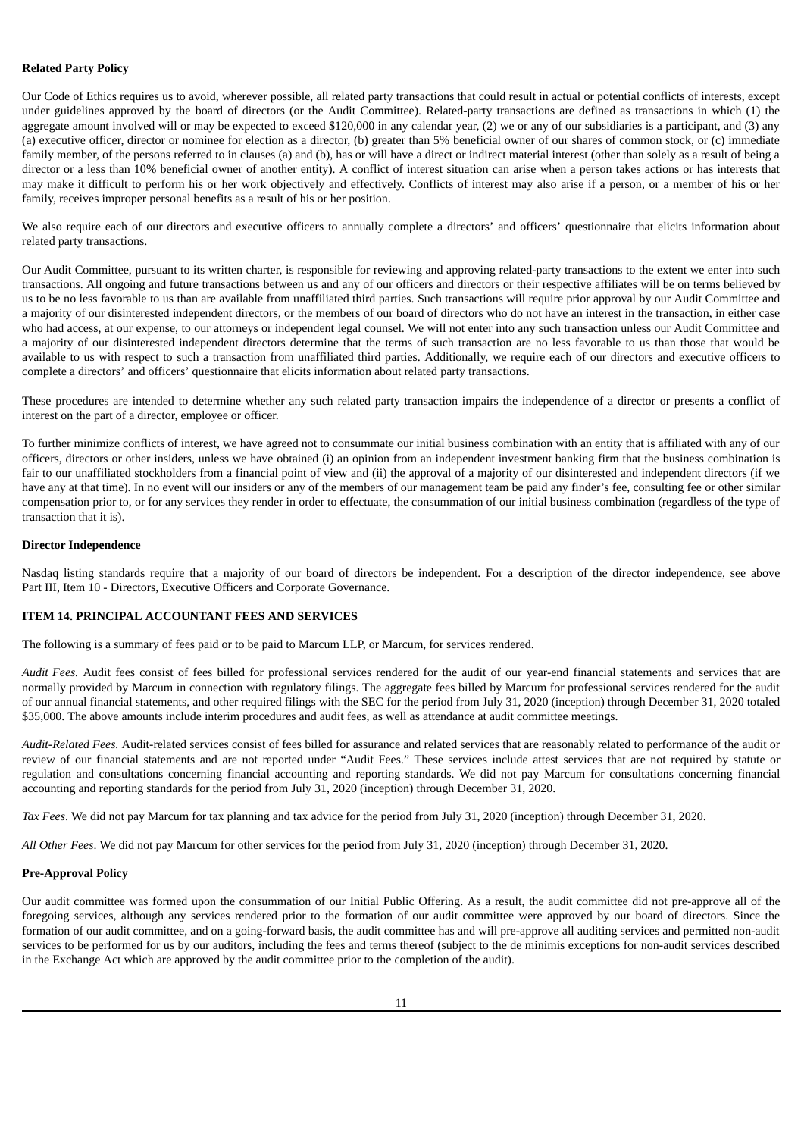# **Related Party Policy**

Our Code of Ethics requires us to avoid, wherever possible, all related party transactions that could result in actual or potential conflicts of interests, except under guidelines approved by the board of directors (or the Audit Committee). Related-party transactions are defined as transactions in which (1) the aggregate amount involved will or may be expected to exceed \$120,000 in any calendar year, (2) we or any of our subsidiaries is a participant, and (3) any (a) executive officer, director or nominee for election as a director, (b) greater than 5% beneficial owner of our shares of common stock, or (c) immediate family member, of the persons referred to in clauses (a) and (b), has or will have a direct or indirect material interest (other than solely as a result of being a director or a less than 10% beneficial owner of another entity). A conflict of interest situation can arise when a person takes actions or has interests that may make it difficult to perform his or her work objectively and effectively. Conflicts of interest may also arise if a person, or a member of his or her family, receives improper personal benefits as a result of his or her position.

We also require each of our directors and executive officers to annually complete a directors' and officers' questionnaire that elicits information about related party transactions.

Our Audit Committee, pursuant to its written charter, is responsible for reviewing and approving related-party transactions to the extent we enter into such transactions. All ongoing and future transactions between us and any of our officers and directors or their respective affiliates will be on terms believed by us to be no less favorable to us than are available from unaffiliated third parties. Such transactions will require prior approval by our Audit Committee and a majority of our disinterested independent directors, or the members of our board of directors who do not have an interest in the transaction, in either case who had access, at our expense, to our attorneys or independent legal counsel. We will not enter into any such transaction unless our Audit Committee and a majority of our disinterested independent directors determine that the terms of such transaction are no less favorable to us than those that would be available to us with respect to such a transaction from unaffiliated third parties. Additionally, we require each of our directors and executive officers to complete a directors' and officers' questionnaire that elicits information about related party transactions.

These procedures are intended to determine whether any such related party transaction impairs the independence of a director or presents a conflict of interest on the part of a director, employee or officer.

To further minimize conflicts of interest, we have agreed not to consummate our initial business combination with an entity that is affiliated with any of our officers, directors or other insiders, unless we have obtained (i) an opinion from an independent investment banking firm that the business combination is fair to our unaffiliated stockholders from a financial point of view and (ii) the approval of a majority of our disinterested and independent directors (if we have any at that time). In no event will our insiders or any of the members of our management team be paid any finder's fee, consulting fee or other similar compensation prior to, or for any services they render in order to effectuate, the consummation of our initial business combination (regardless of the type of transaction that it is).

### **Director Independence**

Nasdaq listing standards require that a majority of our board of directors be independent. For a description of the director independence, see above Part III, Item 10 - Directors, Executive Officers and Corporate Governance.

# <span id="page-13-0"></span>**ITEM 14. PRINCIPAL ACCOUNTANT FEES AND SERVICES**

The following is a summary of fees paid or to be paid to Marcum LLP, or Marcum, for services rendered.

*Audit Fees.* Audit fees consist of fees billed for professional services rendered for the audit of our year-end financial statements and services that are normally provided by Marcum in connection with regulatory filings. The aggregate fees billed by Marcum for professional services rendered for the audit of our annual financial statements, and other required filings with the SEC for the period from July 31, 2020 (inception) through December 31, 2020 totaled \$35,000. The above amounts include interim procedures and audit fees, as well as attendance at audit committee meetings.

*Audit-Related Fees.* Audit-related services consist of fees billed for assurance and related services that are reasonably related to performance of the audit or review of our financial statements and are not reported under "Audit Fees." These services include attest services that are not required by statute or regulation and consultations concerning financial accounting and reporting standards. We did not pay Marcum for consultations concerning financial accounting and reporting standards for the period from July 31, 2020 (inception) through December 31, 2020.

*Tax Fees*. We did not pay Marcum for tax planning and tax advice for the period from July 31, 2020 (inception) through December 31, 2020.

*All Other Fees*. We did not pay Marcum for other services for the period from July 31, 2020 (inception) through December 31, 2020.

#### **Pre-Approval Policy**

Our audit committee was formed upon the consummation of our Initial Public Offering. As a result, the audit committee did not pre-approve all of the foregoing services, although any services rendered prior to the formation of our audit committee were approved by our board of directors. Since the formation of our audit committee, and on a going-forward basis, the audit committee has and will pre-approve all auditing services and permitted non-audit services to be performed for us by our auditors, including the fees and terms thereof (subject to the de minimis exceptions for non-audit services described in the Exchange Act which are approved by the audit committee prior to the completion of the audit).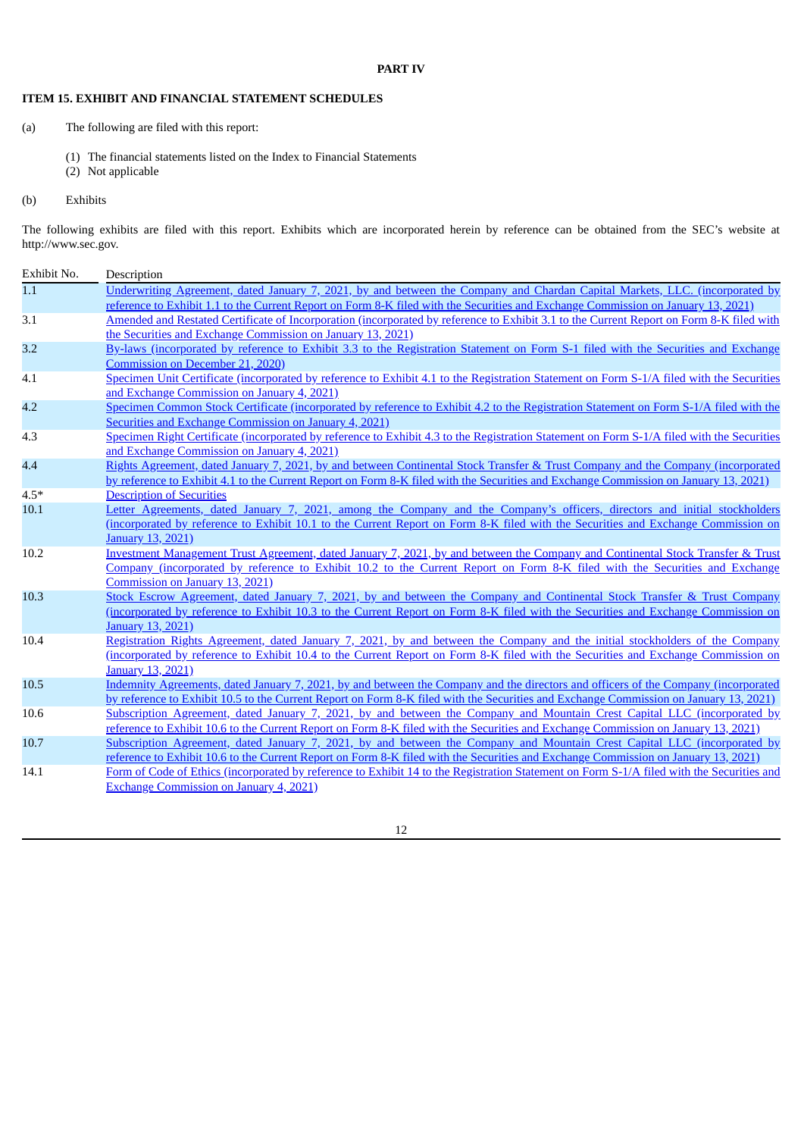# **PART IV**

# <span id="page-14-1"></span><span id="page-14-0"></span>**ITEM 15. EXHIBIT AND FINANCIAL STATEMENT SCHEDULES**

- (a) The following are filed with this report:
	- (1) The financial statements listed on the Index to Financial Statements
	- (2) Not applicable

# (b) Exhibits

The following exhibits are filed with this report. Exhibits which are incorporated herein by reference can be obtained from the SEC's website at http://www.sec.gov.

| Exhibit No.    | Description                                                                                                                                                                                                                                                              |
|----------------|--------------------------------------------------------------------------------------------------------------------------------------------------------------------------------------------------------------------------------------------------------------------------|
| 1.1            | Underwriting Agreement, dated January 7, 2021, by and between the Company and Chardan Capital Markets, LLC. (incorporated by                                                                                                                                             |
|                | reference to Exhibit 1.1 to the Current Report on Form 8-K filed with the Securities and Exchange Commission on January 13, 2021)                                                                                                                                        |
| 3.1            | Amended and Restated Certificate of Incorporation (incorporated by reference to Exhibit 3.1 to the Current Report on Form 8-K filed with                                                                                                                                 |
|                | the Securities and Exchange Commission on January 13, 2021)                                                                                                                                                                                                              |
| 3.2            | By-laws (incorporated by reference to Exhibit 3.3 to the Registration Statement on Form S-1 filed with the Securities and Exchange                                                                                                                                       |
|                | Commission on December 21, 2020)                                                                                                                                                                                                                                         |
| 4.1            | Specimen Unit Certificate (incorporated by reference to Exhibit 4.1 to the Registration Statement on Form S-1/A filed with the Securities                                                                                                                                |
|                | and Exchange Commission on January 4, 2021)                                                                                                                                                                                                                              |
| 4.2            | Specimen Common Stock Certificate (incorporated by reference to Exhibit 4.2 to the Registration Statement on Form S-1/A filed with the                                                                                                                                   |
|                | Securities and Exchange Commission on January 4, 2021)                                                                                                                                                                                                                   |
| 4.3            | Specimen Right Certificate (incorporated by reference to Exhibit 4.3 to the Registration Statement on Form S-1/A filed with the Securities                                                                                                                               |
|                | and Exchange Commission on January 4, 2021)                                                                                                                                                                                                                              |
| 4.4            | Rights Agreement, dated January 7, 2021, by and between Continental Stock Transfer & Trust Company and the Company (incorporated<br>by reference to Exhibit 4.1 to the Current Report on Form 8-K filed with the Securities and Exchange Commission on January 13, 2021) |
|                |                                                                                                                                                                                                                                                                          |
| $4.5*$<br>10.1 | <b>Description of Securities</b><br>Letter Agreements, dated January 7, 2021, among the Company and the Company's officers, directors and initial stockholders                                                                                                           |
|                | (incorporated by reference to Exhibit 10.1 to the Current Report on Form 8-K filed with the Securities and Exchange Commission on                                                                                                                                        |
|                | January 13, 2021)                                                                                                                                                                                                                                                        |
| 10.2           | Investment Management Trust Agreement, dated January 7, 2021, by and between the Company and Continental Stock Transfer & Trust                                                                                                                                          |
|                | Company (incorporated by reference to Exhibit 10.2 to the Current Report on Form 8-K filed with the Securities and Exchange                                                                                                                                              |
|                | Commission on January 13, 2021)                                                                                                                                                                                                                                          |
| 10.3           | Stock Escrow Agreement, dated January 7, 2021, by and between the Company and Continental Stock Transfer & Trust Company                                                                                                                                                 |
|                | (incorporated by reference to Exhibit 10.3 to the Current Report on Form 8-K filed with the Securities and Exchange Commission on                                                                                                                                        |
|                | <b>January 13, 2021)</b>                                                                                                                                                                                                                                                 |
| 10.4           | Registration Rights Agreement, dated January 7, 2021, by and between the Company and the initial stockholders of the Company                                                                                                                                             |
|                | (incorporated by reference to Exhibit 10.4 to the Current Report on Form 8-K filed with the Securities and Exchange Commission on                                                                                                                                        |
|                | January 13, 2021)                                                                                                                                                                                                                                                        |
| 10.5           | Indemnity Agreements, dated January 7, 2021, by and between the Company and the directors and officers of the Company (incorporated                                                                                                                                      |
|                | by reference to Exhibit 10.5 to the Current Report on Form 8-K filed with the Securities and Exchange Commission on January 13, 2021)                                                                                                                                    |
| 10.6           | Subscription Agreement, dated January 7, 2021, by and between the Company and Mountain Crest Capital LLC (incorporated by                                                                                                                                                |
|                | reference to Exhibit 10.6 to the Current Report on Form 8-K filed with the Securities and Exchange Commission on January 13, 2021)                                                                                                                                       |
| 10.7           | Subscription Agreement, dated January 7, 2021, by and between the Company and Mountain Crest Capital LLC (incorporated by                                                                                                                                                |
|                | reference to Exhibit 10.6 to the Current Report on Form 8-K filed with the Securities and Exchange Commission on January 13, 2021)                                                                                                                                       |
| 14.1           | Form of Code of Ethics (incorporated by reference to Exhibit 14 to the Registration Statement on Form S-1/A filed with the Securities and                                                                                                                                |
|                | <b>Exchange Commission on January 4, 2021)</b>                                                                                                                                                                                                                           |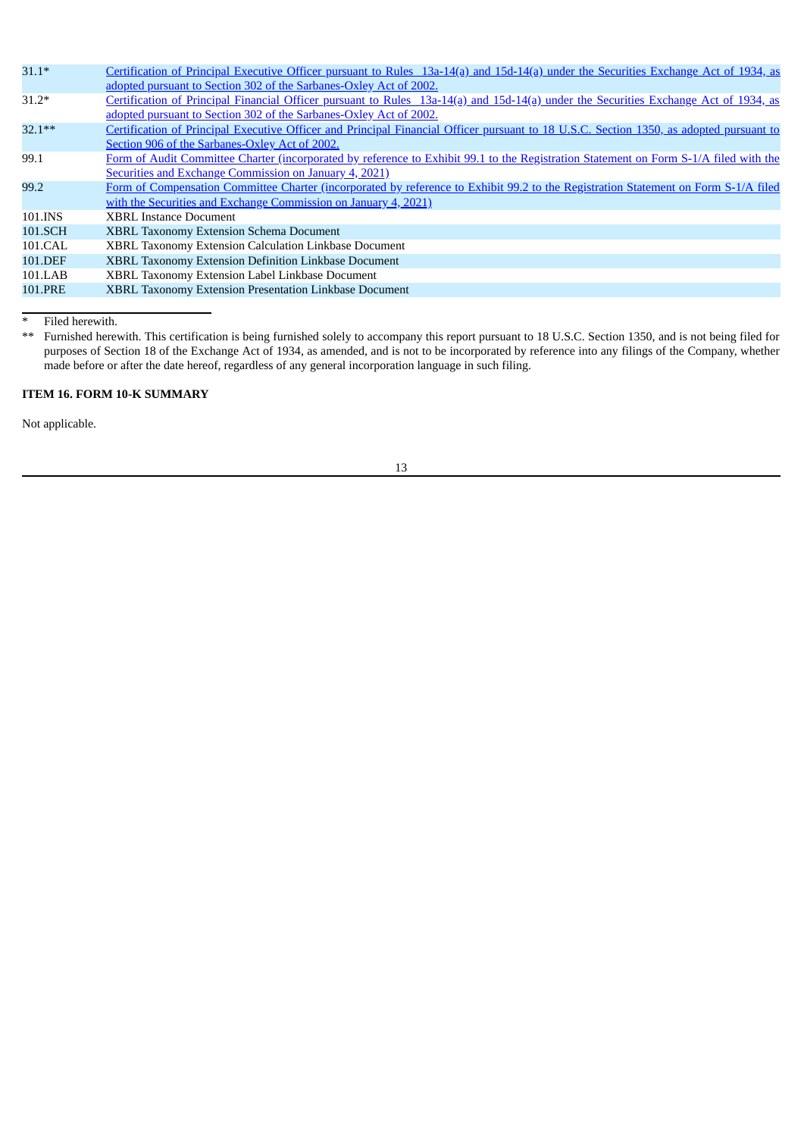| $31.1*$  | Certification of Principal Executive Officer pursuant to Rules 13a-14(a) and 15d-14(a) under the Securities Exchange Act of 1934, as    |
|----------|-----------------------------------------------------------------------------------------------------------------------------------------|
|          | adopted pursuant to Section 302 of the Sarbanes-Oxley Act of 2002.                                                                      |
| $31.2*$  | Certification of Principal Financial Officer pursuant to Rules 13a-14(a) and 15d-14(a) under the Securities Exchange Act of 1934, as    |
|          | adopted pursuant to Section 302 of the Sarbanes-Oxley Act of 2002.                                                                      |
| $32.1**$ | Certification of Principal Executive Officer and Principal Financial Officer pursuant to 18 U.S.C. Section 1350, as adopted pursuant to |
|          | Section 906 of the Sarbanes-Oxley Act of 2002.                                                                                          |
| 99.1     | Form of Audit Committee Charter (incorporated by reference to Exhibit 99.1 to the Registration Statement on Form S-1/A filed with the   |
|          | Securities and Exchange Commission on January 4, 2021)                                                                                  |
| 99.2     | Form of Compensation Committee Charter (incorporated by reference to Exhibit 99.2 to the Registration Statement on Form S-1/A filed     |
|          | with the Securities and Exchange Commission on January 4, 2021)                                                                         |
| 101.INS  | <b>XBRL Instance Document</b>                                                                                                           |
| 101.SCH  | <b>XBRL Taxonomy Extension Schema Document</b>                                                                                          |
| 101.CAL  | XBRL Taxonomy Extension Calculation Linkbase Document                                                                                   |
| 101.DEF  | XBRL Taxonomy Extension Definition Linkbase Document                                                                                    |
| 101.LAB  | XBRL Taxonomy Extension Label Linkbase Document                                                                                         |
| 101.PRE  | XBRL Taxonomy Extension Presentation Linkbase Document                                                                                  |
|          |                                                                                                                                         |

\* Filed herewith.

\*\* Furnished herewith. This certification is being furnished solely to accompany this report pursuant to 18 U.S.C. Section 1350, and is not being filed for purposes of Section 18 of the Exchange Act of 1934, as amended, and is not to be incorporated by reference into any filings of the Company, whether made before or after the date hereof, regardless of any general incorporation language in such filing.

# <span id="page-15-0"></span>**ITEM 16. FORM 10-K SUMMARY**

Not applicable.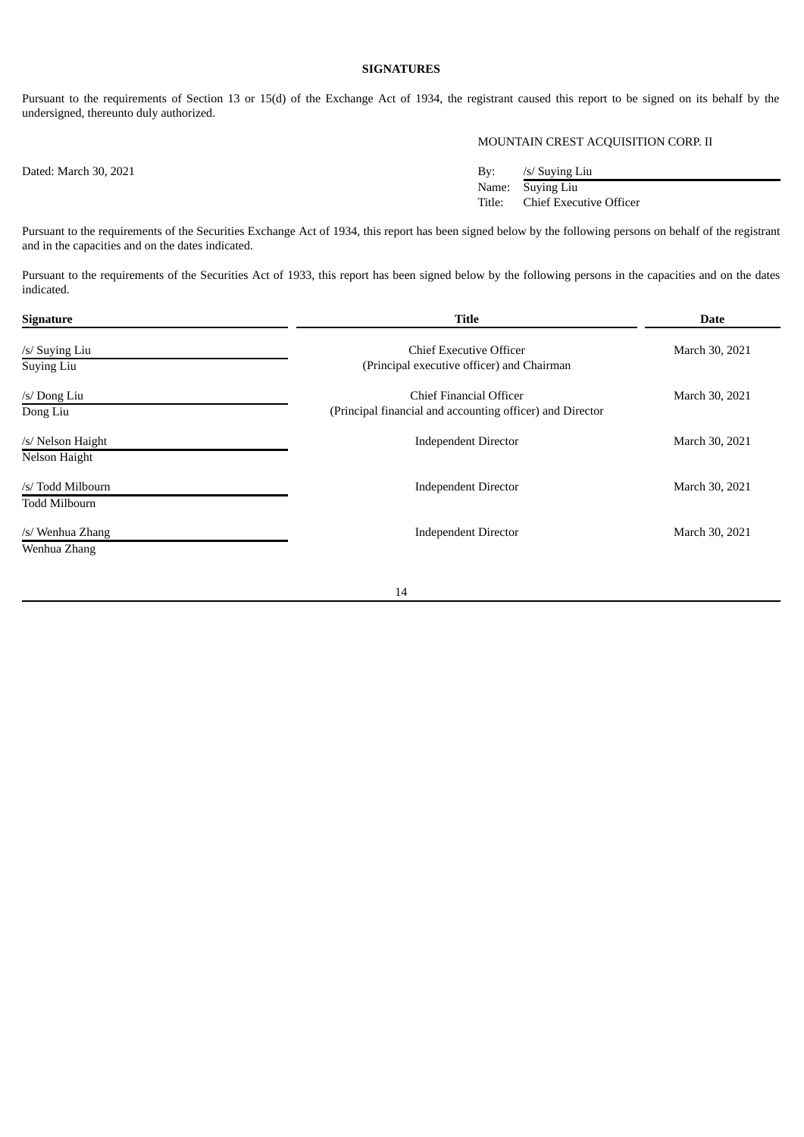# **SIGNATURES**

Pursuant to the requirements of Section 13 or 15(d) of the Exchange Act of 1934, the registrant caused this report to be signed on its behalf by the undersigned, thereunto duly authorized.

# MOUNTAIN CREST ACQUISITION CORP. II

Dated: March 30, 2021 By: /s/ Suying Liu Name: Suying Liu Title: Chief Executive Officer

Pursuant to the requirements of the Securities Exchange Act of 1934, this report has been signed below by the following persons on behalf of the registrant and in the capacities and on the dates indicated.

Pursuant to the requirements of the Securities Act of 1933, this report has been signed below by the following persons in the capacities and on the dates indicated.

| Signature                          | <b>Title</b>                                                                         | <b>Date</b>    |  |
|------------------------------------|--------------------------------------------------------------------------------------|----------------|--|
| /s/ Suying Liu<br>Suying Liu       | Chief Executive Officer<br>(Principal executive officer) and Chairman                | March 30, 2021 |  |
| /s/ Dong Liu<br>Dong Liu           | Chief Financial Officer<br>(Principal financial and accounting officer) and Director | March 30, 2021 |  |
| /s/ Nelson Haight<br>Nelson Haight | <b>Independent Director</b>                                                          | March 30, 2021 |  |
| /s/ Todd Milbourn<br>Todd Milbourn | <b>Independent Director</b>                                                          | March 30, 2021 |  |
| /s/ Wenhua Zhang<br>Wenhua Zhang   | <b>Independent Director</b>                                                          | March 30, 2021 |  |
|                                    |                                                                                      |                |  |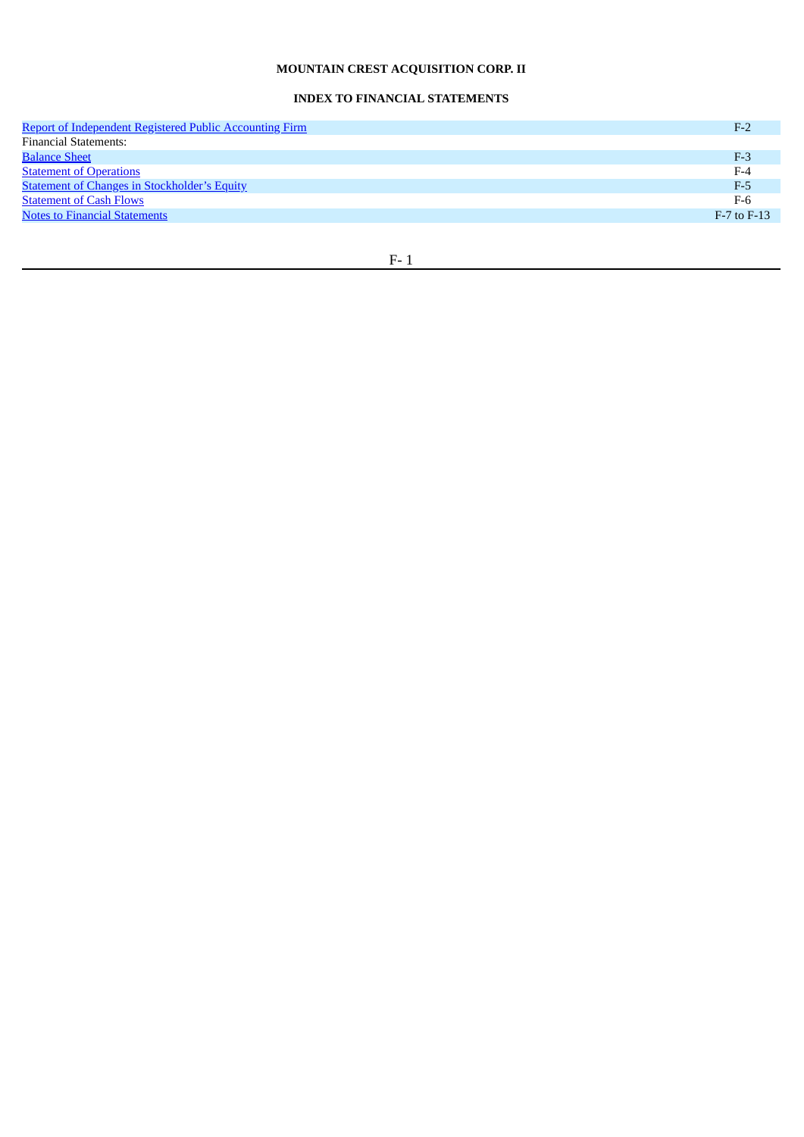# **MOUNTAIN CREST ACQUISITION CORP. II**

# **INDEX TO FINANCIAL STATEMENTS**

| <b>Report of Independent Registered Public Accounting Firm</b> | $F-2$           |
|----------------------------------------------------------------|-----------------|
| <b>Financial Statements:</b>                                   |                 |
| <b>Balance Sheet</b>                                           | $F-3$           |
| <b>Statement of Operations</b>                                 | $F-4$           |
| <b>Statement of Changes in Stockholder's Equity</b>            | $F-5$           |
| <b>Statement of Cash Flows</b>                                 | F-6             |
| <b>Notes to Financial Statements</b>                           | $F-7$ to $F-13$ |
|                                                                |                 |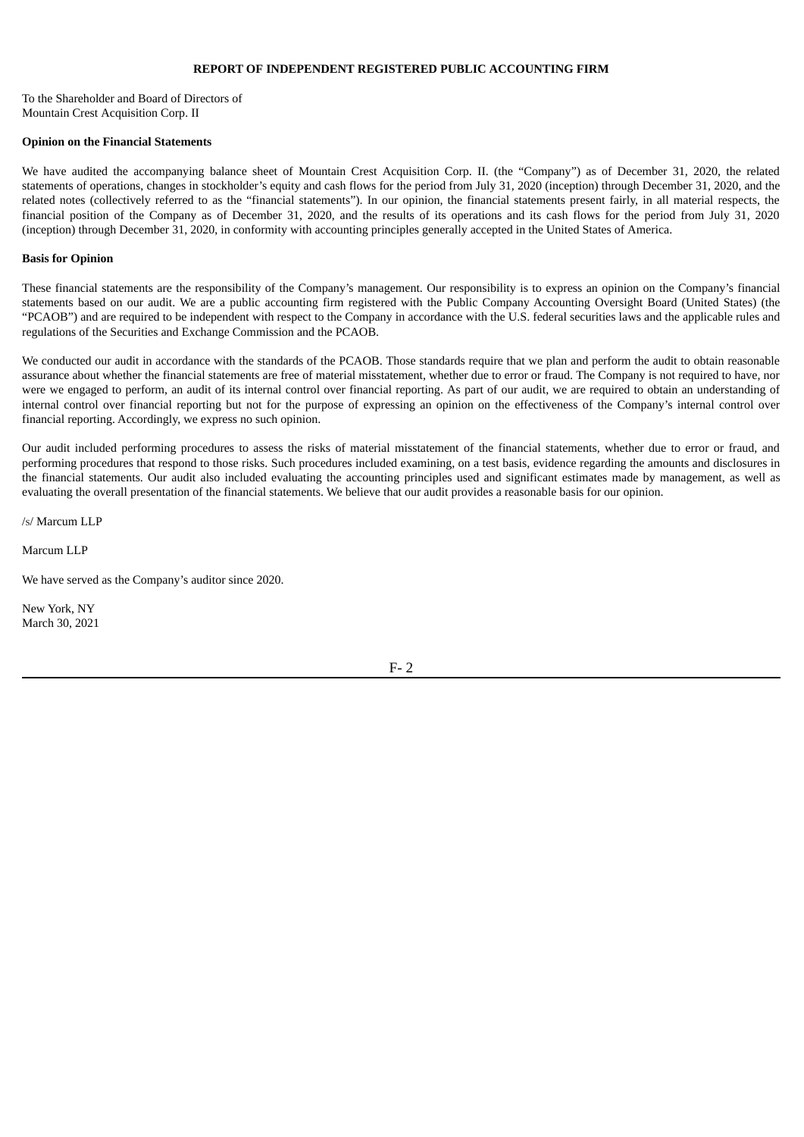### **REPORT OF INDEPENDENT REGISTERED PUBLIC ACCOUNTING FIRM**

<span id="page-18-0"></span>To the Shareholder and Board of Directors of Mountain Crest Acquisition Corp. II

#### **Opinion on the Financial Statements**

We have audited the accompanying balance sheet of Mountain Crest Acquisition Corp. II. (the "Company") as of December 31, 2020, the related statements of operations, changes in stockholder's equity and cash flows for the period from July 31, 2020 (inception) through December 31, 2020, and the related notes (collectively referred to as the "financial statements"). In our opinion, the financial statements present fairly, in all material respects, the financial position of the Company as of December 31, 2020, and the results of its operations and its cash flows for the period from July 31, 2020 (inception) through December 31, 2020, in conformity with accounting principles generally accepted in the United States of America.

### **Basis for Opinion**

These financial statements are the responsibility of the Company's management. Our responsibility is to express an opinion on the Company's financial statements based on our audit. We are a public accounting firm registered with the Public Company Accounting Oversight Board (United States) (the "PCAOB") and are required to be independent with respect to the Company in accordance with the U.S. federal securities laws and the applicable rules and regulations of the Securities and Exchange Commission and the PCAOB.

We conducted our audit in accordance with the standards of the PCAOB. Those standards require that we plan and perform the audit to obtain reasonable assurance about whether the financial statements are free of material misstatement, whether due to error or fraud. The Company is not required to have, nor were we engaged to perform, an audit of its internal control over financial reporting. As part of our audit, we are required to obtain an understanding of internal control over financial reporting but not for the purpose of expressing an opinion on the effectiveness of the Company's internal control over financial reporting. Accordingly, we express no such opinion.

Our audit included performing procedures to assess the risks of material misstatement of the financial statements, whether due to error or fraud, and performing procedures that respond to those risks. Such procedures included examining, on a test basis, evidence regarding the amounts and disclosures in the financial statements. Our audit also included evaluating the accounting principles used and significant estimates made by management, as well as evaluating the overall presentation of the financial statements. We believe that our audit provides a reasonable basis for our opinion.

/S/ Marcum LLP

Marcum LLP

We have served as the Company's auditor since 2020.

New York, NY March 30, 2021

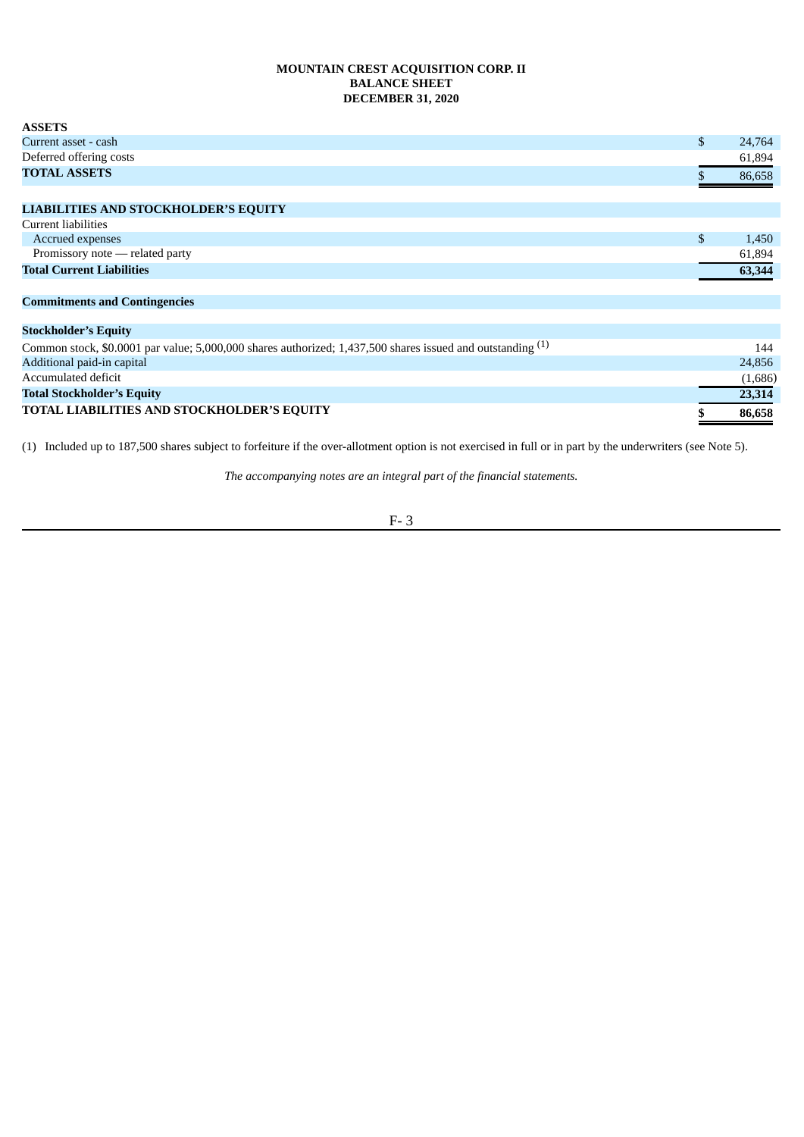# **MOUNTAIN CREST ACQUISITION CORP. II BALANCE SHEET DECEMBER 31, 2020**

<span id="page-19-0"></span>

| <b>ASSETS</b>                                                                                              |              |
|------------------------------------------------------------------------------------------------------------|--------------|
| Current asset - cash                                                                                       | \$<br>24,764 |
| Deferred offering costs                                                                                    | 61,894       |
| <b>TOTAL ASSETS</b>                                                                                        | 86,658       |
|                                                                                                            |              |
| <b>LIABILITIES AND STOCKHOLDER'S EQUITY</b>                                                                |              |
| Current liabilities                                                                                        |              |
| Accrued expenses                                                                                           | \$<br>1,450  |
| Promissory note - related party                                                                            | 61,894       |
| <b>Total Current Liabilities</b>                                                                           | 63,344       |
| <b>Commitments and Contingencies</b>                                                                       |              |
|                                                                                                            |              |
| <b>Stockholder's Equity</b>                                                                                |              |
| Common stock, \$0.0001 par value; 5,000,000 shares authorized; 1,437,500 shares issued and outstanding (1) | 144          |
| Additional paid-in capital                                                                                 | 24,856       |
| Accumulated deficit                                                                                        | (1,000)      |

Accumulated deficit (1,686) **Total Stockholder's Equity 23,314 TOTAL LIABILITIES AND STOCKHOLDER'S EQUITY \$ 86,658**

(1) Included up to 187,500 shares subject to forfeiture if the over-allotment option is not exercised in full or in part by the underwriters (see Note 5).

*The accompanying notes are an integral part of the financial statements.*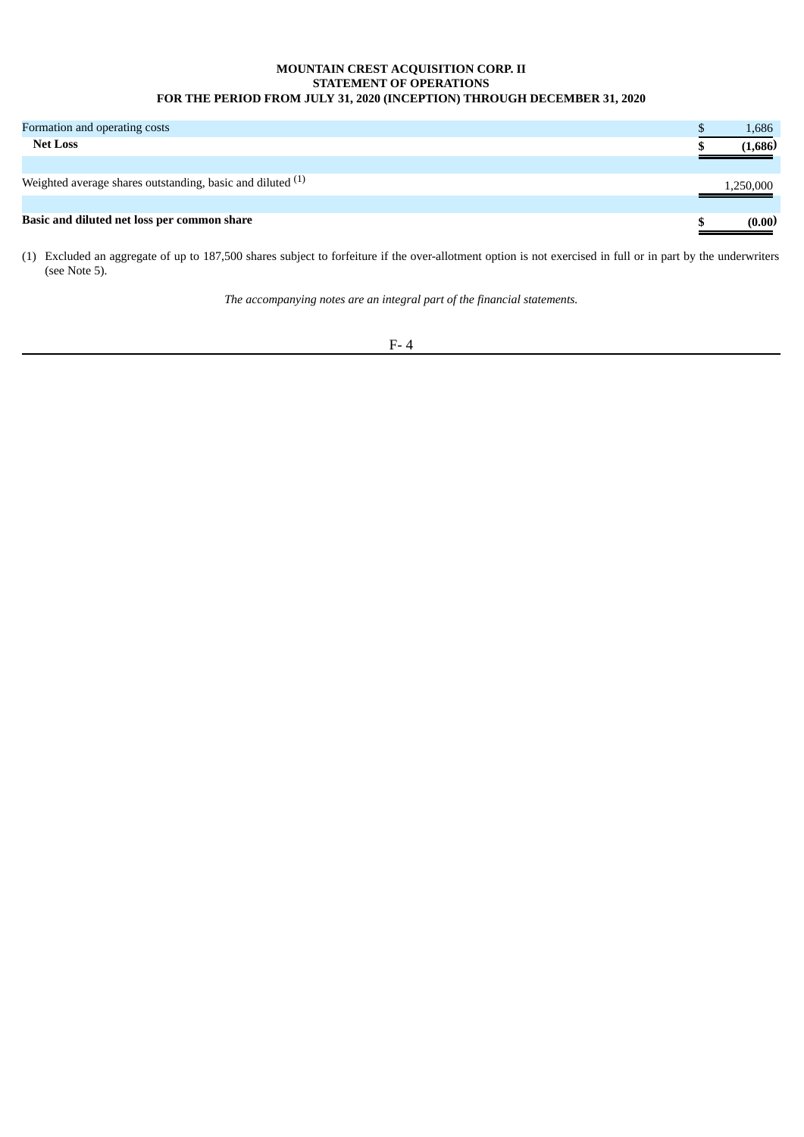# **MOUNTAIN CREST ACQUISITION CORP. II STATEMENT OF OPERATIONS FOR THE PERIOD FROM JULY 31, 2020 (INCEPTION) THROUGH DECEMBER 31, 2020**

<span id="page-20-0"></span>

| Formation and operating costs                                | 1,686     |
|--------------------------------------------------------------|-----------|
| <b>Net Loss</b>                                              | (1,686)   |
|                                                              |           |
| Weighted average shares outstanding, basic and diluted $(1)$ | 1,250,000 |
|                                                              |           |
| Basic and diluted net loss per common share                  | (0.00)    |

(1) Excluded an aggregate of up to 187,500 shares subject to forfeiture if the over-allotment option is not exercised in full or in part by the underwriters (see Note 5).

*The accompanying notes are an integral part of the financial statements.*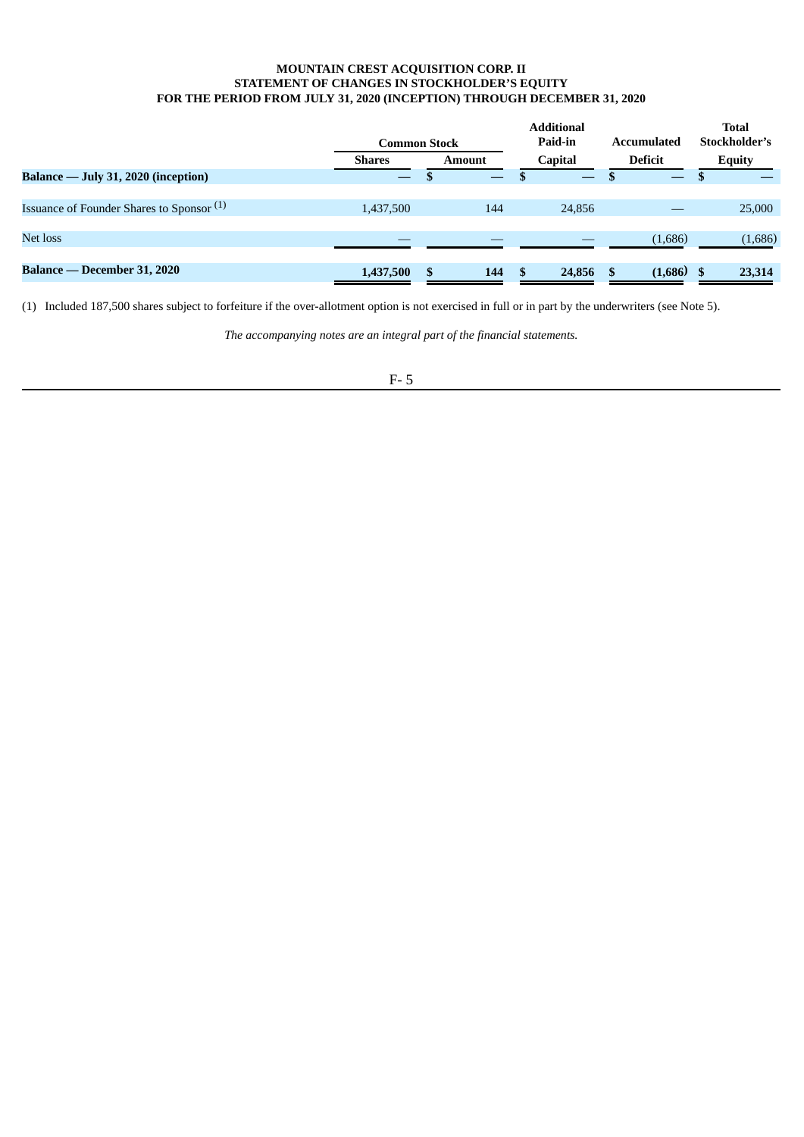# **MOUNTAIN CREST ACQUISITION CORP. II STATEMENT OF CHANGES IN STOCKHOLDER'S EQUITY FOR THE PERIOD FROM JULY 31, 2020 (INCEPTION) THROUGH DECEMBER 31, 2020**

<span id="page-21-0"></span>

|                                                      | <b>Common Stock</b> |    |               | <b>Additional</b><br>Paid-in |                | Accumulated |         | <b>Total</b><br>Stockholder's |               |  |
|------------------------------------------------------|---------------------|----|---------------|------------------------------|----------------|-------------|---------|-------------------------------|---------------|--|
|                                                      | <b>Shares</b>       |    | <b>Amount</b> |                              | <b>Capital</b> |             | Deficit |                               | <b>Equity</b> |  |
| Balance — July 31, 2020 (inception)                  | —                   |    |               |                              |                |             | —       |                               |               |  |
|                                                      |                     |    |               |                              |                |             |         |                               |               |  |
| Issuance of Founder Shares to Sponsor <sup>(1)</sup> | 1,437,500           |    | 144           |                              | 24,856         |             |         |                               | 25,000        |  |
|                                                      |                     |    |               |                              |                |             |         |                               |               |  |
| Net loss                                             |                     |    |               |                              |                |             | (1,686) |                               | (1,686)       |  |
|                                                      |                     |    |               |                              |                |             |         |                               |               |  |
| Balance — December 31, 2020                          | 1,437,500           | \$ | 144           | -S                           | 24,856         | \$.         | (1,686) |                               | 23,314        |  |

(1) Included 187,500 shares subject to forfeiture if the over-allotment option is not exercised in full or in part by the underwriters (see Note 5).

*The accompanying notes are an integral part of the financial statements.*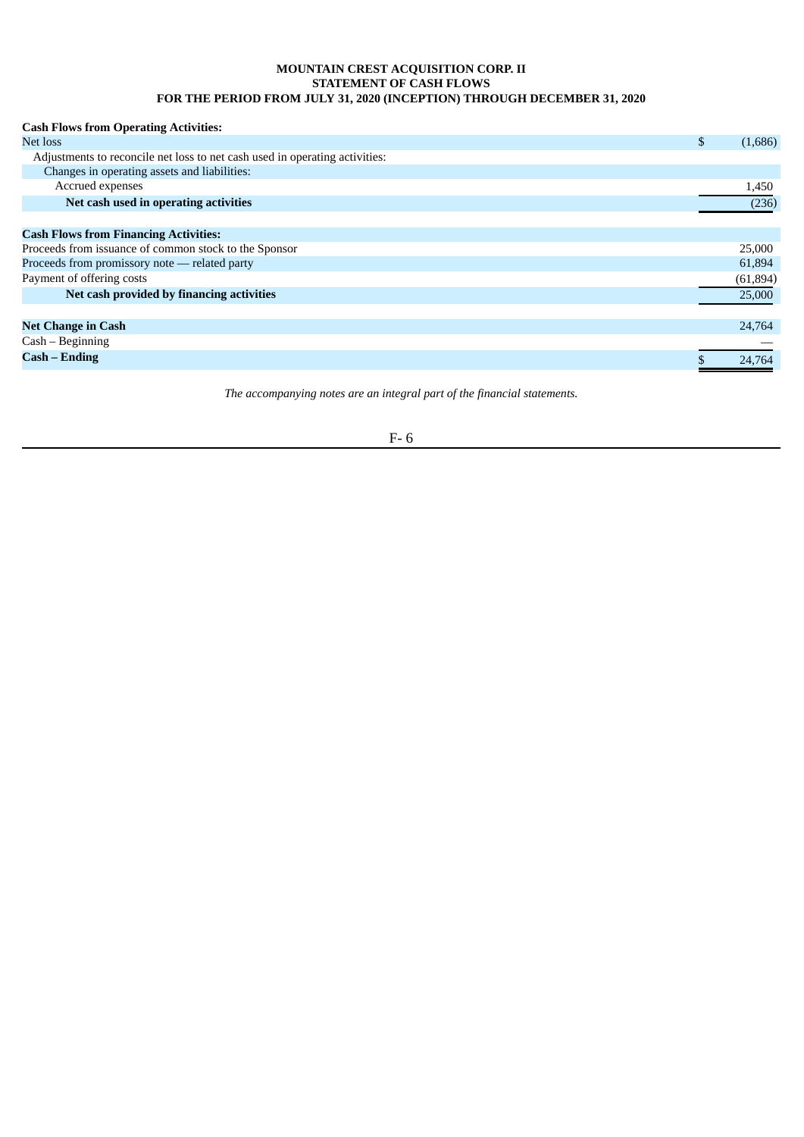# **MOUNTAIN CREST ACQUISITION CORP. II STATEMENT OF CASH FLOWS FOR THE PERIOD FROM JULY 31, 2020 (INCEPTION) THROUGH DECEMBER 31, 2020**

<span id="page-22-0"></span>

| <b>Cash Flows from Operating Activities:</b>                                |               |
|-----------------------------------------------------------------------------|---------------|
| Net loss                                                                    | \$<br>(1,686) |
| Adjustments to reconcile net loss to net cash used in operating activities: |               |
| Changes in operating assets and liabilities:                                |               |
| Accrued expenses                                                            | 1,450         |
| Net cash used in operating activities                                       | (236)         |
|                                                                             |               |
| <b>Cash Flows from Financing Activities:</b>                                |               |
| Proceeds from issuance of common stock to the Sponsor                       | 25,000        |
| Proceeds from promissory note - related party                               | 61,894        |
| Payment of offering costs                                                   | (61, 894)     |
| Net cash provided by financing activities                                   | 25,000        |
|                                                                             |               |
| <b>Net Change in Cash</b>                                                   | 24,764        |
| $Cash - Beginning$                                                          |               |
| <b>Cash – Ending</b>                                                        | 24.764        |
|                                                                             |               |

*The accompanying notes are an integral part of the financial statements.*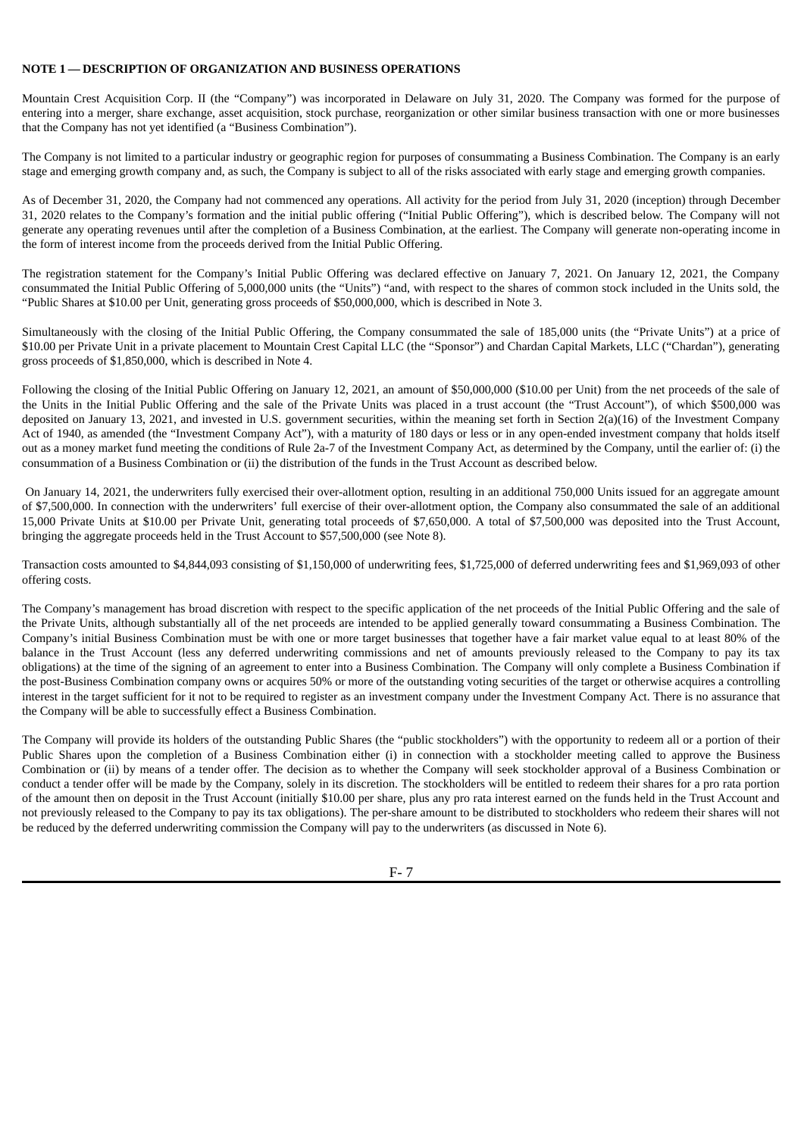# <span id="page-23-0"></span>**NOTE 1 — DESCRIPTION OF ORGANIZATION AND BUSINESS OPERATIONS**

Mountain Crest Acquisition Corp. II (the "Company") was incorporated in Delaware on July 31, 2020. The Company was formed for the purpose of entering into a merger, share exchange, asset acquisition, stock purchase, reorganization or other similar business transaction with one or more businesses that the Company has not yet identified (a "Business Combination").

The Company is not limited to a particular industry or geographic region for purposes of consummating a Business Combination. The Company is an early stage and emerging growth company and, as such, the Company is subject to all of the risks associated with early stage and emerging growth companies.

As of December 31, 2020, the Company had not commenced any operations. All activity for the period from July 31, 2020 (inception) through December 31, 2020 relates to the Company's formation and the initial public offering ("Initial Public Offering"), which is described below. The Company will not generate any operating revenues until after the completion of a Business Combination, at the earliest. The Company will generate non-operating income in the form of interest income from the proceeds derived from the Initial Public Offering.

The registration statement for the Company's Initial Public Offering was declared effective on January 7, 2021. On January 12, 2021, the Company consummated the Initial Public Offering of 5,000,000 units (the "Units") "and, with respect to the shares of common stock included in the Units sold, the "Public Shares at \$10.00 per Unit, generating gross proceeds of \$50,000,000, which is described in Note 3.

Simultaneously with the closing of the Initial Public Offering, the Company consummated the sale of 185,000 units (the "Private Units") at a price of \$10.00 per Private Unit in a private placement to Mountain Crest Capital LLC (the "Sponsor") and Chardan Capital Markets, LLC ("Chardan"), generating gross proceeds of \$1,850,000, which is described in Note 4.

Following the closing of the Initial Public Offering on January 12, 2021, an amount of \$50,000,000 (\$10.00 per Unit) from the net proceeds of the sale of the Units in the Initial Public Offering and the sale of the Private Units was placed in a trust account (the "Trust Account"), of which \$500,000 was deposited on January 13, 2021, and invested in U.S. government securities, within the meaning set forth in Section 2(a)(16) of the Investment Company Act of 1940, as amended (the "Investment Company Act"), with a maturity of 180 days or less or in any open-ended investment company that holds itself out as a money market fund meeting the conditions of Rule 2a-7 of the Investment Company Act, as determined by the Company, until the earlier of: (i) the consummation of a Business Combination or (ii) the distribution of the funds in the Trust Account as described below.

On January 14, 2021, the underwriters fully exercised their over-allotment option, resulting in an additional 750,000 Units issued for an aggregate amount of \$7,500,000. In connection with the underwriters' full exercise of their over-allotment option, the Company also consummated the sale of an additional 15,000 Private Units at \$10.00 per Private Unit, generating total proceeds of \$7,650,000. A total of \$7,500,000 was deposited into the Trust Account, bringing the aggregate proceeds held in the Trust Account to \$57,500,000 (see Note 8).

Transaction costs amounted to \$4,844,093 consisting of \$1,150,000 of underwriting fees, \$1,725,000 of deferred underwriting fees and \$1,969,093 of other offering costs.

The Company's management has broad discretion with respect to the specific application of the net proceeds of the Initial Public Offering and the sale of the Private Units, although substantially all of the net proceeds are intended to be applied generally toward consummating a Business Combination. The Company's initial Business Combination must be with one or more target businesses that together have a fair market value equal to at least 80% of the balance in the Trust Account (less any deferred underwriting commissions and net of amounts previously released to the Company to pay its tax obligations) at the time of the signing of an agreement to enter into a Business Combination. The Company will only complete a Business Combination if the post-Business Combination company owns or acquires 50% or more of the outstanding voting securities of the target or otherwise acquires a controlling interest in the target sufficient for it not to be required to register as an investment company under the Investment Company Act. There is no assurance that the Company will be able to successfully effect a Business Combination.

The Company will provide its holders of the outstanding Public Shares (the "public stockholders") with the opportunity to redeem all or a portion of their Public Shares upon the completion of a Business Combination either (i) in connection with a stockholder meeting called to approve the Business Combination or (ii) by means of a tender offer. The decision as to whether the Company will seek stockholder approval of a Business Combination or conduct a tender offer will be made by the Company, solely in its discretion. The stockholders will be entitled to redeem their shares for a pro rata portion of the amount then on deposit in the Trust Account (initially \$10.00 per share, plus any pro rata interest earned on the funds held in the Trust Account and not previously released to the Company to pay its tax obligations). The per-share amount to be distributed to stockholders who redeem their shares will not be reduced by the deferred underwriting commission the Company will pay to the underwriters (as discussed in Note 6).

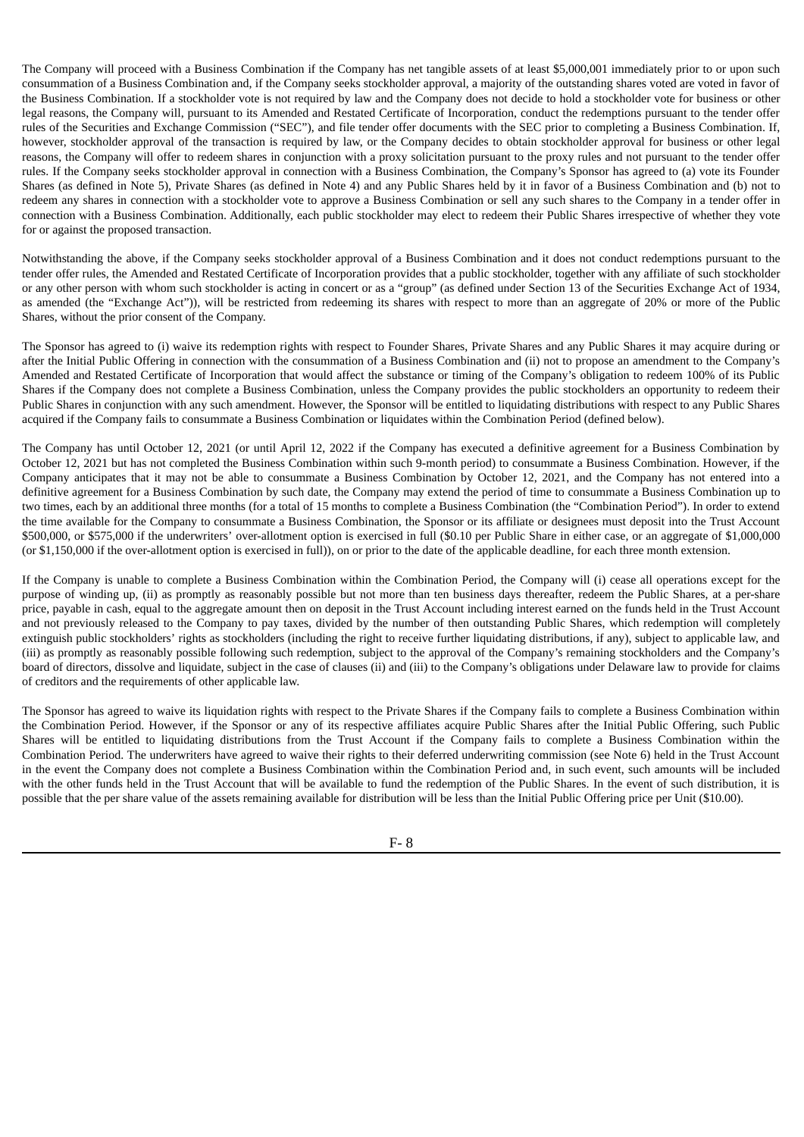The Company will proceed with a Business Combination if the Company has net tangible assets of at least \$5,000,001 immediately prior to or upon such consummation of a Business Combination and, if the Company seeks stockholder approval, a majority of the outstanding shares voted are voted in favor of the Business Combination. If a stockholder vote is not required by law and the Company does not decide to hold a stockholder vote for business or other legal reasons, the Company will, pursuant to its Amended and Restated Certificate of Incorporation, conduct the redemptions pursuant to the tender offer rules of the Securities and Exchange Commission ("SEC"), and file tender offer documents with the SEC prior to completing a Business Combination. If, however, stockholder approval of the transaction is required by law, or the Company decides to obtain stockholder approval for business or other legal reasons, the Company will offer to redeem shares in conjunction with a proxy solicitation pursuant to the proxy rules and not pursuant to the tender offer rules. If the Company seeks stockholder approval in connection with a Business Combination, the Company's Sponsor has agreed to (a) vote its Founder Shares (as defined in Note 5), Private Shares (as defined in Note 4) and any Public Shares held by it in favor of a Business Combination and (b) not to redeem any shares in connection with a stockholder vote to approve a Business Combination or sell any such shares to the Company in a tender offer in connection with a Business Combination. Additionally, each public stockholder may elect to redeem their Public Shares irrespective of whether they vote for or against the proposed transaction.

Notwithstanding the above, if the Company seeks stockholder approval of a Business Combination and it does not conduct redemptions pursuant to the tender offer rules, the Amended and Restated Certificate of Incorporation provides that a public stockholder, together with any affiliate of such stockholder or any other person with whom such stockholder is acting in concert or as a "group" (as defined under Section 13 of the Securities Exchange Act of 1934, as amended (the "Exchange Act")), will be restricted from redeeming its shares with respect to more than an aggregate of 20% or more of the Public Shares, without the prior consent of the Company.

The Sponsor has agreed to (i) waive its redemption rights with respect to Founder Shares, Private Shares and any Public Shares it may acquire during or after the Initial Public Offering in connection with the consummation of a Business Combination and (ii) not to propose an amendment to the Company's Amended and Restated Certificate of Incorporation that would affect the substance or timing of the Company's obligation to redeem 100% of its Public Shares if the Company does not complete a Business Combination, unless the Company provides the public stockholders an opportunity to redeem their Public Shares in conjunction with any such amendment. However, the Sponsor will be entitled to liquidating distributions with respect to any Public Shares acquired if the Company fails to consummate a Business Combination or liquidates within the Combination Period (defined below).

The Company has until October 12, 2021 (or until April 12, 2022 if the Company has executed a definitive agreement for a Business Combination by October 12, 2021 but has not completed the Business Combination within such 9-month period) to consummate a Business Combination. However, if the Company anticipates that it may not be able to consummate a Business Combination by October 12, 2021, and the Company has not entered into a definitive agreement for a Business Combination by such date, the Company may extend the period of time to consummate a Business Combination up to two times, each by an additional three months (for a total of 15 months to complete a Business Combination (the "Combination Period"). In order to extend the time available for the Company to consummate a Business Combination, the Sponsor or its affiliate or designees must deposit into the Trust Account \$500,000, or \$575,000 if the underwriters' over-allotment option is exercised in full (\$0.10 per Public Share in either case, or an aggregate of \$1,000,000 (or \$1,150,000 if the over-allotment option is exercised in full)), on or prior to the date of the applicable deadline, for each three month extension.

If the Company is unable to complete a Business Combination within the Combination Period, the Company will (i) cease all operations except for the purpose of winding up, (ii) as promptly as reasonably possible but not more than ten business days thereafter, redeem the Public Shares, at a per-share price, payable in cash, equal to the aggregate amount then on deposit in the Trust Account including interest earned on the funds held in the Trust Account and not previously released to the Company to pay taxes, divided by the number of then outstanding Public Shares, which redemption will completely extinguish public stockholders' rights as stockholders (including the right to receive further liquidating distributions, if any), subject to applicable law, and (iii) as promptly as reasonably possible following such redemption, subject to the approval of the Company's remaining stockholders and the Company's board of directors, dissolve and liquidate, subject in the case of clauses (ii) and (iii) to the Company's obligations under Delaware law to provide for claims of creditors and the requirements of other applicable law.

The Sponsor has agreed to waive its liquidation rights with respect to the Private Shares if the Company fails to complete a Business Combination within the Combination Period. However, if the Sponsor or any of its respective affiliates acquire Public Shares after the Initial Public Offering, such Public Shares will be entitled to liquidating distributions from the Trust Account if the Company fails to complete a Business Combination within the Combination Period. The underwriters have agreed to waive their rights to their deferred underwriting commission (see Note 6) held in the Trust Account in the event the Company does not complete a Business Combination within the Combination Period and, in such event, such amounts will be included with the other funds held in the Trust Account that will be available to fund the redemption of the Public Shares. In the event of such distribution, it is possible that the per share value of the assets remaining available for distribution will be less than the Initial Public Offering price per Unit (\$10.00).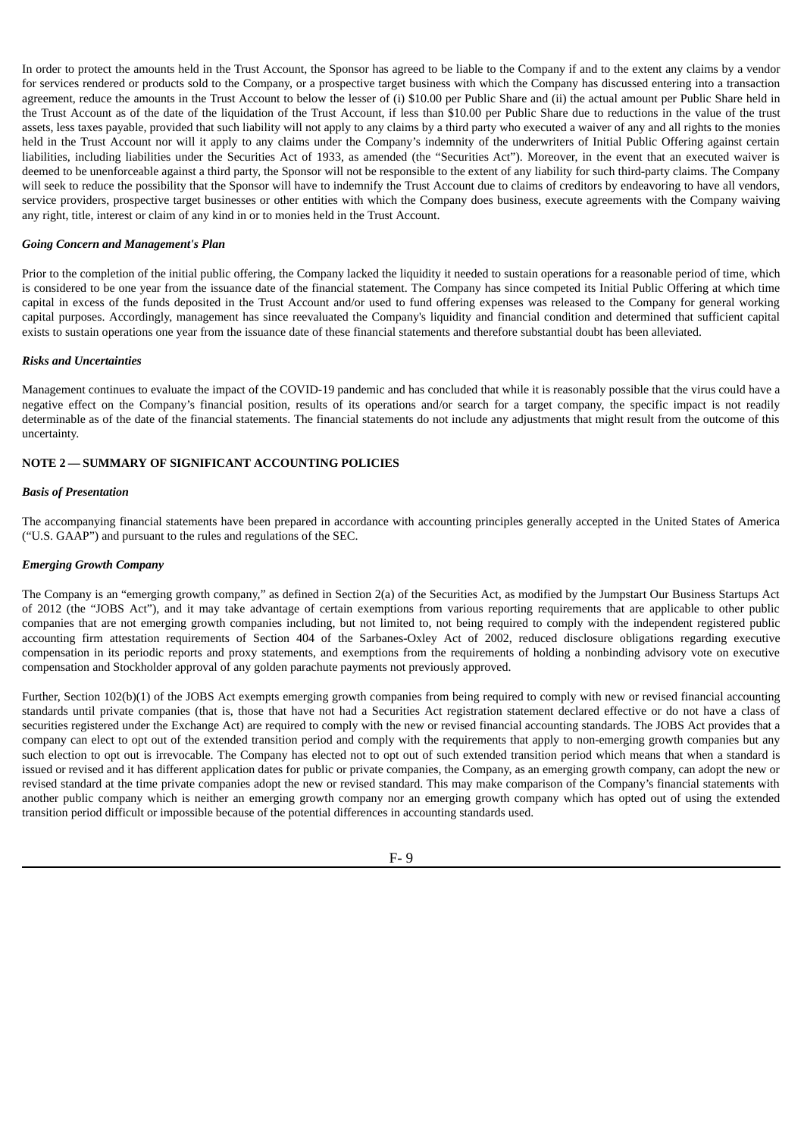In order to protect the amounts held in the Trust Account, the Sponsor has agreed to be liable to the Company if and to the extent any claims by a vendor for services rendered or products sold to the Company, or a prospective target business with which the Company has discussed entering into a transaction agreement, reduce the amounts in the Trust Account to below the lesser of (i) \$10.00 per Public Share and (ii) the actual amount per Public Share held in the Trust Account as of the date of the liquidation of the Trust Account, if less than \$10.00 per Public Share due to reductions in the value of the trust assets, less taxes payable, provided that such liability will not apply to any claims by a third party who executed a waiver of any and all rights to the monies held in the Trust Account nor will it apply to any claims under the Company's indemnity of the underwriters of Initial Public Offering against certain liabilities, including liabilities under the Securities Act of 1933, as amended (the "Securities Act"). Moreover, in the event that an executed waiver is deemed to be unenforceable against a third party, the Sponsor will not be responsible to the extent of any liability for such third-party claims. The Company will seek to reduce the possibility that the Sponsor will have to indemnify the Trust Account due to claims of creditors by endeavoring to have all vendors, service providers, prospective target businesses or other entities with which the Company does business, execute agreements with the Company waiving any right, title, interest or claim of any kind in or to monies held in the Trust Account.

#### *Going Concern and Management's Plan*

Prior to the completion of the initial public offering, the Company lacked the liquidity it needed to sustain operations for a reasonable period of time, which is considered to be one year from the issuance date of the financial statement. The Company has since competed its Initial Public Offering at which time capital in excess of the funds deposited in the Trust Account and/or used to fund offering expenses was released to the Company for general working capital purposes. Accordingly, management has since reevaluated the Company's liquidity and financial condition and determined that sufficient capital exists to sustain operations one year from the issuance date of these financial statements and therefore substantial doubt has been alleviated.

### *Risks and Uncertainties*

Management continues to evaluate the impact of the COVID-19 pandemic and has concluded that while it is reasonably possible that the virus could have a negative effect on the Company's financial position, results of its operations and/or search for a target company, the specific impact is not readily determinable as of the date of the financial statements. The financial statements do not include any adjustments that might result from the outcome of this uncertainty.

#### **NOTE 2 — SUMMARY OF SIGNIFICANT ACCOUNTING POLICIES**

#### *Basis of Presentation*

The accompanying financial statements have been prepared in accordance with accounting principles generally accepted in the United States of America ("U.S. GAAP") and pursuant to the rules and regulations of the SEC.

#### *Emerging Growth Company*

The Company is an "emerging growth company," as defined in Section 2(a) of the Securities Act, as modified by the Jumpstart Our Business Startups Act of 2012 (the "JOBS Act"), and it may take advantage of certain exemptions from various reporting requirements that are applicable to other public companies that are not emerging growth companies including, but not limited to, not being required to comply with the independent registered public accounting firm attestation requirements of Section 404 of the Sarbanes-Oxley Act of 2002, reduced disclosure obligations regarding executive compensation in its periodic reports and proxy statements, and exemptions from the requirements of holding a nonbinding advisory vote on executive compensation and Stockholder approval of any golden parachute payments not previously approved.

Further, Section 102(b)(1) of the JOBS Act exempts emerging growth companies from being required to comply with new or revised financial accounting standards until private companies (that is, those that have not had a Securities Act registration statement declared effective or do not have a class of securities registered under the Exchange Act) are required to comply with the new or revised financial accounting standards. The JOBS Act provides that a company can elect to opt out of the extended transition period and comply with the requirements that apply to non-emerging growth companies but any such election to opt out is irrevocable. The Company has elected not to opt out of such extended transition period which means that when a standard is issued or revised and it has different application dates for public or private companies, the Company, as an emerging growth company, can adopt the new or revised standard at the time private companies adopt the new or revised standard. This may make comparison of the Company's financial statements with another public company which is neither an emerging growth company nor an emerging growth company which has opted out of using the extended transition period difficult or impossible because of the potential differences in accounting standards used.

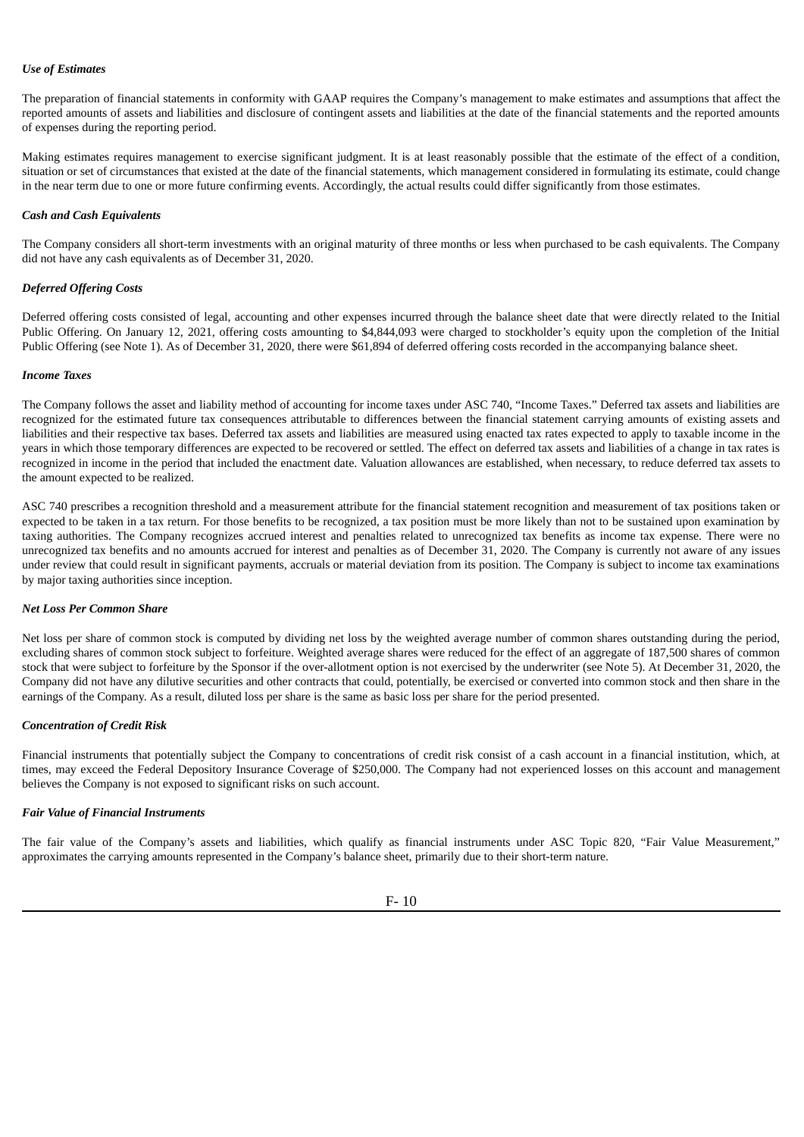### *Use of Estimates*

The preparation of financial statements in conformity with GAAP requires the Company's management to make estimates and assumptions that affect the reported amounts of assets and liabilities and disclosure of contingent assets and liabilities at the date of the financial statements and the reported amounts of expenses during the reporting period.

Making estimates requires management to exercise significant judgment. It is at least reasonably possible that the estimate of the effect of a condition, situation or set of circumstances that existed at the date of the financial statements, which management considered in formulating its estimate, could change in the near term due to one or more future confirming events. Accordingly, the actual results could differ significantly from those estimates.

### *Cash and Cash Equivalents*

The Company considers all short-term investments with an original maturity of three months or less when purchased to be cash equivalents. The Company did not have any cash equivalents as of December 31, 2020.

# *Deferred Offering Costs*

Deferred offering costs consisted of legal, accounting and other expenses incurred through the balance sheet date that were directly related to the Initial Public Offering. On January 12, 2021, offering costs amounting to \$4,844,093 were charged to stockholder's equity upon the completion of the Initial Public Offering (see Note 1). As of December 31, 2020, there were \$61,894 of deferred offering costs recorded in the accompanying balance sheet.

# *Income Taxes*

The Company follows the asset and liability method of accounting for income taxes under ASC 740, "Income Taxes." Deferred tax assets and liabilities are recognized for the estimated future tax consequences attributable to differences between the financial statement carrying amounts of existing assets and liabilities and their respective tax bases. Deferred tax assets and liabilities are measured using enacted tax rates expected to apply to taxable income in the years in which those temporary differences are expected to be recovered or settled. The effect on deferred tax assets and liabilities of a change in tax rates is recognized in income in the period that included the enactment date. Valuation allowances are established, when necessary, to reduce deferred tax assets to the amount expected to be realized.

ASC 740 prescribes a recognition threshold and a measurement attribute for the financial statement recognition and measurement of tax positions taken or expected to be taken in a tax return. For those benefits to be recognized, a tax position must be more likely than not to be sustained upon examination by taxing authorities. The Company recognizes accrued interest and penalties related to unrecognized tax benefits as income tax expense. There were no unrecognized tax benefits and no amounts accrued for interest and penalties as of December 31, 2020. The Company is currently not aware of any issues under review that could result in significant payments, accruals or material deviation from its position. The Company is subject to income tax examinations by major taxing authorities since inception.

# *Net Loss Per Common Share*

Net loss per share of common stock is computed by dividing net loss by the weighted average number of common shares outstanding during the period, excluding shares of common stock subject to forfeiture. Weighted average shares were reduced for the effect of an aggregate of 187,500 shares of common stock that were subject to forfeiture by the Sponsor if the over-allotment option is not exercised by the underwriter (see Note 5). At December 31, 2020, the Company did not have any dilutive securities and other contracts that could, potentially, be exercised or converted into common stock and then share in the earnings of the Company. As a result, diluted loss per share is the same as basic loss per share for the period presented.

#### *Concentration of Credit Risk*

Financial instruments that potentially subject the Company to concentrations of credit risk consist of a cash account in a financial institution, which, at times, may exceed the Federal Depository Insurance Coverage of \$250,000. The Company had not experienced losses on this account and management believes the Company is not exposed to significant risks on such account.

#### *Fair Value of Financial Instruments*

The fair value of the Company's assets and liabilities, which qualify as financial instruments under ASC Topic 820, "Fair Value Measurement," approximates the carrying amounts represented in the Company's balance sheet, primarily due to their short-term nature.

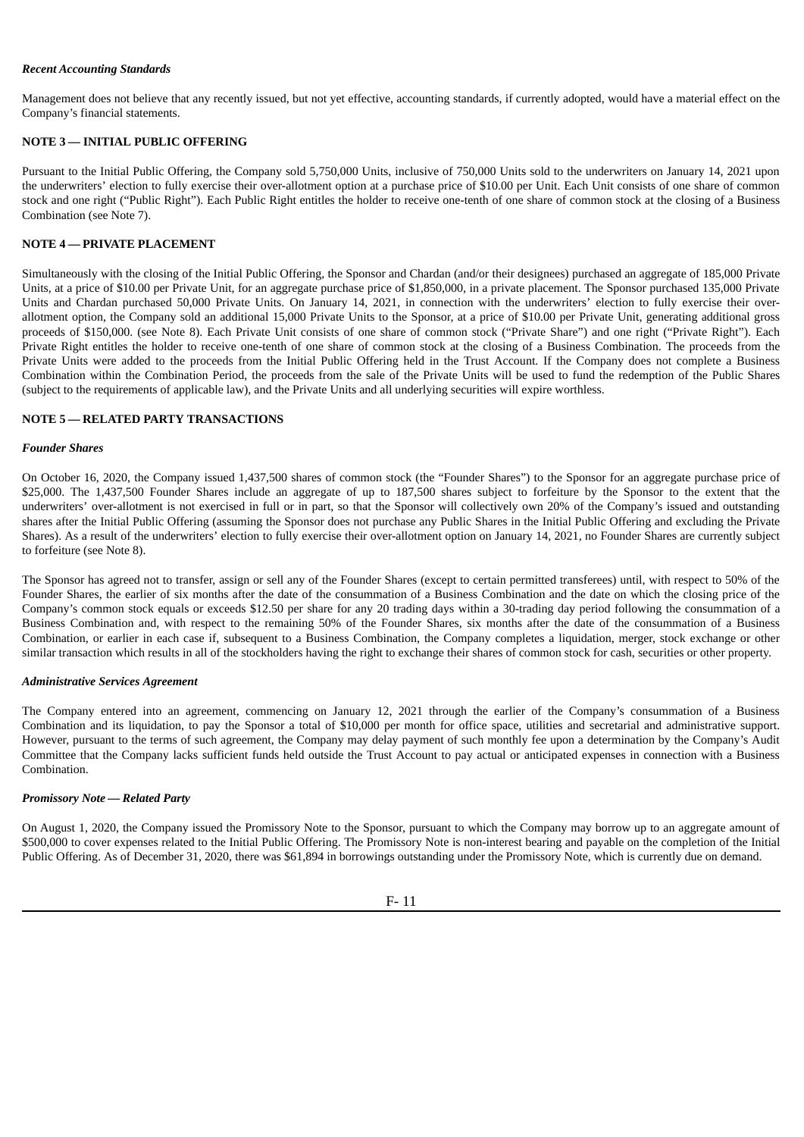### *Recent Accounting Standards*

Management does not believe that any recently issued, but not yet effective, accounting standards, if currently adopted, would have a material effect on the Company's financial statements.

# **NOTE 3 — INITIAL PUBLIC OFFERING**

Pursuant to the Initial Public Offering, the Company sold 5,750,000 Units, inclusive of 750,000 Units sold to the underwriters on January 14, 2021 upon the underwriters' election to fully exercise their over-allotment option at a purchase price of \$10.00 per Unit. Each Unit consists of one share of common stock and one right ("Public Right"). Each Public Right entitles the holder to receive one-tenth of one share of common stock at the closing of a Business Combination (see Note 7).

# **NOTE 4 — PRIVATE PLACEMENT**

Simultaneously with the closing of the Initial Public Offering, the Sponsor and Chardan (and/or their designees) purchased an aggregate of 185,000 Private Units, at a price of \$10.00 per Private Unit, for an aggregate purchase price of \$1,850,000, in a private placement. The Sponsor purchased 135,000 Private Units and Chardan purchased 50,000 Private Units. On January 14, 2021, in connection with the underwriters' election to fully exercise their overallotment option, the Company sold an additional 15,000 Private Units to the Sponsor, at a price of \$10.00 per Private Unit, generating additional gross proceeds of \$150,000. (see Note 8). Each Private Unit consists of one share of common stock ("Private Share") and one right ("Private Right"). Each Private Right entitles the holder to receive one-tenth of one share of common stock at the closing of a Business Combination. The proceeds from the Private Units were added to the proceeds from the Initial Public Offering held in the Trust Account. If the Company does not complete a Business Combination within the Combination Period, the proceeds from the sale of the Private Units will be used to fund the redemption of the Public Shares (subject to the requirements of applicable law), and the Private Units and all underlying securities will expire worthless.

### **NOTE 5 — RELATED PARTY TRANSACTIONS**

### *Founder Shares*

On October 16, 2020, the Company issued 1,437,500 shares of common stock (the "Founder Shares") to the Sponsor for an aggregate purchase price of \$25,000. The 1,437,500 Founder Shares include an aggregate of up to 187,500 shares subject to forfeiture by the Sponsor to the extent that the underwriters' over-allotment is not exercised in full or in part, so that the Sponsor will collectively own 20% of the Company's issued and outstanding shares after the Initial Public Offering (assuming the Sponsor does not purchase any Public Shares in the Initial Public Offering and excluding the Private Shares). As a result of the underwriters' election to fully exercise their over-allotment option on January 14, 2021, no Founder Shares are currently subject to forfeiture (see Note 8).

The Sponsor has agreed not to transfer, assign or sell any of the Founder Shares (except to certain permitted transferees) until, with respect to 50% of the Founder Shares, the earlier of six months after the date of the consummation of a Business Combination and the date on which the closing price of the Company's common stock equals or exceeds \$12.50 per share for any 20 trading days within a 30-trading day period following the consummation of a Business Combination and, with respect to the remaining 50% of the Founder Shares, six months after the date of the consummation of a Business Combination, or earlier in each case if, subsequent to a Business Combination, the Company completes a liquidation, merger, stock exchange or other similar transaction which results in all of the stockholders having the right to exchange their shares of common stock for cash, securities or other property.

#### *Administrative Services Agreement*

The Company entered into an agreement, commencing on January 12, 2021 through the earlier of the Company's consummation of a Business Combination and its liquidation, to pay the Sponsor a total of \$10,000 per month for office space, utilities and secretarial and administrative support. However, pursuant to the terms of such agreement, the Company may delay payment of such monthly fee upon a determination by the Company's Audit Committee that the Company lacks sufficient funds held outside the Trust Account to pay actual or anticipated expenses in connection with a Business Combination.

#### *Promissory Note — Related Party*

On August 1, 2020, the Company issued the Promissory Note to the Sponsor, pursuant to which the Company may borrow up to an aggregate amount of \$500,000 to cover expenses related to the Initial Public Offering. The Promissory Note is non-interest bearing and payable on the completion of the Initial Public Offering. As of December 31, 2020, there was \$61,894 in borrowings outstanding under the Promissory Note, which is currently due on demand.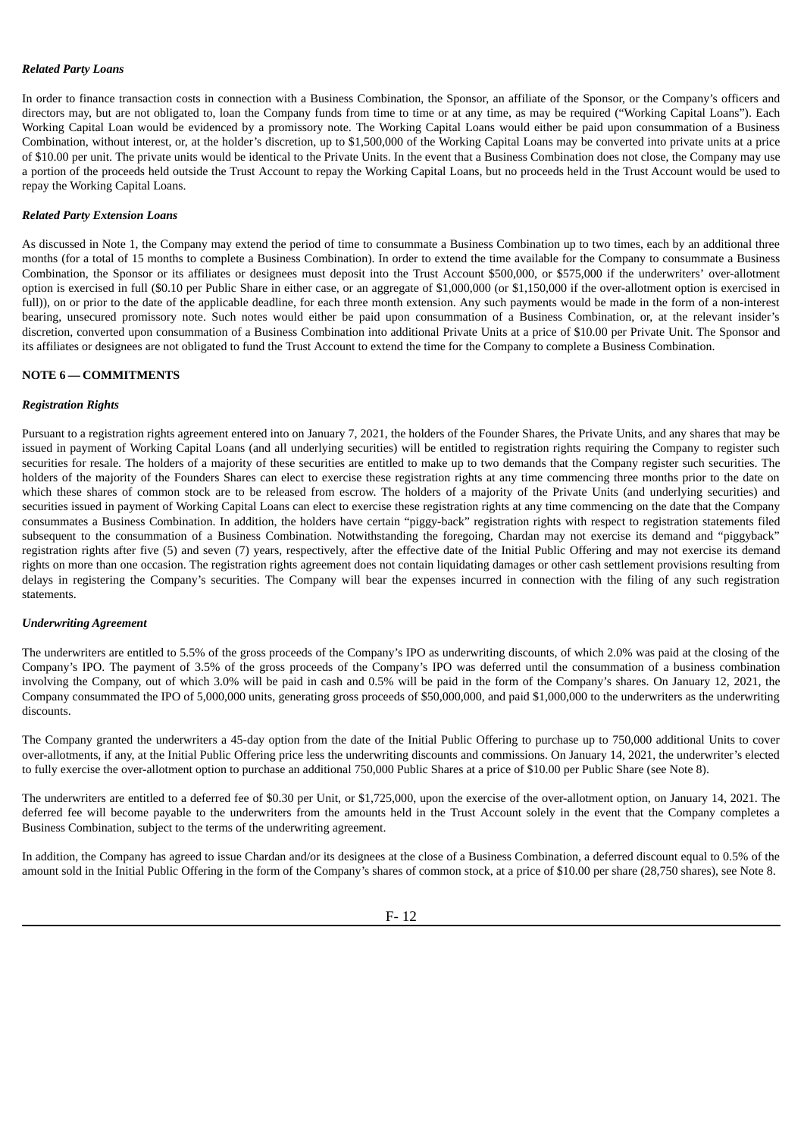### *Related Party Loans*

In order to finance transaction costs in connection with a Business Combination, the Sponsor, an affiliate of the Sponsor, or the Company's officers and directors may, but are not obligated to, loan the Company funds from time to time or at any time, as may be required ("Working Capital Loans"). Each Working Capital Loan would be evidenced by a promissory note. The Working Capital Loans would either be paid upon consummation of a Business Combination, without interest, or, at the holder's discretion, up to \$1,500,000 of the Working Capital Loans may be converted into private units at a price of \$10.00 per unit. The private units would be identical to the Private Units. In the event that a Business Combination does not close, the Company may use a portion of the proceeds held outside the Trust Account to repay the Working Capital Loans, but no proceeds held in the Trust Account would be used to repay the Working Capital Loans.

#### *Related Party Extension Loans*

As discussed in Note 1, the Company may extend the period of time to consummate a Business Combination up to two times, each by an additional three months (for a total of 15 months to complete a Business Combination). In order to extend the time available for the Company to consummate a Business Combination, the Sponsor or its affiliates or designees must deposit into the Trust Account \$500,000, or \$575,000 if the underwriters' over-allotment option is exercised in full (\$0.10 per Public Share in either case, or an aggregate of \$1,000,000 (or \$1,150,000 if the over-allotment option is exercised in full)), on or prior to the date of the applicable deadline, for each three month extension. Any such payments would be made in the form of a non-interest bearing, unsecured promissory note. Such notes would either be paid upon consummation of a Business Combination, or, at the relevant insider's discretion, converted upon consummation of a Business Combination into additional Private Units at a price of \$10.00 per Private Unit. The Sponsor and its affiliates or designees are not obligated to fund the Trust Account to extend the time for the Company to complete a Business Combination.

# **NOTE 6 — COMMITMENTS**

# *Registration Rights*

Pursuant to a registration rights agreement entered into on January 7, 2021, the holders of the Founder Shares, the Private Units, and any shares that may be issued in payment of Working Capital Loans (and all underlying securities) will be entitled to registration rights requiring the Company to register such securities for resale. The holders of a majority of these securities are entitled to make up to two demands that the Company register such securities. The holders of the majority of the Founders Shares can elect to exercise these registration rights at any time commencing three months prior to the date on which these shares of common stock are to be released from escrow. The holders of a majority of the Private Units (and underlying securities) and securities issued in payment of Working Capital Loans can elect to exercise these registration rights at any time commencing on the date that the Company consummates a Business Combination. In addition, the holders have certain "piggy-back" registration rights with respect to registration statements filed subsequent to the consummation of a Business Combination. Notwithstanding the foregoing, Chardan may not exercise its demand and "piggyback" registration rights after five (5) and seven (7) years, respectively, after the effective date of the Initial Public Offering and may not exercise its demand rights on more than one occasion. The registration rights agreement does not contain liquidating damages or other cash settlement provisions resulting from delays in registering the Company's securities. The Company will bear the expenses incurred in connection with the filing of any such registration statements.

#### *Underwriting Agreement*

The underwriters are entitled to 5.5% of the gross proceeds of the Company's IPO as underwriting discounts, of which 2.0% was paid at the closing of the Company's IPO. The payment of 3.5% of the gross proceeds of the Company's IPO was deferred until the consummation of a business combination involving the Company, out of which 3.0% will be paid in cash and 0.5% will be paid in the form of the Company's shares. On January 12, 2021, the Company consummated the IPO of 5,000,000 units, generating gross proceeds of \$50,000,000, and paid \$1,000,000 to the underwriters as the underwriting discounts.

The Company granted the underwriters a 45-day option from the date of the Initial Public Offering to purchase up to 750,000 additional Units to cover over-allotments, if any, at the Initial Public Offering price less the underwriting discounts and commissions. On January 14, 2021, the underwriter's elected to fully exercise the over-allotment option to purchase an additional 750,000 Public Shares at a price of \$10.00 per Public Share (see Note 8).

The underwriters are entitled to a deferred fee of \$0.30 per Unit, or \$1,725,000, upon the exercise of the over-allotment option, on January 14, 2021. The deferred fee will become payable to the underwriters from the amounts held in the Trust Account solely in the event that the Company completes a Business Combination, subject to the terms of the underwriting agreement.

In addition, the Company has agreed to issue Chardan and/or its designees at the close of a Business Combination, a deferred discount equal to 0.5% of the amount sold in the Initial Public Offering in the form of the Company's shares of common stock, at a price of \$10.00 per share (28,750 shares), see Note 8.

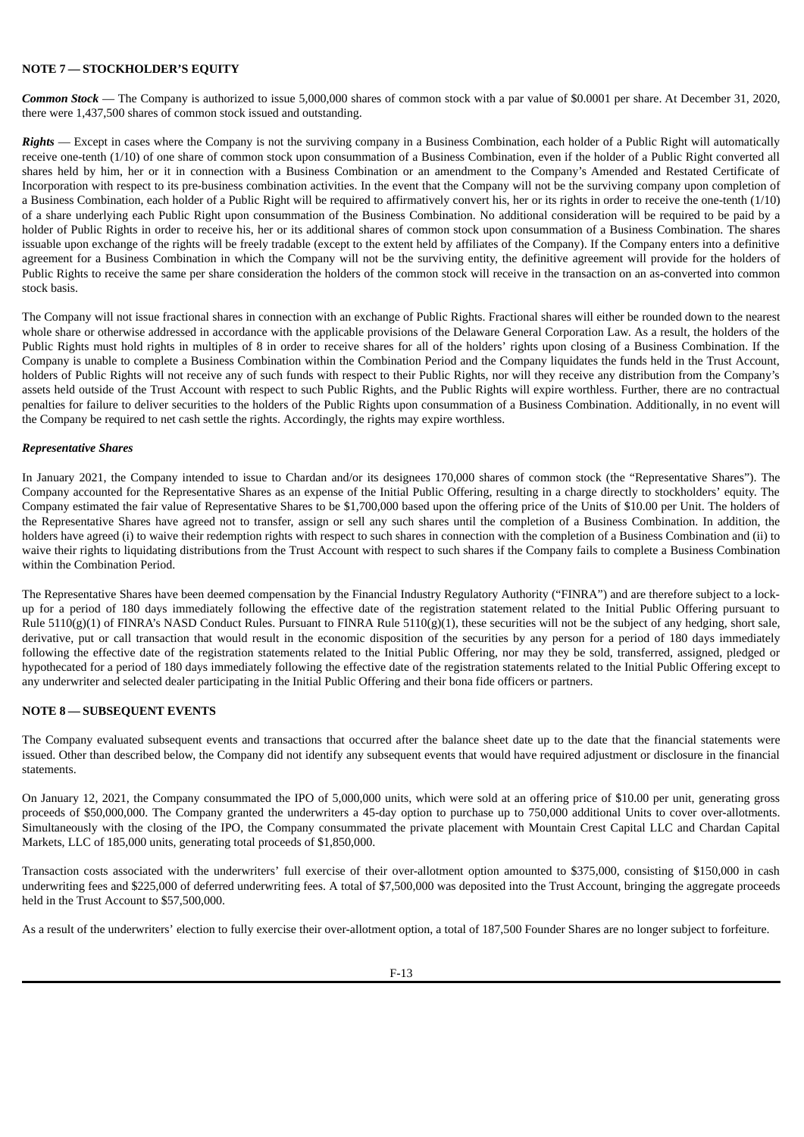# **NOTE 7 — STOCKHOLDER'S EQUITY**

*Common Stock* — The Company is authorized to issue 5,000,000 shares of common stock with a par value of \$0.0001 per share. At December 31, 2020, there were 1,437,500 shares of common stock issued and outstanding.

*Rights* — Except in cases where the Company is not the surviving company in a Business Combination, each holder of a Public Right will automatically receive one-tenth (1/10) of one share of common stock upon consummation of a Business Combination, even if the holder of a Public Right converted all shares held by him, her or it in connection with a Business Combination or an amendment to the Company's Amended and Restated Certificate of Incorporation with respect to its pre-business combination activities. In the event that the Company will not be the surviving company upon completion of a Business Combination, each holder of a Public Right will be required to affirmatively convert his, her or its rights in order to receive the one-tenth (1/10) of a share underlying each Public Right upon consummation of the Business Combination. No additional consideration will be required to be paid by a holder of Public Rights in order to receive his, her or its additional shares of common stock upon consummation of a Business Combination. The shares issuable upon exchange of the rights will be freely tradable (except to the extent held by affiliates of the Company). If the Company enters into a definitive agreement for a Business Combination in which the Company will not be the surviving entity, the definitive agreement will provide for the holders of Public Rights to receive the same per share consideration the holders of the common stock will receive in the transaction on an as-converted into common stock basis.

The Company will not issue fractional shares in connection with an exchange of Public Rights. Fractional shares will either be rounded down to the nearest whole share or otherwise addressed in accordance with the applicable provisions of the Delaware General Corporation Law. As a result, the holders of the Public Rights must hold rights in multiples of 8 in order to receive shares for all of the holders' rights upon closing of a Business Combination. If the Company is unable to complete a Business Combination within the Combination Period and the Company liquidates the funds held in the Trust Account, holders of Public Rights will not receive any of such funds with respect to their Public Rights, nor will they receive any distribution from the Company's assets held outside of the Trust Account with respect to such Public Rights, and the Public Rights will expire worthless. Further, there are no contractual penalties for failure to deliver securities to the holders of the Public Rights upon consummation of a Business Combination. Additionally, in no event will the Company be required to net cash settle the rights. Accordingly, the rights may expire worthless.

### *Representative Shares*

In January 2021, the Company intended to issue to Chardan and/or its designees 170,000 shares of common stock (the "Representative Shares"). The Company accounted for the Representative Shares as an expense of the Initial Public Offering, resulting in a charge directly to stockholders' equity. The Company estimated the fair value of Representative Shares to be \$1,700,000 based upon the offering price of the Units of \$10.00 per Unit. The holders of the Representative Shares have agreed not to transfer, assign or sell any such shares until the completion of a Business Combination. In addition, the holders have agreed (i) to waive their redemption rights with respect to such shares in connection with the completion of a Business Combination and (ii) to waive their rights to liquidating distributions from the Trust Account with respect to such shares if the Company fails to complete a Business Combination within the Combination Period.

The Representative Shares have been deemed compensation by the Financial Industry Regulatory Authority ("FINRA") and are therefore subject to a lockup for a period of 180 days immediately following the effective date of the registration statement related to the Initial Public Offering pursuant to Rule 5110(g)(1) of FINRA's NASD Conduct Rules. Pursuant to FINRA Rule 5110(g)(1), these securities will not be the subject of any hedging, short sale, derivative, put or call transaction that would result in the economic disposition of the securities by any person for a period of 180 days immediately following the effective date of the registration statements related to the Initial Public Offering, nor may they be sold, transferred, assigned, pledged or hypothecated for a period of 180 days immediately following the effective date of the registration statements related to the Initial Public Offering except to any underwriter and selected dealer participating in the Initial Public Offering and their bona fide officers or partners.

# **NOTE 8 — SUBSEQUENT EVENTS**

The Company evaluated subsequent events and transactions that occurred after the balance sheet date up to the date that the financial statements were issued. Other than described below, the Company did not identify any subsequent events that would have required adjustment or disclosure in the financial statements.

On January 12, 2021, the Company consummated the IPO of 5,000,000 units, which were sold at an offering price of \$10.00 per unit, generating gross proceeds of \$50,000,000. The Company granted the underwriters a 45-day option to purchase up to 750,000 additional Units to cover over-allotments. Simultaneously with the closing of the IPO, the Company consummated the private placement with Mountain Crest Capital LLC and Chardan Capital Markets, LLC of 185,000 units, generating total proceeds of \$1,850,000.

Transaction costs associated with the underwriters' full exercise of their over-allotment option amounted to \$375,000, consisting of \$150,000 in cash underwriting fees and \$225,000 of deferred underwriting fees. A total of \$7,500,000 was deposited into the Trust Account, bringing the aggregate proceeds held in the Trust Account to \$57,500,000.

As a result of the underwriters' election to fully exercise their over-allotment option, a total of 187,500 Founder Shares are no longer subject to forfeiture.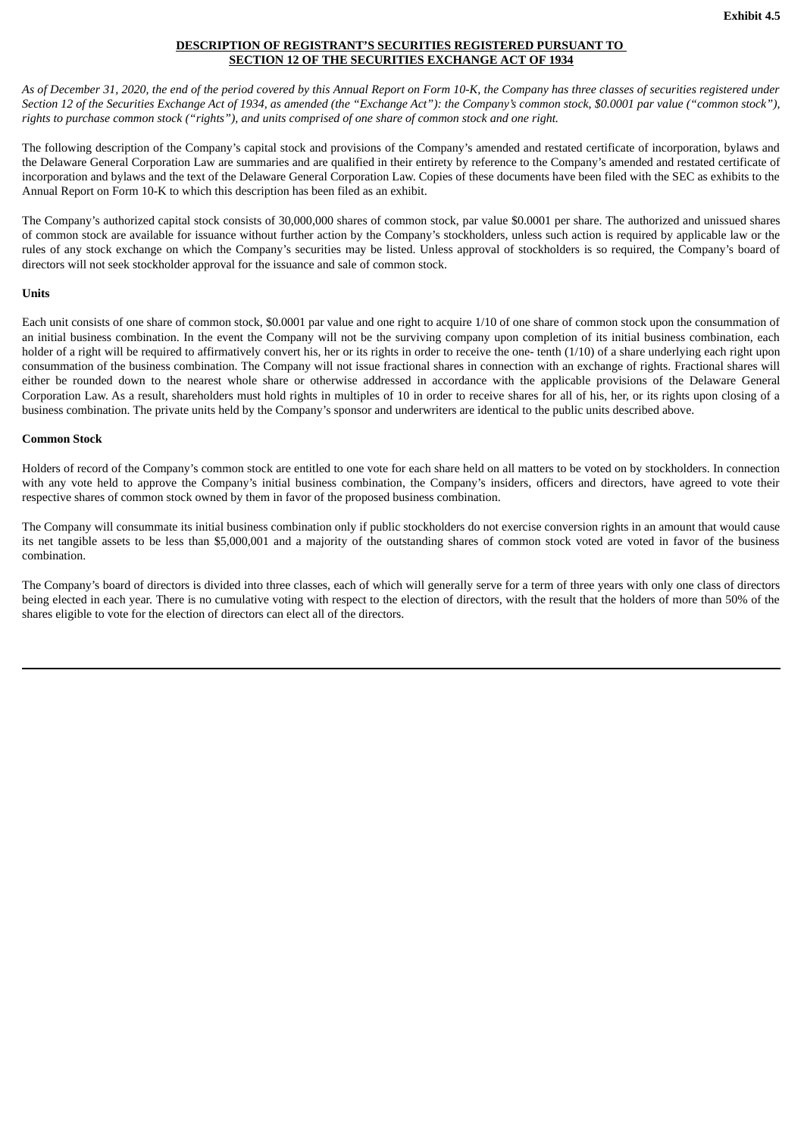# **DESCRIPTION OF REGISTRANT'S SECURITIES REGISTERED PURSUANT TO SECTION 12 OF THE SECURITIES EXCHANGE ACT OF 1934**

<span id="page-30-0"></span>As of December 31, 2020, the end of the period covered by this Annual Report on Form 10-K, the Company has three classes of securities registered under Section 12 of the Securities Exchange Act of 1934, as amended (the "Exchange Act"): the Company's common stock, \$0.0001 par value ("common stock"), rights to purchase common stock ("rights"), and units comprised of one share of common stock and one right.

The following description of the Company's capital stock and provisions of the Company's amended and restated certificate of incorporation, bylaws and the Delaware General Corporation Law are summaries and are qualified in their entirety by reference to the Company's amended and restated certificate of incorporation and bylaws and the text of the Delaware General Corporation Law. Copies of these documents have been filed with the SEC as exhibits to the Annual Report on Form 10-K to which this description has been filed as an exhibit.

The Company's authorized capital stock consists of 30,000,000 shares of common stock, par value \$0.0001 per share. The authorized and unissued shares of common stock are available for issuance without further action by the Company's stockholders, unless such action is required by applicable law or the rules of any stock exchange on which the Company's securities may be listed. Unless approval of stockholders is so required, the Company's board of directors will not seek stockholder approval for the issuance and sale of common stock.

# **Units**

Each unit consists of one share of common stock, \$0.0001 par value and one right to acquire 1/10 of one share of common stock upon the consummation of an initial business combination. In the event the Company will not be the surviving company upon completion of its initial business combination, each holder of a right will be required to affirmatively convert his, her or its rights in order to receive the one- tenth (1/10) of a share underlying each right upon consummation of the business combination. The Company will not issue fractional shares in connection with an exchange of rights. Fractional shares will either be rounded down to the nearest whole share or otherwise addressed in accordance with the applicable provisions of the Delaware General Corporation Law. As a result, shareholders must hold rights in multiples of 10 in order to receive shares for all of his, her, or its rights upon closing of a business combination. The private units held by the Company's sponsor and underwriters are identical to the public units described above.

### **Common Stock**

Holders of record of the Company's common stock are entitled to one vote for each share held on all matters to be voted on by stockholders. In connection with any vote held to approve the Company's initial business combination, the Company's insiders, officers and directors, have agreed to vote their respective shares of common stock owned by them in favor of the proposed business combination.

The Company will consummate its initial business combination only if public stockholders do not exercise conversion rights in an amount that would cause its net tangible assets to be less than \$5,000,001 and a majority of the outstanding shares of common stock voted are voted in favor of the business combination.

The Company's board of directors is divided into three classes, each of which will generally serve for a term of three years with only one class of directors being elected in each year. There is no cumulative voting with respect to the election of directors, with the result that the holders of more than 50% of the shares eligible to vote for the election of directors can elect all of the directors.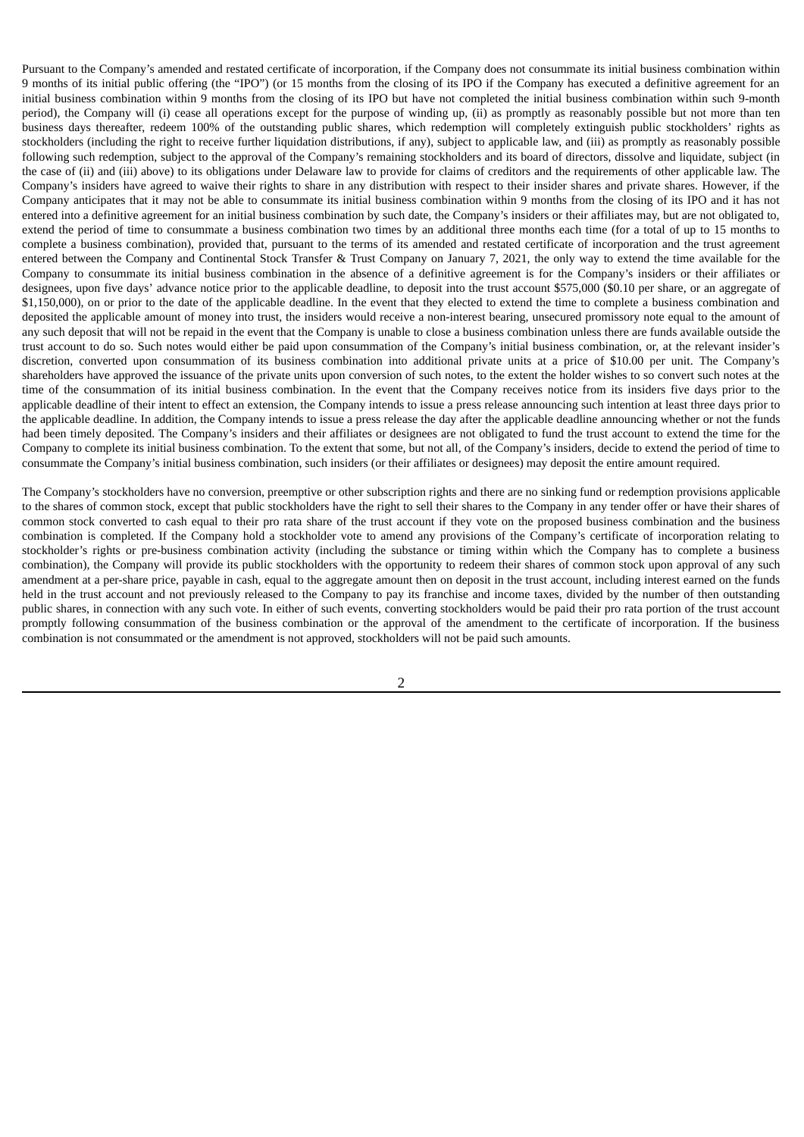Pursuant to the Company's amended and restated certificate of incorporation, if the Company does not consummate its initial business combination within 9 months of its initial public offering (the "IPO") (or 15 months from the closing of its IPO if the Company has executed a definitive agreement for an initial business combination within 9 months from the closing of its IPO but have not completed the initial business combination within such 9-month period), the Company will (i) cease all operations except for the purpose of winding up, (ii) as promptly as reasonably possible but not more than ten business days thereafter, redeem 100% of the outstanding public shares, which redemption will completely extinguish public stockholders' rights as stockholders (including the right to receive further liquidation distributions, if any), subject to applicable law, and (iii) as promptly as reasonably possible following such redemption, subject to the approval of the Company's remaining stockholders and its board of directors, dissolve and liquidate, subject (in the case of (ii) and (iii) above) to its obligations under Delaware law to provide for claims of creditors and the requirements of other applicable law. The Company's insiders have agreed to waive their rights to share in any distribution with respect to their insider shares and private shares. However, if the Company anticipates that it may not be able to consummate its initial business combination within 9 months from the closing of its IPO and it has not entered into a definitive agreement for an initial business combination by such date, the Company's insiders or their affiliates may, but are not obligated to, extend the period of time to consummate a business combination two times by an additional three months each time (for a total of up to 15 months to complete a business combination), provided that, pursuant to the terms of its amended and restated certificate of incorporation and the trust agreement entered between the Company and Continental Stock Transfer & Trust Company on January 7, 2021, the only way to extend the time available for the Company to consummate its initial business combination in the absence of a definitive agreement is for the Company's insiders or their affiliates or designees, upon five days' advance notice prior to the applicable deadline, to deposit into the trust account \$575,000 (\$0.10 per share, or an aggregate of \$1,150,000), on or prior to the date of the applicable deadline. In the event that they elected to extend the time to complete a business combination and deposited the applicable amount of money into trust, the insiders would receive a non-interest bearing, unsecured promissory note equal to the amount of any such deposit that will not be repaid in the event that the Company is unable to close a business combination unless there are funds available outside the trust account to do so. Such notes would either be paid upon consummation of the Company's initial business combination, or, at the relevant insider's discretion, converted upon consummation of its business combination into additional private units at a price of \$10.00 per unit. The Company's shareholders have approved the issuance of the private units upon conversion of such notes, to the extent the holder wishes to so convert such notes at the time of the consummation of its initial business combination. In the event that the Company receives notice from its insiders five days prior to the applicable deadline of their intent to effect an extension, the Company intends to issue a press release announcing such intention at least three days prior to the applicable deadline. In addition, the Company intends to issue a press release the day after the applicable deadline announcing whether or not the funds had been timely deposited. The Company's insiders and their affiliates or designees are not obligated to fund the trust account to extend the time for the Company to complete its initial business combination. To the extent that some, but not all, of the Company's insiders, decide to extend the period of time to consummate the Company's initial business combination, such insiders (or their affiliates or designees) may deposit the entire amount required.

The Company's stockholders have no conversion, preemptive or other subscription rights and there are no sinking fund or redemption provisions applicable to the shares of common stock, except that public stockholders have the right to sell their shares to the Company in any tender offer or have their shares of common stock converted to cash equal to their pro rata share of the trust account if they vote on the proposed business combination and the business combination is completed. If the Company hold a stockholder vote to amend any provisions of the Company's certificate of incorporation relating to stockholder's rights or pre-business combination activity (including the substance or timing within which the Company has to complete a business combination), the Company will provide its public stockholders with the opportunity to redeem their shares of common stock upon approval of any such amendment at a per-share price, payable in cash, equal to the aggregate amount then on deposit in the trust account, including interest earned on the funds held in the trust account and not previously released to the Company to pay its franchise and income taxes, divided by the number of then outstanding public shares, in connection with any such vote. In either of such events, converting stockholders would be paid their pro rata portion of the trust account promptly following consummation of the business combination or the approval of the amendment to the certificate of incorporation. If the business combination is not consummated or the amendment is not approved, stockholders will not be paid such amounts.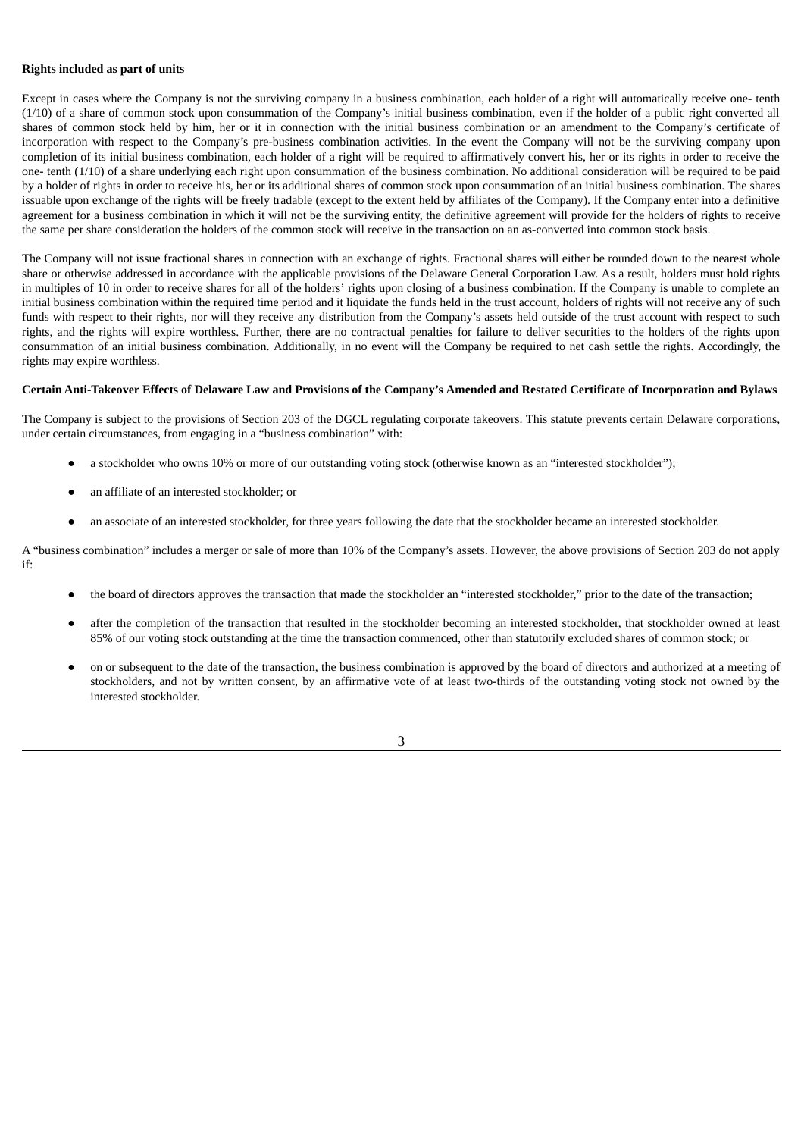### **Rights included as part of units**

Except in cases where the Company is not the surviving company in a business combination, each holder of a right will automatically receive one- tenth (1/10) of a share of common stock upon consummation of the Company's initial business combination, even if the holder of a public right converted all shares of common stock held by him, her or it in connection with the initial business combination or an amendment to the Company's certificate of incorporation with respect to the Company's pre-business combination activities. In the event the Company will not be the surviving company upon completion of its initial business combination, each holder of a right will be required to affirmatively convert his, her or its rights in order to receive the one- tenth (1/10) of a share underlying each right upon consummation of the business combination. No additional consideration will be required to be paid by a holder of rights in order to receive his, her or its additional shares of common stock upon consummation of an initial business combination. The shares issuable upon exchange of the rights will be freely tradable (except to the extent held by affiliates of the Company). If the Company enter into a definitive agreement for a business combination in which it will not be the surviving entity, the definitive agreement will provide for the holders of rights to receive the same per share consideration the holders of the common stock will receive in the transaction on an as-converted into common stock basis.

The Company will not issue fractional shares in connection with an exchange of rights. Fractional shares will either be rounded down to the nearest whole share or otherwise addressed in accordance with the applicable provisions of the Delaware General Corporation Law. As a result, holders must hold rights in multiples of 10 in order to receive shares for all of the holders' rights upon closing of a business combination. If the Company is unable to complete an initial business combination within the required time period and it liquidate the funds held in the trust account, holders of rights will not receive any of such funds with respect to their rights, nor will they receive any distribution from the Company's assets held outside of the trust account with respect to such rights, and the rights will expire worthless. Further, there are no contractual penalties for failure to deliver securities to the holders of the rights upon consummation of an initial business combination. Additionally, in no event will the Company be required to net cash settle the rights. Accordingly, the rights may expire worthless.

# Certain Anti-Takeover Effects of Delaware Law and Provisions of the Company's Amended and Restated Certificate of Incorporation and Bylaws

The Company is subject to the provisions of Section 203 of the DGCL regulating corporate takeovers. This statute prevents certain Delaware corporations, under certain circumstances, from engaging in a "business combination" with:

- a stockholder who owns 10% or more of our outstanding voting stock (otherwise known as an "interested stockholder");
- an affiliate of an interested stockholder; or
- an associate of an interested stockholder, for three years following the date that the stockholder became an interested stockholder.

A "business combination" includes a merger or sale of more than 10% of the Company's assets. However, the above provisions of Section 203 do not apply if:

- the board of directors approves the transaction that made the stockholder an "interested stockholder," prior to the date of the transaction;
- after the completion of the transaction that resulted in the stockholder becoming an interested stockholder, that stockholder owned at least 85% of our voting stock outstanding at the time the transaction commenced, other than statutorily excluded shares of common stock; or
- on or subsequent to the date of the transaction, the business combination is approved by the board of directors and authorized at a meeting of stockholders, and not by written consent, by an affirmative vote of at least two-thirds of the outstanding voting stock not owned by the interested stockholder.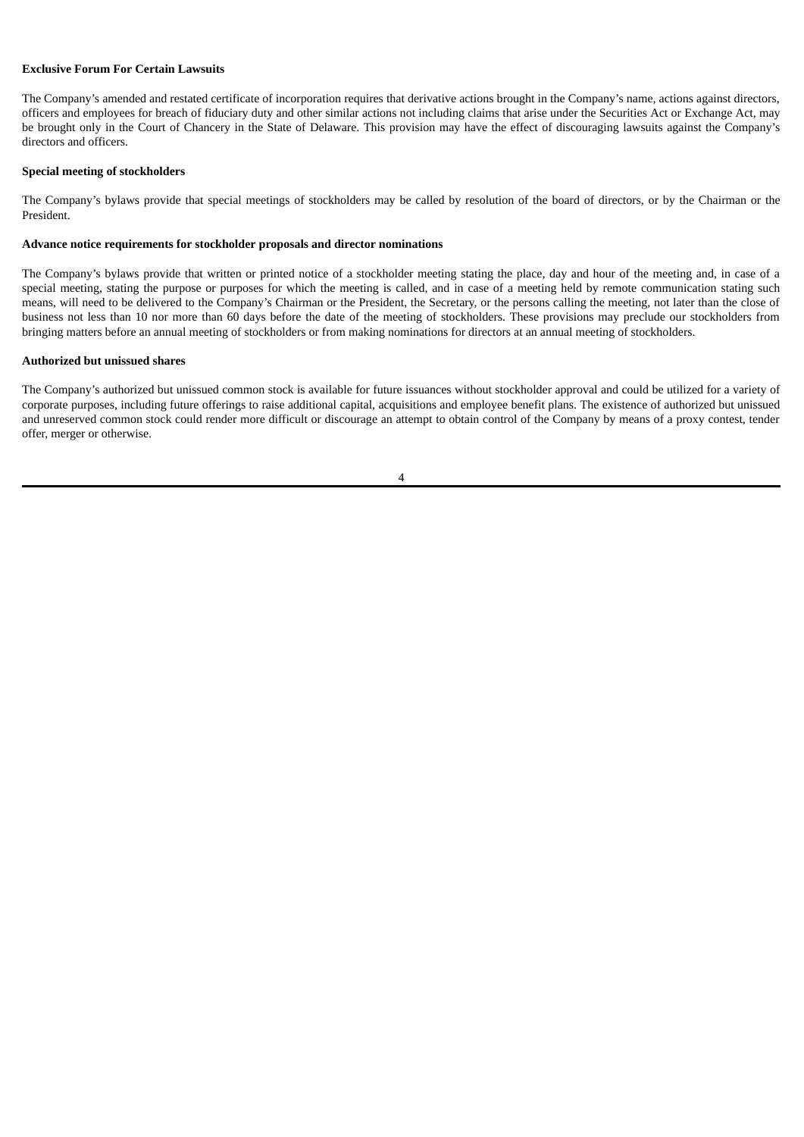### **Exclusive Forum For Certain Lawsuits**

The Company's amended and restated certificate of incorporation requires that derivative actions brought in the Company's name, actions against directors, officers and employees for breach of fiduciary duty and other similar actions not including claims that arise under the Securities Act or Exchange Act, may be brought only in the Court of Chancery in the State of Delaware. This provision may have the effect of discouraging lawsuits against the Company's directors and officers.

#### **Special meeting of stockholders**

The Company's bylaws provide that special meetings of stockholders may be called by resolution of the board of directors, or by the Chairman or the President.

### **Advance notice requirements for stockholder proposals and director nominations**

The Company's bylaws provide that written or printed notice of a stockholder meeting stating the place, day and hour of the meeting and, in case of a special meeting, stating the purpose or purposes for which the meeting is called, and in case of a meeting held by remote communication stating such means, will need to be delivered to the Company's Chairman or the President, the Secretary, or the persons calling the meeting, not later than the close of business not less than 10 nor more than 60 days before the date of the meeting of stockholders. These provisions may preclude our stockholders from bringing matters before an annual meeting of stockholders or from making nominations for directors at an annual meeting of stockholders.

#### **Authorized but unissued shares**

The Company's authorized but unissued common stock is available for future issuances without stockholder approval and could be utilized for a variety of corporate purposes, including future offerings to raise additional capital, acquisitions and employee benefit plans. The existence of authorized but unissued and unreserved common stock could render more difficult or discourage an attempt to obtain control of the Company by means of a proxy contest, tender offer, merger or otherwise.

| I |
|---|
|   |
|   |
|   |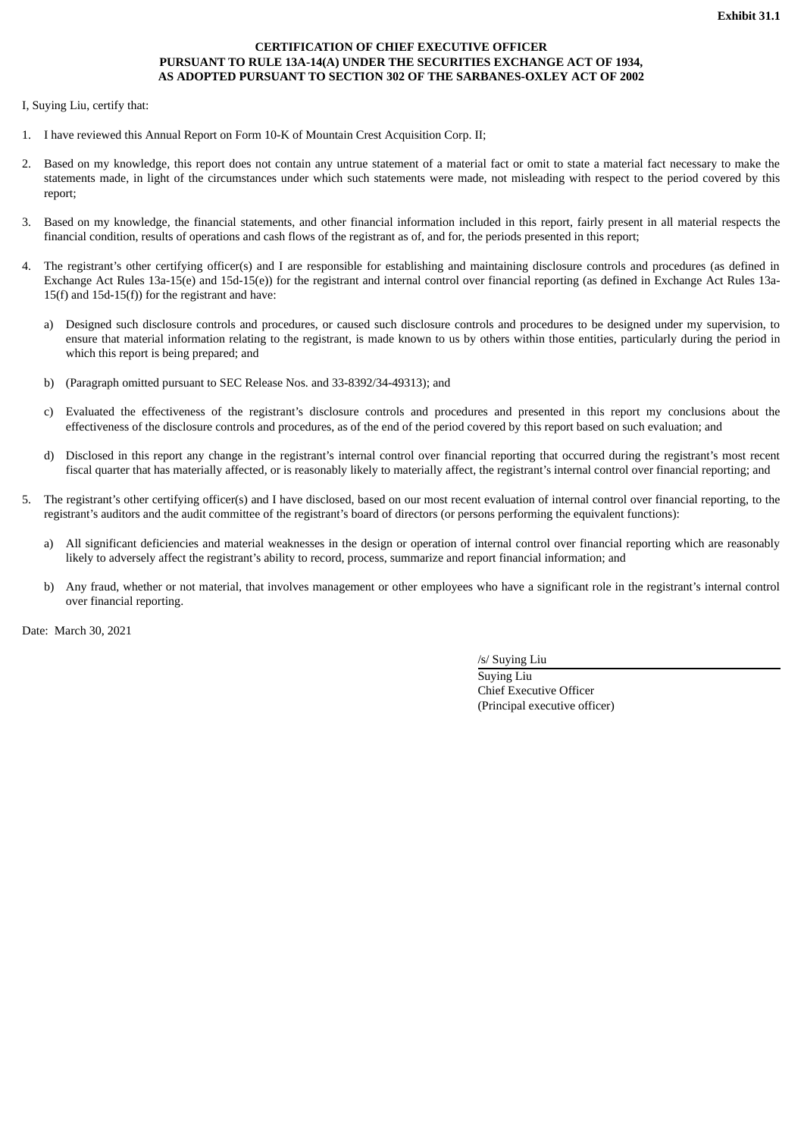# **CERTIFICATION OF CHIEF EXECUTIVE OFFICER PURSUANT TO RULE 13A-14(A) UNDER THE SECURITIES EXCHANGE ACT OF 1934, AS ADOPTED PURSUANT TO SECTION 302 OF THE SARBANES-OXLEY ACT OF 2002**

<span id="page-34-0"></span>I, Suying Liu, certify that:

- 1. I have reviewed this Annual Report on Form 10-K of Mountain Crest Acquisition Corp. II;
- 2. Based on my knowledge, this report does not contain any untrue statement of a material fact or omit to state a material fact necessary to make the statements made, in light of the circumstances under which such statements were made, not misleading with respect to the period covered by this report;
- 3. Based on my knowledge, the financial statements, and other financial information included in this report, fairly present in all material respects the financial condition, results of operations and cash flows of the registrant as of, and for, the periods presented in this report;
- 4. The registrant's other certifying officer(s) and I are responsible for establishing and maintaining disclosure controls and procedures (as defined in Exchange Act Rules 13a-15(e) and 15d-15(e)) for the registrant and internal control over financial reporting (as defined in Exchange Act Rules 13a-15(f) and 15d-15(f)) for the registrant and have:
	- a) Designed such disclosure controls and procedures, or caused such disclosure controls and procedures to be designed under my supervision, to ensure that material information relating to the registrant, is made known to us by others within those entities, particularly during the period in which this report is being prepared; and
	- b) (Paragraph omitted pursuant to SEC Release Nos. and 33-8392/34-49313); and
	- c) Evaluated the effectiveness of the registrant's disclosure controls and procedures and presented in this report my conclusions about the effectiveness of the disclosure controls and procedures, as of the end of the period covered by this report based on such evaluation; and
	- d) Disclosed in this report any change in the registrant's internal control over financial reporting that occurred during the registrant's most recent fiscal quarter that has materially affected, or is reasonably likely to materially affect, the registrant's internal control over financial reporting; and
- 5. The registrant's other certifying officer(s) and I have disclosed, based on our most recent evaluation of internal control over financial reporting, to the registrant's auditors and the audit committee of the registrant's board of directors (or persons performing the equivalent functions):
	- a) All significant deficiencies and material weaknesses in the design or operation of internal control over financial reporting which are reasonably likely to adversely affect the registrant's ability to record, process, summarize and report financial information; and
	- b) Any fraud, whether or not material, that involves management or other employees who have a significant role in the registrant's internal control over financial reporting.

Date: March 30, 2021

/s/ Suying Liu

Suying Liu Chief Executive Officer (Principal executive officer)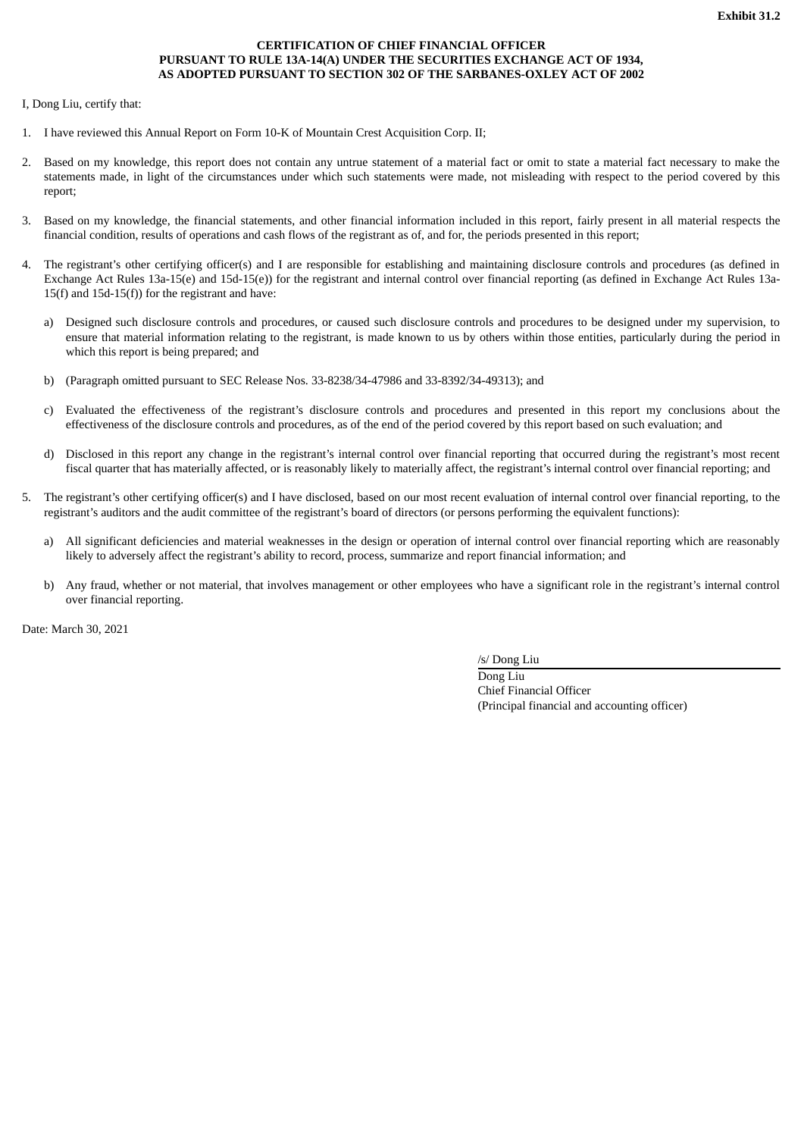# **CERTIFICATION OF CHIEF FINANCIAL OFFICER PURSUANT TO RULE 13A-14(A) UNDER THE SECURITIES EXCHANGE ACT OF 1934, AS ADOPTED PURSUANT TO SECTION 302 OF THE SARBANES-OXLEY ACT OF 2002**

<span id="page-35-0"></span>I, Dong Liu, certify that:

- 1. I have reviewed this Annual Report on Form 10-K of Mountain Crest Acquisition Corp. II;
- 2. Based on my knowledge, this report does not contain any untrue statement of a material fact or omit to state a material fact necessary to make the statements made, in light of the circumstances under which such statements were made, not misleading with respect to the period covered by this report;
- 3. Based on my knowledge, the financial statements, and other financial information included in this report, fairly present in all material respects the financial condition, results of operations and cash flows of the registrant as of, and for, the periods presented in this report;
- 4. The registrant's other certifying officer(s) and I are responsible for establishing and maintaining disclosure controls and procedures (as defined in Exchange Act Rules 13a-15(e) and 15d-15(e)) for the registrant and internal control over financial reporting (as defined in Exchange Act Rules 13a-15(f) and 15d-15(f)) for the registrant and have:
	- a) Designed such disclosure controls and procedures, or caused such disclosure controls and procedures to be designed under my supervision, to ensure that material information relating to the registrant, is made known to us by others within those entities, particularly during the period in which this report is being prepared; and
	- b) (Paragraph omitted pursuant to SEC Release Nos. 33-8238/34-47986 and 33-8392/34-49313); and
	- c) Evaluated the effectiveness of the registrant's disclosure controls and procedures and presented in this report my conclusions about the effectiveness of the disclosure controls and procedures, as of the end of the period covered by this report based on such evaluation; and
	- d) Disclosed in this report any change in the registrant's internal control over financial reporting that occurred during the registrant's most recent fiscal quarter that has materially affected, or is reasonably likely to materially affect, the registrant's internal control over financial reporting; and
- 5. The registrant's other certifying officer(s) and I have disclosed, based on our most recent evaluation of internal control over financial reporting, to the registrant's auditors and the audit committee of the registrant's board of directors (or persons performing the equivalent functions):
	- a) All significant deficiencies and material weaknesses in the design or operation of internal control over financial reporting which are reasonably likely to adversely affect the registrant's ability to record, process, summarize and report financial information; and
	- b) Any fraud, whether or not material, that involves management or other employees who have a significant role in the registrant's internal control over financial reporting.

Date: March 30, 2021

/s/ Dong Liu

Dong Liu Chief Financial Officer (Principal financial and accounting officer)